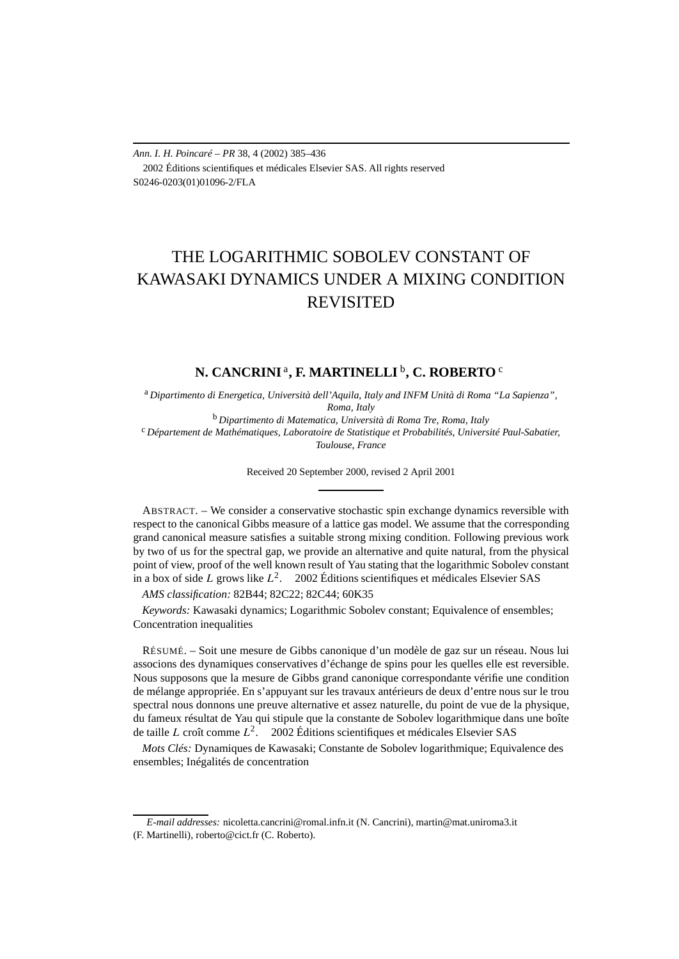*Ann. I. H. Poincaré – PR* 38, 4 (2002) 385–436 2002 Éditions scientifiques et médicales Elsevier SAS. All rights reserved S0246-0203(01)01096-2/FLA

# THE LOGARITHMIC SOBOLEV CONSTANT OF KAWASAKI DYNAMICS UNDER A MIXING CONDITION REVISITED

# **N. CANCRINI** <sup>a</sup>**, F. MARTINELLI** <sup>b</sup>**, C. ROBERTO** <sup>c</sup>

<sup>a</sup> *Dipartimento di Energetica, Università dell'Aquila, Italy and INFM Unità di Roma "La Sapienza",*

*Roma, Italy*<br><sup>b</sup> Dipartimento di Matematica, Università di Roma Tre, Roma, Italy <sup>c</sup> Département de Mathématiques, Laboratoire de Statistique et Probabilités, Université Paul-Sabatier, *Toulouse, France*

Received 20 September 2000, revised 2 April 2001

ABSTRACT. – We consider a conservative stochastic spin exchange dynamics reversible with respect to the canonical Gibbs measure of a lattice gas model. We assume that the corresponding grand canonical measure satisfies a suitable strong mixing condition. Following previous work by two of us for the spectral gap, we provide an alternative and quite natural, from the physical point of view, proof of the well known result of Yau stating that the logarithmic Sobolev constant in a box of side *L* grows like  $L^2$ .  $\odot$  2002 Éditions scientifiques et médicales Elsevier SAS

*AMS classification:* 82B44; 82C22; 82C44; 60K35

*Keywords:* Kawasaki dynamics; Logarithmic Sobolev constant; Equivalence of ensembles; Concentration inequalities

RÉSUMÉ. – Soit une mesure de Gibbs canonique d'un modèle de gaz sur un réseau. Nous lui associons des dynamiques conservatives d'échange de spins pour les quelles elle est reversible. Nous supposons que la mesure de Gibbs grand canonique correspondante vérifie une condition de mélange appropriée. En s'appuyant sur les travaux antérieurs de deux d'entre nous sur le trou spectral nous donnons une preuve alternative et assez naturelle, du point de vue de la physique, du fameux résultat de Yau qui stipule que la constante de Sobolev logarithmique dans une boîte de taille *L* croît comme *L*2. 2002 Éditions scientifiques et médicales Elsevier SAS

*Mots Clés:* Dynamiques de Kawasaki; Constante de Sobolev logarithmique; Equivalence des ensembles; Inégalités de concentration

*E-mail addresses:* nicoletta.cancrini@romal.infn.it (N. Cancrini), martin@mat.uniroma3.it (F. Martinelli), roberto@cict.fr (C. Roberto).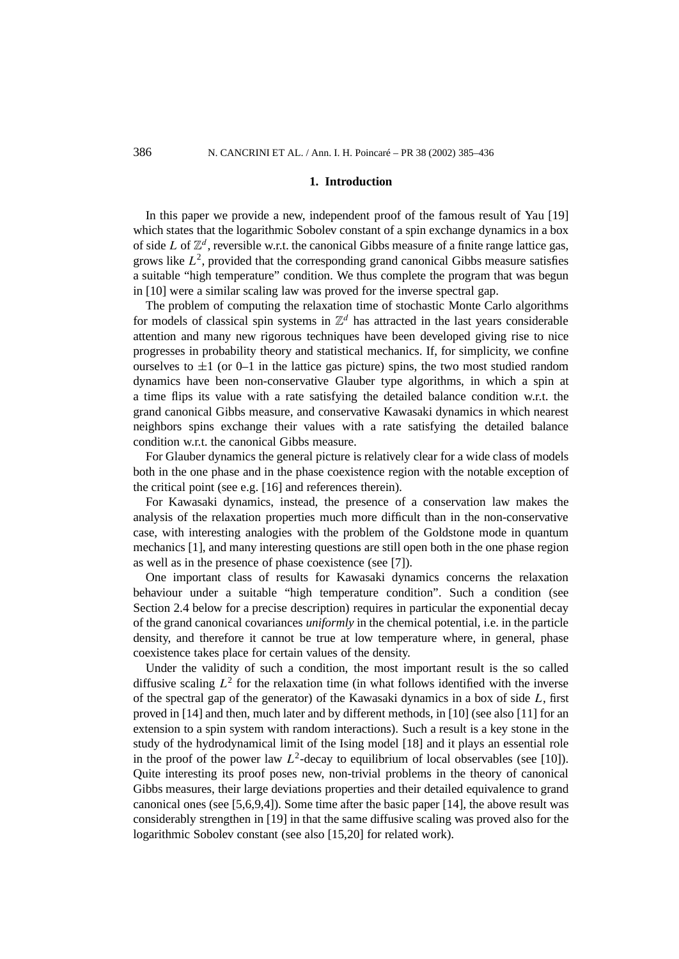#### **1. Introduction**

In this paper we provide a new, independent proof of the famous result of Yau [19] which states that the logarithmic Sobolev constant of a spin exchange dynamics in a box of side *L* of  $\mathbb{Z}^d$ , reversible w.r.t. the canonical Gibbs measure of a finite range lattice gas, grows like  $L^2$ , provided that the corresponding grand canonical Gibbs measure satisfies a suitable "high temperature" condition. We thus complete the program that was begun in [10] were a similar scaling law was proved for the inverse spectral gap.

The problem of computing the relaxation time of stochastic Monte Carlo algorithms for models of classical spin systems in  $\mathbb{Z}^d$  has attracted in the last years considerable attention and many new rigorous techniques have been developed giving rise to nice progresses in probability theory and statistical mechanics. If, for simplicity, we confine ourselves to  $\pm 1$  (or 0–1 in the lattice gas picture) spins, the two most studied random dynamics have been non-conservative Glauber type algorithms, in which a spin at a time flips its value with a rate satisfying the detailed balance condition w.r.t. the grand canonical Gibbs measure, and conservative Kawasaki dynamics in which nearest neighbors spins exchange their values with a rate satisfying the detailed balance condition w.r.t. the canonical Gibbs measure.

For Glauber dynamics the general picture is relatively clear for a wide class of models both in the one phase and in the phase coexistence region with the notable exception of the critical point (see e.g. [16] and references therein).

For Kawasaki dynamics, instead, the presence of a conservation law makes the analysis of the relaxation properties much more difficult than in the non-conservative case, with interesting analogies with the problem of the Goldstone mode in quantum mechanics [1], and many interesting questions are still open both in the one phase region as well as in the presence of phase coexistence (see [7]).

One important class of results for Kawasaki dynamics concerns the relaxation behaviour under a suitable "high temperature condition". Such a condition (see Section 2.4 below for a precise description) requires in particular the exponential decay of the grand canonical covariances *uniformly* in the chemical potential, i.e. in the particle density, and therefore it cannot be true at low temperature where, in general, phase coexistence takes place for certain values of the density.

Under the validity of such a condition, the most important result is the so called diffusive scaling  $L^2$  for the relaxation time (in what follows identified with the inverse of the spectral gap of the generator) of the Kawasaki dynamics in a box of side *L*, first proved in [14] and then, much later and by different methods, in [10] (see also [11] for an extension to a spin system with random interactions). Such a result is a key stone in the study of the hydrodynamical limit of the Ising model [18] and it plays an essential role in the proof of the power law  $L^2$ -decay to equilibrium of local observables (see [10]). Quite interesting its proof poses new, non-trivial problems in the theory of canonical Gibbs measures, their large deviations properties and their detailed equivalence to grand canonical ones (see  $[5,6,9,4]$ ). Some time after the basic paper  $[14]$ , the above result was considerably strengthen in [19] in that the same diffusive scaling was proved also for the logarithmic Sobolev constant (see also [15,20] for related work).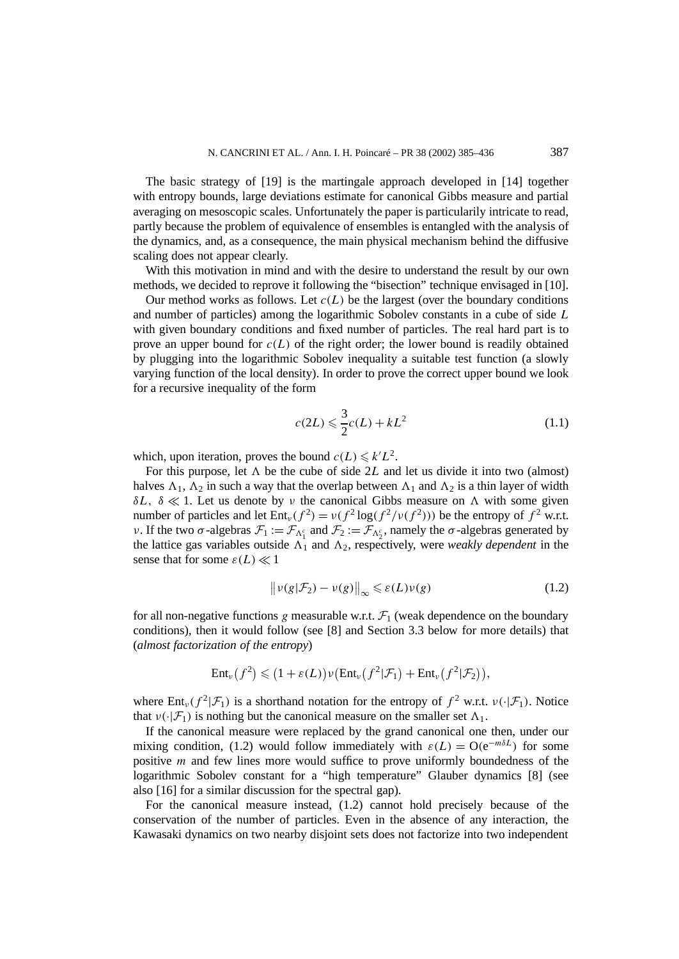The basic strategy of [19] is the martingale approach developed in [14] together with entropy bounds, large deviations estimate for canonical Gibbs measure and partial averaging on mesoscopic scales. Unfortunately the paper is particularily intricate to read, partly because the problem of equivalence of ensembles is entangled with the analysis of the dynamics, and, as a consequence, the main physical mechanism behind the diffusive scaling does not appear clearly.

With this motivation in mind and with the desire to understand the result by our own methods, we decided to reprove it following the "bisection" technique envisaged in [10].

Our method works as follows. Let  $c(L)$  be the largest (over the boundary conditions and number of particles) among the logarithmic Sobolev constants in a cube of side *L* with given boundary conditions and fixed number of particles. The real hard part is to prove an upper bound for  $c(L)$  of the right order; the lower bound is readily obtained by plugging into the logarithmic Sobolev inequality a suitable test function (a slowly varying function of the local density). In order to prove the correct upper bound we look for a recursive inequality of the form

$$
c(2L) \leqslant \frac{3}{2}c(L) + kL^2\tag{1.1}
$$

which, upon iteration, proves the bound  $c(L) \le k'L^2$ .

For this purpose, let  $\Lambda$  be the cube of side 2L and let us divide it into two (almost) halves  $\Lambda_1$ ,  $\Lambda_2$  in such a way that the overlap between  $\Lambda_1$  and  $\Lambda_2$  is a thin layer of width *δL, δ*  $\ll$  1. Let us denote by *ν* the canonical Gibbs measure on  $\Lambda$  with some given number of particles and let  $Ent_v(f^2) = v(f^2 \log(f^2/v(f^2)))$  be the entropy of  $f^2$  w.r.t. *ν*. If the two *σ*-algebras  $\mathcal{F}_1 := \mathcal{F}_{\Lambda_1^c}$  and  $\mathcal{F}_2 := \mathcal{F}_{\Lambda_2^c}$ , namely the *σ*-algebras generated by the lattice gas variables outside  $\Lambda_1$  and  $\Lambda_2$ , respectively, were *weakly dependent* in the sense that for some  $\varepsilon(L) \ll 1$ 

$$
\|\nu(g|\mathcal{F}_2) - \nu(g)\|_{\infty} \leq \varepsilon(L)\nu(g) \tag{1.2}
$$

for all non-negative functions *g* measurable w.r.t.  $\mathcal{F}_1$  (weak dependence on the boundary conditions), then it would follow (see [8] and Section 3.3 below for more details) that (*almost factorization of the entropy*)

$$
\mathrm{Ent}_{\nu}(f^{2}) \leqslant (1+\varepsilon(L))\nu(\mathrm{Ent}_{\nu}(f^{2}|\mathcal{F}_{1}) + \mathrm{Ent}_{\nu}(f^{2}|\mathcal{F}_{2})),
$$

where  $Ent_v(f^2|\mathcal{F}_1)$  is a shorthand notation for the entropy of  $f^2$  w.r.t.  $v(\cdot|\mathcal{F}_1)$ . Notice that  $v(\cdot|\mathcal{F}_1)$  is nothing but the canonical measure on the smaller set  $\Lambda_1$ .

If the canonical measure were replaced by the grand canonical one then, under our mixing condition, (1.2) would follow immediately with  $\varepsilon(L) = O(e^{-m\delta L})$  for some positive *m* and few lines more would suffice to prove uniformly boundedness of the logarithmic Sobolev constant for a "high temperature" Glauber dynamics [8] (see also [16] for a similar discussion for the spectral gap).

For the canonical measure instead, (1.2) cannot hold precisely because of the conservation of the number of particles. Even in the absence of any interaction, the Kawasaki dynamics on two nearby disjoint sets does not factorize into two independent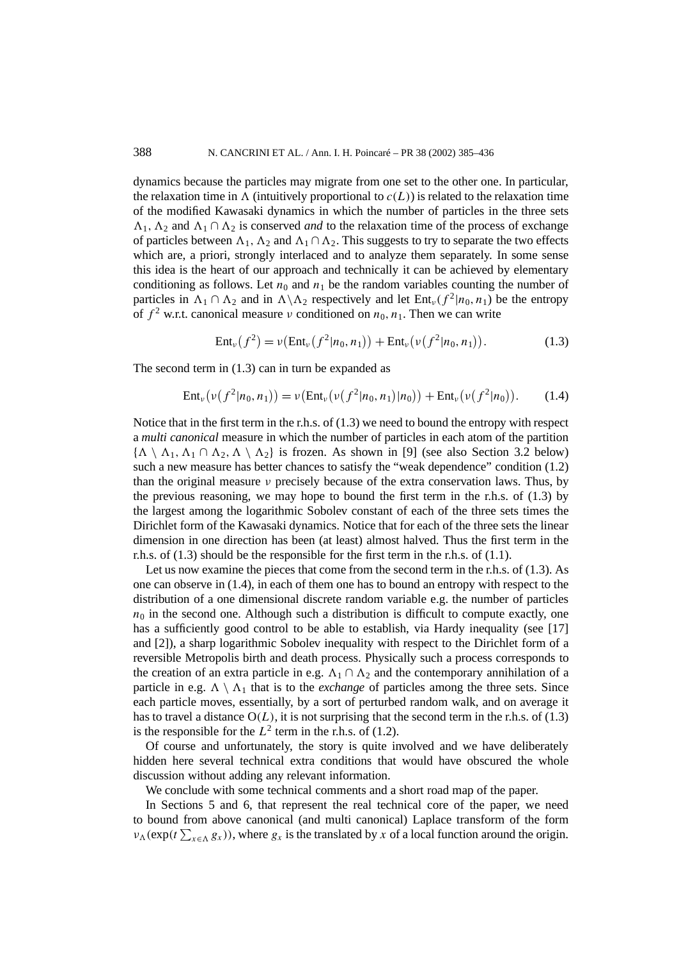dynamics because the particles may migrate from one set to the other one. In particular, the relaxation time in  $\Lambda$  (intuitively proportional to  $c(L)$ ) is related to the relaxation time of the modified Kawasaki dynamics in which the number of particles in the three sets  $\Lambda_1$ ,  $\Lambda_2$  and  $\Lambda_1 \cap \Lambda_2$  is conserved *and* to the relaxation time of the process of exchange of particles between  $\Lambda_1$ ,  $\Lambda_2$  and  $\Lambda_1 \cap \Lambda_2$ . This suggests to try to separate the two effects which are, a priori, strongly interlaced and to analyze them separately. In some sense this idea is the heart of our approach and technically it can be achieved by elementary conditioning as follows. Let  $n_0$  and  $n_1$  be the random variables counting the number of particles in  $\Lambda_1 \cap \Lambda_2$  and in  $\Lambda \backslash \Lambda_2$  respectively and let  $Ent_{\nu} (f^2|n_0, n_1)$  be the entropy of  $f^2$  w.r.t. canonical measure *ν* conditioned on  $n_0$ ,  $n_1$ . Then we can write

$$
Ent_{\nu}(f^{2}) = \nu(Ent_{\nu}(f^{2}|n_{0}, n_{1})) + Ent_{\nu}(\nu(f^{2}|n_{0}, n_{1})). \qquad (1.3)
$$

The second term in  $(1.3)$  can in turn be expanded as

$$
Ent_{\nu}(\nu(f^2|n_0,n_1)) = \nu(Ent_{\nu}(\nu(f^2|n_0,n_1)|n_0)) + Ent_{\nu}(\nu(f^2|n_0)).
$$
 (1.4)

Notice that in the first term in the r.h.s. of (1.3) we need to bound the entropy with respect a *multi canonical* measure in which the number of particles in each atom of the partition  $\{\Lambda \setminus \Lambda_1, \Lambda_1 \cap \Lambda_2, \Lambda \setminus \Lambda_2\}$  is frozen. As shown in [9] (see also Section 3.2 below) such a new measure has better chances to satisfy the "weak dependence" condition (1.2) than the original measure *ν* precisely because of the extra conservation laws. Thus, by the previous reasoning, we may hope to bound the first term in the r.h.s. of (1.3) by the largest among the logarithmic Sobolev constant of each of the three sets times the Dirichlet form of the Kawasaki dynamics. Notice that for each of the three sets the linear dimension in one direction has been (at least) almost halved. Thus the first term in the r.h.s. of (1.3) should be the responsible for the first term in the r.h.s. of (1.1).

Let us now examine the pieces that come from the second term in the r.h.s. of (1.3). As one can observe in (1.4), in each of them one has to bound an entropy with respect to the distribution of a one dimensional discrete random variable e.g. the number of particles  $n_0$  in the second one. Although such a distribution is difficult to compute exactly, one has a sufficiently good control to be able to establish, via Hardy inequality (see [17] and [2]), a sharp logarithmic Sobolev inequality with respect to the Dirichlet form of a reversible Metropolis birth and death process. Physically such a process corresponds to the creation of an extra particle in e.g.  $\Lambda_1 \cap \Lambda_2$  and the contemporary annihilation of a particle in e.g.  $\Lambda \setminus \Lambda_1$  that is to the *exchange* of particles among the three sets. Since each particle moves, essentially, by a sort of perturbed random walk, and on average it has to travel a distance  $O(L)$ , it is not surprising that the second term in the r.h.s. of (1.3) is the responsible for the  $L^2$  term in the r.h.s. of (1.2).

Of course and unfortunately, the story is quite involved and we have deliberately hidden here several technical extra conditions that would have obscured the whole discussion without adding any relevant information.

We conclude with some technical comments and a short road map of the paper.

In Sections 5 and 6, that represent the real technical core of the paper, we need to bound from above canonical (and multi canonical) Laplace transform of the form  $v_{\Lambda}$ (exp( $t \sum_{x \in \Lambda} g_x$ )), where  $g_x$  is the translated by *x* of a local function around the origin.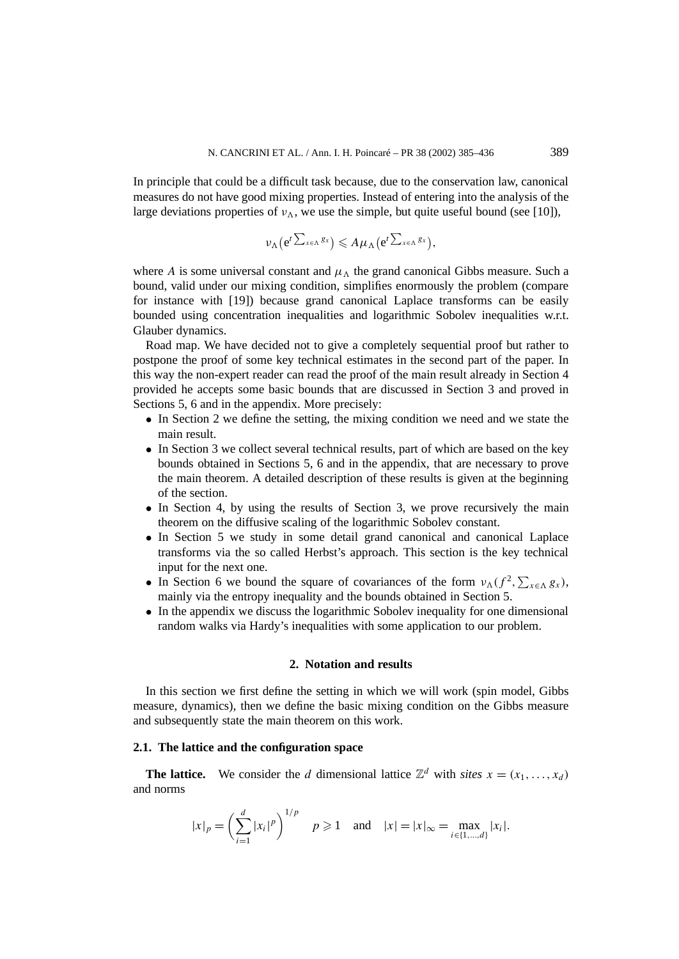In principle that could be a difficult task because, due to the conservation law, canonical measures do not have good mixing properties. Instead of entering into the analysis of the large deviations properties of  $v_{\Lambda}$ , we use the simple, but quite useful bound (see [10]),

$$
\nu_{\Lambda} (e^{t \sum_{x \in \Lambda} g_x}) \leqslant A \mu_{\Lambda} (e^{t \sum_{x \in \Lambda} g_x}),
$$

where *A* is some universal constant and  $\mu_{\Lambda}$  the grand canonical Gibbs measure. Such a bound, valid under our mixing condition, simplifies enormously the problem (compare for instance with [19]) because grand canonical Laplace transforms can be easily bounded using concentration inequalities and logarithmic Sobolev inequalities w.r.t. Glauber dynamics.

Road map. We have decided not to give a completely sequential proof but rather to postpone the proof of some key technical estimates in the second part of the paper. In this way the non-expert reader can read the proof of the main result already in Section 4 provided he accepts some basic bounds that are discussed in Section 3 and proved in Sections 5, 6 and in the appendix. More precisely:

- In Section 2 we define the setting, the mixing condition we need and we state the main result.
- In Section 3 we collect several technical results, part of which are based on the key bounds obtained in Sections 5, 6 and in the appendix, that are necessary to prove the main theorem. A detailed description of these results is given at the beginning of the section.
- In Section 4, by using the results of Section 3, we prove recursively the main theorem on the diffusive scaling of the logarithmic Sobolev constant.
- In Section 5 we study in some detail grand canonical and canonical Laplace transforms via the so called Herbst's approach. This section is the key technical input for the next one.
- In Section 6 we bound the square of covariances of the form  $v_{\Lambda}(f^2, \sum_{x \in \Lambda} g_x)$ , mainly via the entropy inequality and the bounds obtained in Section 5.
- In the appendix we discuss the logarithmic Sobolev inequality for one dimensional random walks via Hardy's inequalities with some application to our problem.

## **2. Notation and results**

In this section we first define the setting in which we will work (spin model, Gibbs measure, dynamics), then we define the basic mixing condition on the Gibbs measure and subsequently state the main theorem on this work.

#### **2.1. The lattice and the configuration space**

**The lattice.** We consider the *d* dimensional lattice  $\mathbb{Z}^d$  with *sites*  $x = (x_1, \ldots, x_d)$ and norms

$$
|x|_p = \left(\sum_{i=1}^d |x_i|^p\right)^{1/p}
$$
  $p \ge 1$  and  $|x| = |x|_\infty = \max_{i \in \{1, \dots, d\}} |x_i|$ .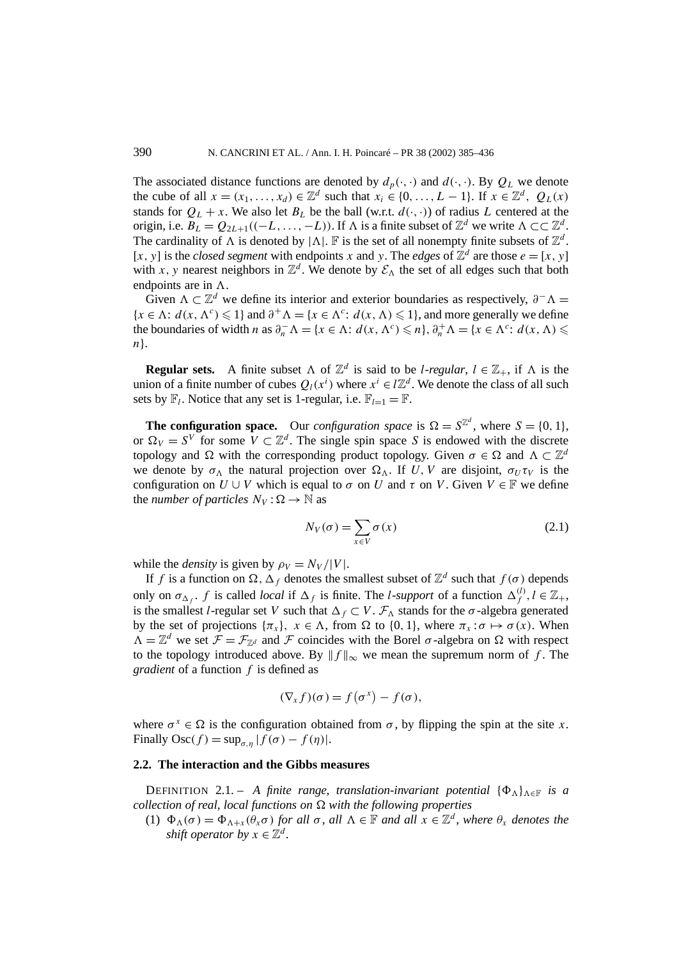The associated distance functions are denoted by  $d_p(\cdot, \cdot)$  and  $d(\cdot, \cdot)$ . By  $Q_L$  we denote the cube of all  $x = (x_1, \ldots, x_d) \in \mathbb{Z}^d$  such that  $x_i \in \{0, \ldots, L-1\}$ . If  $x \in \mathbb{Z}^d$ ,  $Q_L(x)$ stands for  $Q_L + x$ . We also let  $B_L$  be the ball (w.r.t.  $d(\cdot, \cdot)$ ) of radius *L* centered at the origin, i.e.  $B_L = Q_{2L+1}((-L, ..., -L))$ . If  $\Lambda$  is a finite subset of  $\mathbb{Z}^d$  we write  $\Lambda \subset \subset \mathbb{Z}^d$ . The cardinality of  $\Lambda$  is denoted by  $|\Lambda|$ . F is the set of all nonempty finite subsets of  $\mathbb{Z}^d$ . [*x*, *y*] is the *closed segment* with endpoints *x* and *y*. The *edges* of  $\mathbb{Z}^d$  are those  $e = [x, y]$ with *x*, y nearest neighbors in  $\mathbb{Z}^d$ . We denote by  $\mathcal{E}_\Lambda$  the set of all edges such that both endpoints are in  $\Lambda$ .

Given  $\Lambda \subset \mathbb{Z}^d$  we define its interior and exterior boundaries as respectively,  $\partial^- \Lambda =$  ${x \in \Lambda : d(x, \Lambda^c) \leq 1}$  and  $\partial^+ \Lambda = {x \in \Lambda^c : d(x, \Lambda) \leq 1}$ , and more generally we define the boundaries of width *n* as  $\partial_n^{-} \Lambda = \{x \in \Lambda : d(x, \Lambda^c) \leq n\}, \partial_n^{+} \Lambda = \{x \in \Lambda^c : d(x, \Lambda) \leq \Lambda^c\}$ *n*}.

**Regular sets.** A finite subset  $\Lambda$  of  $\mathbb{Z}^d$  is said to be *l*-*regular*,  $l \in \mathbb{Z}_+$ , if  $\Lambda$  is the union of a finite number of cubes  $Q_l(x^i)$  where  $x^i \in l\mathbb{Z}^d$ . We denote the class of all such sets by  $\mathbb{F}_l$ . Notice that any set is 1-regular, i.e.  $\mathbb{F}_{l=1} = \mathbb{F}$ .

**The configuration space.** Our *configuration space* is  $\Omega = S^{\mathbb{Z}^d}$ , where  $S = \{0, 1\}$ , or  $\Omega_V = S^V$  for some  $V \subset \mathbb{Z}^d$ . The single spin space *S* is endowed with the discrete topology and  $\Omega$  with the corresponding product topology. Given  $\sigma \in \Omega$  and  $\Lambda \subset \mathbb{Z}^d$ we denote by  $\sigma_{\Lambda}$  the natural projection over  $\Omega_{\Lambda}$ . If *U*, *V* are disjoint,  $\sigma_{U}\tau_{V}$  is the configuration on  $U \cup V$  which is equal to  $\sigma$  on  $U$  and  $\tau$  on  $V$ . Given  $V \in \mathbb{F}$  we define the *number of particles*  $N_V$ :  $\Omega \rightarrow \mathbb{N}$  as

$$
N_V(\sigma) = \sum_{x \in V} \sigma(x) \tag{2.1}
$$

while the *density* is given by  $\rho_V = N_V / |V|$ .

If *f* is a function on  $\Omega$ ,  $\Delta_f$  denotes the smallest subset of  $\mathbb{Z}^d$  such that  $f(\sigma)$  depends only on  $\sigma_{\Delta_f}$ . *f* is called *local* if  $\Delta_f$  is finite. The *l*-*support* of a function  $\Delta_f^{(l)}$ ,  $l \in \mathbb{Z}_+$ , is the smallest *l*-regular set *V* such that  $\Delta_f \subset V$ .  $\mathcal{F}_{\Delta}$  stands for the  $\sigma$ -algebra generated by the set of projections  $\{\pi_x\}$ ,  $x \in \Lambda$ , from  $\Omega$  to  $\{0, 1\}$ , where  $\pi_x : \sigma \mapsto \sigma(x)$ . When  $\Lambda = \mathbb{Z}^d$  we set  $\mathcal{F} = \mathcal{F}_{\mathbb{Z}^d}$  and  $\mathcal F$  coincides with the Borel  $\sigma$ -algebra on  $\Omega$  with respect to the topology introduced above. By  $|| f ||_{\infty}$  we mean the supremum norm of f. The *gradient* of a function *f* is defined as

$$
(\nabla_x f)(\sigma) = f(\sigma^x) - f(\sigma),
$$

where  $\sigma^x \in \Omega$  is the configuration obtained from  $\sigma$ , by flipping the spin at the site *x*. Finally  $\text{Osc}(f) = \sup_{\sigma, n} |f(\sigma) - f(\eta)|$ .

# **2.2. The interaction and the Gibbs measures**

DEFINITION 2.1. – *A finite range, translation-invariant potential*  $\{\Phi_{\Lambda}\}_{{\Lambda}\in\mathbb{F}}$  *is a collection of real, local functions on*  $\Omega$  *with the following properties* 

(1)  $\Phi_{\Lambda}(\sigma) = \Phi_{\Lambda+x}(\theta_x \sigma)$  *for all*  $\sigma$ *, all*  $\Lambda \in \mathbb{F}$  *and all*  $x \in \mathbb{Z}^d$ *, where*  $\theta_x$  *denotes the shift operator by*  $x \in \mathbb{Z}^d$ .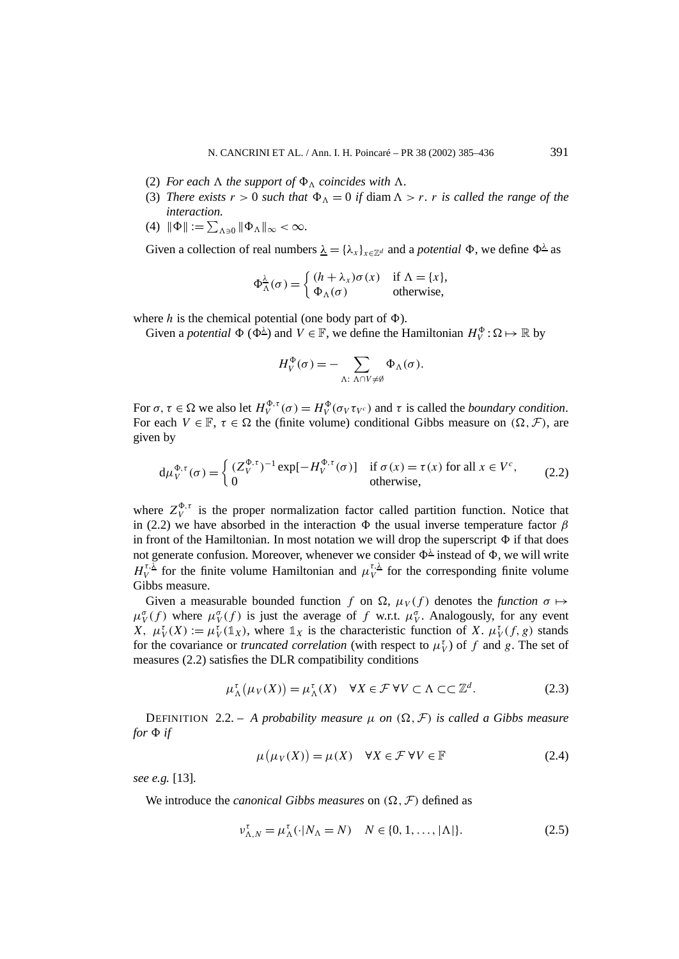- (2) *For each*  $\Lambda$  *the support of*  $\Phi_{\Lambda}$  *coincides with*  $\Lambda$ *.*
- (3) *There exists*  $r > 0$  *such that*  $\Phi_{\Lambda} = 0$  *if* diam  $\Lambda > r$ *. r is called the range of the interaction.*
- (4)  $\|\Phi\| := \sum_{\Lambda \ni 0} \|\Phi_{\Lambda}\|_{\infty} < \infty$ .

Given a collection of real numbers  $\lambda = {\lambda_x}_{x \in \mathbb{Z}^d}$  and a *potential*  $\Phi$ , we define  $\Phi^{\lambda}$  as

$$
\Phi_{\Lambda}^{\lambda}(\sigma) = \begin{cases} (h + \lambda_{x})\sigma(x) & \text{if } \Lambda = \{x\}, \\ \Phi_{\Lambda}(\sigma) & \text{otherwise}, \end{cases}
$$

where *h* is the chemical potential (one body part of  $\Phi$ ).

Given a *potential*  $\Phi$  ( $\Phi^{\underline{\lambda}}$ ) and  $V \in \mathbb{F}$ , we define the Hamiltonian  $H_V^{\Phi}$ :  $\Omega \mapsto \mathbb{R}$  by

$$
H_V^{\Phi}(\sigma) = - \sum_{\Lambda: \ \Lambda \cap V \neq \emptyset} \Phi_{\Lambda}(\sigma).
$$

For  $\sigma, \tau \in \Omega$  we also let  $H_V^{\Phi, \tau}(\sigma) = H_V^{\Phi}(\sigma_V \tau_{V^c})$  and  $\tau$  is called the *boundary condition*. For each  $V \in \mathbb{F}$ ,  $\tau \in \Omega$  the (finite volume) conditional Gibbs measure on  $(\Omega, \mathcal{F})$ , are given by

$$
d\mu_V^{\Phi,\tau}(\sigma) = \begin{cases} (Z_V^{\Phi,\tau})^{-1} \exp[-H_V^{\Phi,\tau}(\sigma)] & \text{if } \sigma(x) = \tau(x) \text{ for all } x \in V^c, \\ 0 & \text{otherwise,} \end{cases}
$$
 (2.2)

where  $Z_V^{\Phi,\tau}$  is the proper normalization factor called partition function. Notice that in (2.2) we have absorbed in the interaction  $\Phi$  the usual inverse temperature factor  $\beta$ in front of the Hamiltonian. In most notation we will drop the superscript  $\Phi$  if that does not generate confusion. Moreover, whenever we consider  $\Phi^{\underline{\lambda}}$  instead of  $\Phi$ , we will write *H*<sup>*τ*</sup>, $\frac{\lambda}{V}$  for the finite volume Hamiltonian and  $\mu_V^{\tau, \lambda}$  for the corresponding finite volume Gibbs measure.

Given a measurable bounded function *f* on  $\Omega$ ,  $\mu_V(f)$  denotes the *function*  $\sigma \mapsto$  $\mu_V^{\sigma}(f)$  where  $\mu_V^{\sigma}(f)$  is just the average of *f* w.r.t.  $\mu_V^{\sigma}$ . Analogously, for any event *X*,  $\mu_V^{\tau}(X) := \mu_V^{\tau}(\mathbb{1}_X)$ , where  $\mathbb{1}_X$  is the characteristic function of *X*.  $\mu_V^{\tau}(f, g)$  stands for the covariance or *truncated correlation* (with respect to  $\mu_V^{\tau}$ ) of f and g. The set of measures (2.2) satisfies the DLR compatibility conditions

$$
\mu_{\Lambda}^{\tau}(\mu_{V}(X)) = \mu_{\Lambda}^{\tau}(X) \quad \forall X \in \mathcal{F} \,\forall V \subset \Lambda \subset \subset \mathbb{Z}^{d}.
$$

DEFINITION 2.2. – A probability measure  $\mu$  on  $(\Omega, \mathcal{F})$  is called a Gibbs measure *for*  $\Phi$  *if* 

$$
\mu(\mu_V(X)) = \mu(X) \quad \forall X \in \mathcal{F} \,\forall V \in \mathbb{F} \tag{2.4}
$$

*see e.g.* [13]*.*

We introduce the *canonical Gibbs measures* on  $(\Omega, \mathcal{F})$  defined as

$$
\nu_{\Lambda,N}^{\tau} = \mu_{\Lambda}^{\tau}(\cdot | N_{\Lambda} = N) \quad N \in \{0, 1, \dots, |\Lambda|\}.
$$
 (2.5)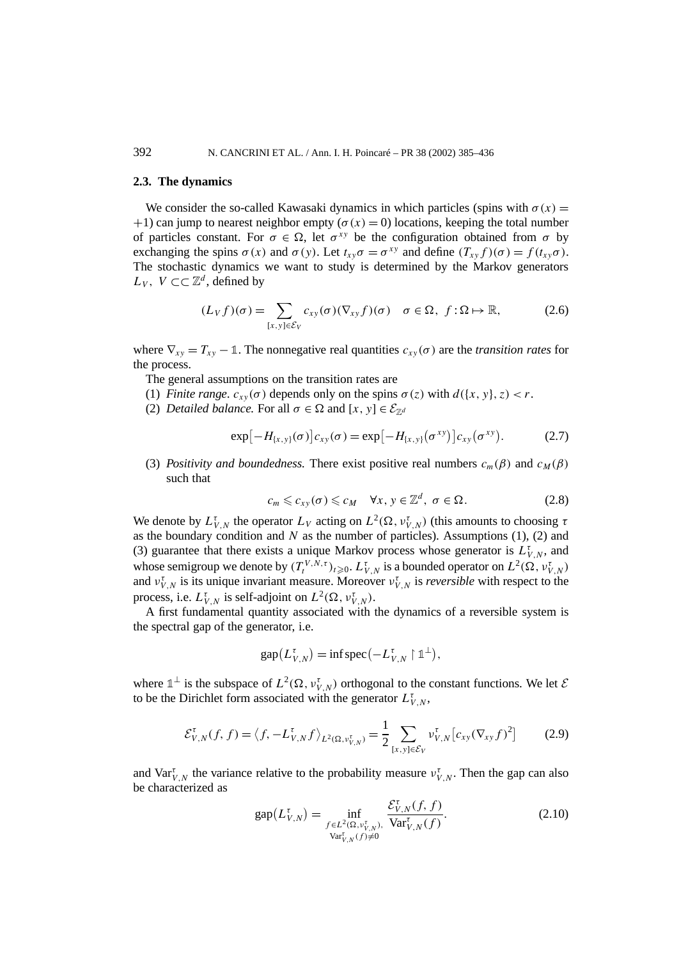#### **2.3. The dynamics**

We consider the so-called Kawasaki dynamics in which particles (spins with  $\sigma(x)$ )  $+1$ ) can jump to nearest neighbor empty ( $\sigma(x) = 0$ ) locations, keeping the total number of particles constant. For  $\sigma \in \Omega$ , let  $\sigma^{xy}$  be the configuration obtained from  $\sigma$  by exchanging the spins  $\sigma(x)$  and  $\sigma(y)$ . Let  $t_{xy}\sigma = \sigma^{xy}$  and define  $(T_{xy}f)(\sigma) = f(t_{xy}\sigma)$ . The stochastic dynamics we want to study is determined by the Markov generators *L<sub>V</sub>*, *V* ⊂  $\mathbb{Z}^d$ , defined by

$$
(L_V f)(\sigma) = \sum_{[x,y]\in \mathcal{E}_V} c_{xy}(\sigma) (\nabla_{xy} f)(\sigma) \quad \sigma \in \Omega, \ f: \Omega \mapsto \mathbb{R}, \tag{2.6}
$$

where  $\nabla_{xy} = T_{xy} - 1$ . The nonnegative real quantities  $c_{xy}(\sigma)$  are the *transition rates* for the process.

The general assumptions on the transition rates are

- (1) *Finite range.*  $c_{xy}(\sigma)$  depends only on the spins  $\sigma(z)$  with  $d({x, y}, z) < r$ .
- (2) *Detailed balance.* For all  $\sigma \in \Omega$  and  $[x, y] \in \mathcal{E}_{\mathbb{Z}^d}$

$$
\exp[-H_{\{x,y\}}(\sigma)]c_{xy}(\sigma) = \exp[-H_{\{x,y\}}(\sigma^{xy})]c_{xy}(\sigma^{xy}).
$$
 (2.7)

(3) *Positivity and boundedness.* There exist positive real numbers  $c_m(\beta)$  and  $c_M(\beta)$ such that

$$
c_m \leqslant c_{xy}(\sigma) \leqslant c_M \quad \forall x, y \in \mathbb{Z}^d, \ \sigma \in \Omega. \tag{2.8}
$$

We denote by  $L_{V,N}^{\tau}$  the operator  $L_V$  acting on  $L^2(\Omega, \nu_{V,N}^{\tau})$  (this amounts to choosing  $\tau$ as the boundary condition and *N* as the number of particles). Assumptions (1), (2) and (3) guarantee that there exists a unique Markov process whose generator is  $L_{V,N}^{\tau}$ , and whose semigroup we denote by  $(T_t^{V,N,\tau})_{t\geqslant0}$ .  $L_{V,N}^{\tau}$  is a bounded operator on  $L^2(\Omega, \nu_{V,N}^{\tau})$ and  $v_{V,N}^{\tau}$  is its unique invariant measure. Moreover  $v_{V,N}^{\tau}$  is *reversible* with respect to the process, i.e.  $L^{\tau}_{V,N}$  is self-adjoint on  $L^2(\Omega, \nu^{\tau}_{V,N})$ .

A first fundamental quantity associated with the dynamics of a reversible system is the spectral gap of the generator, i.e.

$$
\operatorname{gap}(L_{V,N}^{\tau}) = \inf \operatorname{spec}(-L_{V,N}^{\tau} \upharpoonright \mathbb{1}^{\perp}),
$$

where  $\mathbb{1}^{\perp}$  is the subspace of  $L^2(\Omega, \nu_{V,N}^{\tau})$  orthogonal to the constant functions. We let  $\mathcal{E}$ to be the Dirichlet form associated with the generator  $L^{\tau}_{V,N}$ ,

$$
\mathcal{E}_{V,N}^{\tau}(f,f) = \langle f, -L_{V,N}^{\tau} f \rangle_{L^{2}(\Omega, \nu_{V,N}^{\tau})} = \frac{1}{2} \sum_{[x,y] \in \mathcal{E}_V} \nu_{V,N}^{\tau} [c_{xy} (\nabla_{xy} f)^{2}] \tag{2.9}
$$

and  $\text{Var}_{V,N}^{\tau}$  the variance relative to the probability measure  $v_{V,N}^{\tau}$ . Then the gap can also be characterized as

$$
gap(L_{V,N}^{\tau}) = \inf_{\substack{f \in L^{2}(\Omega, v_{V,N}^{\tau}), \\ \text{Var}_{V,N}^{\tau}(f) \neq 0}} \frac{\mathcal{E}_{V,N}^{\tau}(f, f)}{\text{Var}_{V,N}^{\tau}(f)}.
$$
(2.10)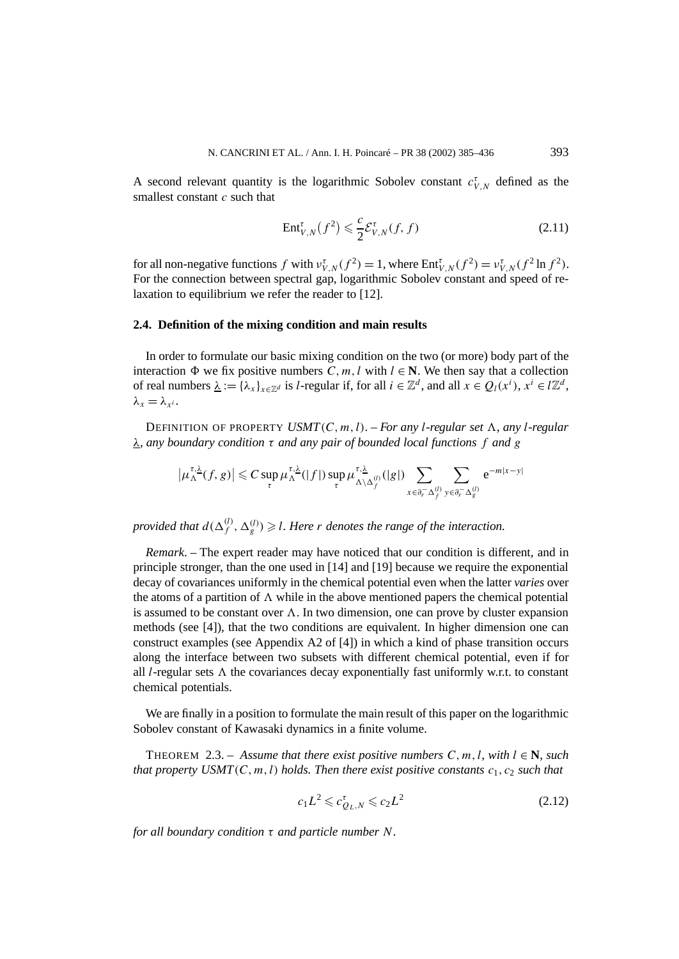A second relevant quantity is the logarithmic Sobolev constant  $c_{V,N}^{\tau}$  defined as the smallest constant *c* such that

$$
\text{Ent}_{V,N}^{\tau}(f^2) \leqslant \frac{c}{2} \mathcal{E}_{V,N}^{\tau}(f,f)
$$
\n(2.11)

for all non-negative functions  $f$  with  $v_{V,N}^{\tau}(f^2) = 1$ , where  $Ent_{V,N}^{\tau}(f^2) = v_{V,N}^{\tau}(f^2 \ln f^2)$ . For the connection between spectral gap, logarithmic Sobolev constant and speed of relaxation to equilibrium we refer the reader to [12].

## **2.4. Definition of the mixing condition and main results**

In order to formulate our basic mixing condition on the two (or more) body part of the interaction  $\Phi$  we fix positive numbers *C, m, l* with  $l \in \mathbb{N}$ . We then say that a collection of real numbers  $\underline{\lambda} := {\lambda_x}_{x \in \mathbb{Z}^d}$  is *l*-regular if, for all  $i \in \mathbb{Z}^d$ , and all  $x \in Q_l(x^i)$ ,  $x^i \in l\mathbb{Z}^d$ ,  $\lambda_x = \lambda_{x^i}$ .

DEFINITION OF PROPERTY  $USMT(C, m, l)$ . – *For any l-regular set*  $\Lambda$ *, any l-regular λ, any boundary condition τ and any pair of bounded local functions f and g*

$$
\left|\mu_{\Lambda}^{\tau,\underline{\lambda}}(f,g)\right|\leqslant C\sup_{\tau}\mu_{\Lambda}^{\tau,\underline{\lambda}}(|f|)\sup_{\tau}\mu_{\Lambda\setminus\Delta_{f}^{(l)}}^{(\tau,\underline{\lambda}}(|g|)\sum_{x\in\partial_{r}^{-}\Delta_{f}^{(l)}}\sum_{y\in\partial_{r}^{-}\Delta_{g}^{(l)}}e^{-m|x-y|}
$$

*provided that*  $d(\Delta_f^{(l)}, \Delta_g^{(l)}) \geq l$ . Here *r denotes the range of the interaction.* 

*Remark*. – The expert reader may have noticed that our condition is different, and in principle stronger, than the one used in [14] and [19] because we require the exponential decay of covariances uniformly in the chemical potential even when the latter *varies* over the atoms of a partition of  $\Lambda$  while in the above mentioned papers the chemical potential is assumed to be constant over  $\Lambda$ . In two dimension, one can prove by cluster expansion methods (see [4]), that the two conditions are equivalent. In higher dimension one can construct examples (see Appendix A2 of [4]) in which a kind of phase transition occurs along the interface between two subsets with different chemical potential, even if for all *l*-regular sets  $\Lambda$  the covariances decay exponentially fast uniformly w.r.t. to constant chemical potentials.

We are finally in a position to formulate the main result of this paper on the logarithmic Sobolev constant of Kawasaki dynamics in a finite volume.

THEOREM 2.3. – Assume that there exist positive numbers  $C, m, l$ , with  $l \in \mathbb{N}$ , such *that property USMT* $(C, m, l)$  *holds. Then there exist positive constants*  $c_1, c_2$  *such that* 

$$
c_1 L^2 \leqslant c_{Q_L, N}^{\tau} \leqslant c_2 L^2 \tag{2.12}
$$

*for all boundary condition τ and particle number N.*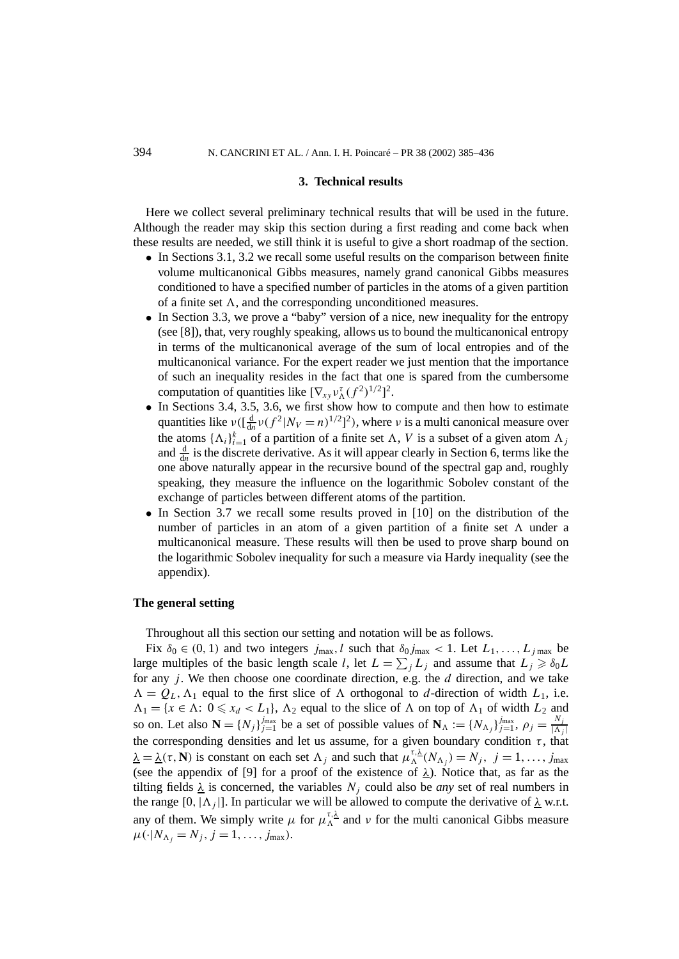#### **3. Technical results**

Here we collect several preliminary technical results that will be used in the future. Although the reader may skip this section during a first reading and come back when these results are needed, we still think it is useful to give a short roadmap of the section.

- In Sections 3.1, 3.2 we recall some useful results on the comparison between finite volume multicanonical Gibbs measures, namely grand canonical Gibbs measures conditioned to have a specified number of particles in the atoms of a given partition of a finite set  $\Lambda$ , and the corresponding unconditioned measures.
- In Section 3.3, we prove a "baby" version of a nice, new inequality for the entropy (see [8]), that, very roughly speaking, allows us to bound the multicanonical entropy in terms of the multicanonical average of the sum of local entropies and of the multicanonical variance. For the expert reader we just mention that the importance of such an inequality resides in the fact that one is spared from the cumbersome computation of quantities like  $[\nabla_{xy} v_{\Lambda}^{\tau} (f^2)^{1/2}]^2$ .
- In Sections 3.4, 3.5, 3.6, we first show how to compute and then how to estimate quantities like  $v((\frac{d}{du}v(f^2|N_V=n)^{1/2})^2)$ , where *v* is a multi canonical measure over the atoms  $\{\Lambda_i\}_{i=1}^k$  of a partition of a finite set  $\Lambda$ , V is a subset of a given atom  $\Lambda_j$ and  $\frac{d}{dn}$  is the discrete derivative. As it will appear clearly in Section 6, terms like the one above naturally appear in the recursive bound of the spectral gap and, roughly speaking, they measure the influence on the logarithmic Sobolev constant of the exchange of particles between different atoms of the partition.
- In Section 3.7 we recall some results proved in [10] on the distribution of the number of particles in an atom of a given partition of a finite set  $\Lambda$  under a multicanonical measure. These results will then be used to prove sharp bound on the logarithmic Sobolev inequality for such a measure via Hardy inequality (see the appendix).

#### **The general setting**

Throughout all this section our setting and notation will be as follows.

Fix  $\delta_0 \in (0, 1)$  and two integers  $j_{\text{max}}$ , l such that  $\delta_0 j_{\text{max}} < 1$ . Let  $L_1, \ldots, L_{j_{\text{max}}}$  be large multiples of the basic length scale *l*, let  $L = \sum_j L_j$  and assume that  $L_j \geq \delta_0 L$ for any *j* . We then choose one coordinate direction, e.g. the *d* direction, and we take  $\Lambda = Q_L, \Lambda_1$  equal to the first slice of  $\Lambda$  orthogonal to *d*-direction of width  $L_1$ , i.e.  $\Lambda_1 = \{x \in \Lambda: 0 \leq x_d < L_1\}, \Lambda_2$  equal to the slice of  $\Lambda$  on top of  $\Lambda_1$  of width  $L_2$  and so on. Let also  $\mathbf{N} = \{N_j\}_{j=1}^{j_{\text{max}}}$  be a set of possible values of  $\mathbf{N}_{\Lambda} := \{N_{\Lambda_j}\}_{j=1}^{j_{\text{max}}}$ ,  $\rho_j = \frac{N_j}{|\Lambda_j|}$ the corresponding densities and let us assume, for a given boundary condition  $\tau$ , that  $\lambda = \lambda(\tau, \mathbf{N})$  is constant on each set  $\Lambda_j$  and such that  $\mu_{\Lambda}^{\tau, \lambda}(N_{\Lambda_j}) = N_j$ ,  $j = 1, \ldots, j_{\text{max}}$ (see the appendix of [9] for a proof of the existence of  $\lambda$ ). Notice that, as far as the tilting fields  $\lambda$  is concerned, the variables  $N_i$  could also be *any* set of real numbers in the range [0,  $|\Lambda_j|$ ]. In particular we will be allowed to compute the derivative of  $\lambda$  w.r.t. any of them. We simply write  $\mu$  for  $\mu_{\Lambda}^{\tau,\lambda}$  and  $\nu$  for the multi canonical Gibbs measure  $\mu(\cdot|N_{\Lambda_i}=N_j, j=1,\ldots,j_{\text{max}}).$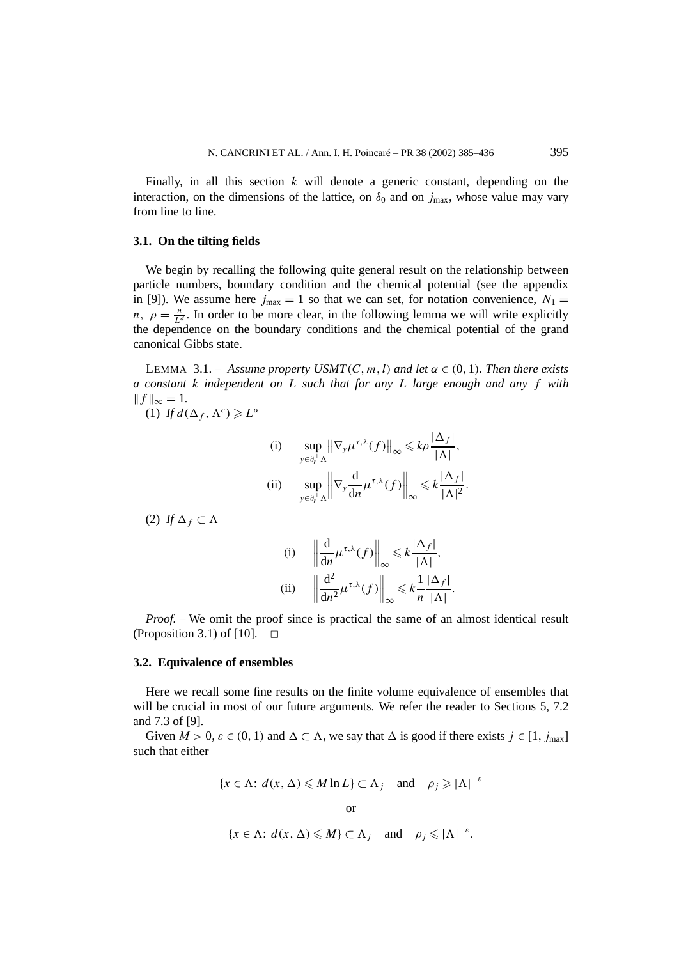Finally, in all this section *k* will denote a generic constant, depending on the interaction, on the dimensions of the lattice, on  $\delta_0$  and on  $j_{\text{max}}$ , whose value may vary from line to line.

#### **3.1. On the tilting fields**

We begin by recalling the following quite general result on the relationship between particle numbers, boundary condition and the chemical potential (see the appendix in [9]). We assume here  $j_{\text{max}} = 1$  so that we can set, for notation convenience,  $N_1 =$ *n*,  $\rho = \frac{n}{L^d}$ . In order to be more clear, in the following lemma we will write explicitly the dependence on the boundary conditions and the chemical potential of the grand canonical Gibbs state.

**LEMMA** 3.1. – *Assume property USMT*(*C, m, l)* and let  $\alpha \in (0, 1)$ *. Then there exists a constant k independent on L such that for any L large enough and any f with*  $|| f ||_{\infty} = 1.$ 

(1) *If*  $d(\Delta_f, \Lambda^c) \geq L^a$ 

(i) 
$$
\sup_{y \in \partial_r^+ \Lambda} \|\nabla_y \mu^{\tau,\lambda}(f)\|_{\infty} \leq k\rho \frac{|\Delta_f|}{|\Lambda|},
$$
  
\n(ii) 
$$
\sup_{y \in \partial_r^+ \Lambda} \|\nabla_y \frac{d}{dn} \mu^{\tau,\lambda}(f)\|_{\infty} \leq k \frac{|\Delta_f|}{|\Lambda|^2}.
$$

(2) *If*  $\Delta$ <sup>*f*</sup> ⊂  $\Lambda$ 

(i) 
$$
\left\| \frac{d}{dn} \mu^{\tau,\lambda}(f) \right\|_{\infty} \le k \frac{|\Delta_f|}{|\Lambda|},
$$
  
\n(ii)  $\left\| \frac{d^2}{dn^2} \mu^{\tau,\lambda}(f) \right\|_{\infty} \le k \frac{1}{n} \frac{|\Delta_f|}{|\Lambda|}.$ 

*Proof.* – We omit the proof since is practical the same of an almost identical result (Proposition 3.1) of [10].  $\Box$ 

#### **3.2. Equivalence of ensembles**

Here we recall some fine results on the finite volume equivalence of ensembles that will be crucial in most of our future arguments. We refer the reader to Sections 5, 7.2 and 7.3 of [9].

Given  $M > 0$ ,  $\varepsilon \in (0, 1)$  and  $\Delta \subset \Lambda$ , we say that  $\Delta$  is good if there exists  $j \in [1, j_{\text{max}}]$ such that either

$$
\{x \in \Lambda : d(x, \Delta) \leq M \ln L\} \subset \Lambda_j \quad \text{and} \quad \rho_j \geq |\Lambda|^{-\varepsilon}
$$

$$
\{x \in \Lambda : d(x, \Delta) \leqslant M\} \subset \Lambda_j \quad \text{and} \quad \rho_j \leqslant |\Lambda|^{-\varepsilon}.
$$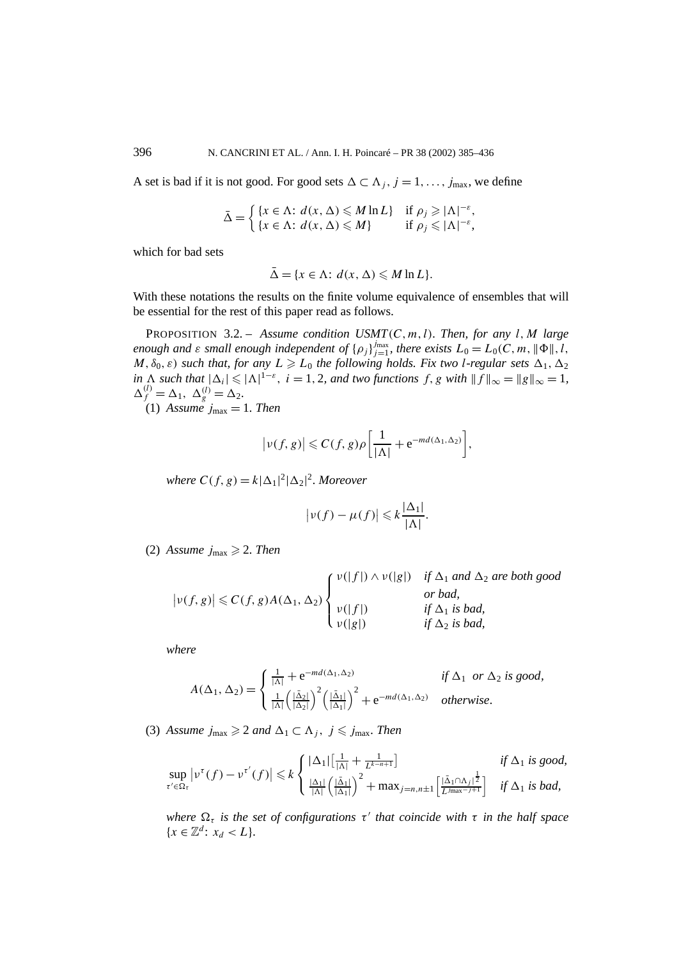A set is bad if it is not good. For good sets  $\Delta$  ⊂  $\Lambda$  *i*, *j* = 1, ..., *j*<sub>max</sub>, we define

$$
\bar{\Delta} = \begin{cases} \{x \in \Lambda : d(x, \Delta) \leq M \ln L\} & \text{if } \rho_j \geq |\Lambda|^{-\varepsilon}, \\ \{x \in \Lambda : d(x, \Delta) \leq M\} & \text{if } \rho_j \leq |\Lambda|^{-\varepsilon}, \end{cases}
$$

which for bad sets

$$
\bar{\Delta} = \{x \in \Lambda : d(x, \Delta) \leq M \ln L\}.
$$

With these notations the results on the finite volume equivalence of ensembles that will be essential for the rest of this paper read as follows.

PROPOSITION 3.2. – *Assume condition USMT(C, m, l). Then, for any l,M large enough and*  $\varepsilon$  *small enough independent of*  $\{\rho_j\}_{j=1}^{j_{\text{max}}}$ *, there exists*  $L_0 = L_0(C, m, \|\Phi\|, l,$  $M$ ,  $\delta_0$ ,  $\varepsilon$ ) *such that, for any*  $L \ge L_0$  *the following holds. Fix two l-regular sets*  $\Delta_1$ ,  $\Delta_2$ *in*  $\Delta$  *such that*  $|\Delta_i| \leq |\Delta|^{1-\epsilon}$ , *i* = 1, 2*, and two functions f, g with*  $||f||_{\infty} = ||g||_{\infty} = 1$ ,  $\Delta_f^{(l)} = \Delta_1, \ \Delta_g^{(l)} = \Delta_2.$ 

(1) Assume  $j_{\text{max}} = 1$ . Then

$$
\big|\nu(f,g)\big|\leqslant C(f,g)\rho\bigg[\frac{1}{|\Lambda|}+e^{-md(\Delta_1,\Delta_2)}\bigg],
$$

*where*  $C(f, g) = k|\Delta_1|^2 |\Delta_2|^2$ *. Moreover* 

$$
\big|\nu(f)-\mu(f)\big|\leqslant k\frac{|\Delta_1|}{|\Lambda|}.
$$

(2) Assume  $j_{\text{max}} \geqslant 2$ . Then

$$
|\nu(f,g)| \leq C(f,g)A(\Delta_1,\Delta_2)\begin{cases} \nu(|f|) \wedge \nu(|g|) & \text{if } \Delta_1 \text{ and } \Delta_2 \text{ are both good} \\ \nu(|f|) & \text{if } \Delta_1 \text{ is bad,} \\ \nu(|g|) & \text{if } \Delta_2 \text{ is bad,} \end{cases}
$$

*where*

$$
A(\Delta_1, \Delta_2) = \begin{cases} \frac{1}{|\Delta|} + e^{-md(\Delta_1, \Delta_2)} & \text{if } \Delta_1 \text{ or } \Delta_2 \text{ is good,} \\ \frac{1}{|\Delta|} \left( \frac{|\Delta_2|}{|\Delta_2|} \right)^2 \left( \frac{|\Delta_1|}{|\Delta_1|} \right)^2 + e^{-md(\Delta_1, \Delta_2)} & \text{otherwise.} \end{cases}
$$

(3) Assume  $j_{\text{max}} \geqslant 2$  and  $\Delta_1 \subset \Lambda_j$ ,  $j \leqslant j_{\text{max}}$ . Then

$$
\sup_{\tau' \in \Omega_{\tau}} \left| \nu^{\tau}(f) - \nu^{\tau'}(f) \right| \leq k \begin{cases} |\Delta_1| \left[ \frac{1}{|\Lambda|} + \frac{1}{L^{k-n+1}} \right] & \text{if } \Delta_1 \text{ is good,} \\ \frac{|\Delta_1|}{|\Lambda|} \left( \frac{|\bar{\Delta}_1|}{|\Delta_1|} \right)^2 + \max_{j=n, n \pm 1} \left[ \frac{|\bar{\Delta}_1 \cap \Lambda_j|^{\frac{1}{2}}}{L^{j} \max_{j \pm 1}} \right] & \text{if } \Delta_1 \text{ is bad,} \end{cases}
$$

*where*  $\Omega_{\tau}$  *is the set of configurations*  $\tau'$  *that coincide with*  $\tau$  *in the half space*  ${x \in \mathbb{Z}^d: x_d < L}.$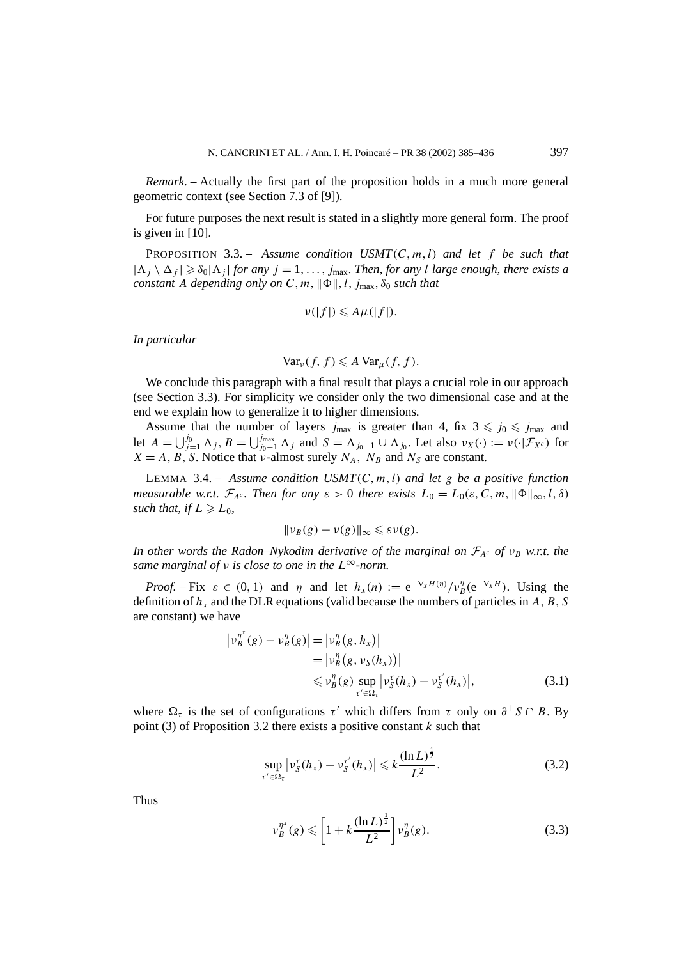*Remark*. – Actually the first part of the proposition holds in a much more general geometric context (see Section 7.3 of [9]).

For future purposes the next result is stated in a slightly more general form. The proof is given in [10].

PROPOSITION 3.3. – *Assume condition USMT(C, m, l) and let f be such that*  $|\Lambda_j \setminus \Delta_f| \geq \delta_0 |\Lambda_j|$  *for any*  $j = 1, \ldots, j_{\text{max}}$ *. Then, for any l large enough, there exists a constant A depending only on C*, *m*,  $\|\Phi\|$ , *l*,  $j_{\text{max}}$ ,  $\delta_0$  *such that* 

$$
\nu(|f|) \leq A\mu(|f|).
$$

*In particular*

$$
\text{Var}_{\nu}(f, f) \leq A \text{Var}_{\mu}(f, f).
$$

We conclude this paragraph with a final result that plays a crucial role in our approach (see Section 3.3). For simplicity we consider only the two dimensional case and at the end we explain how to generalize it to higher dimensions.

Assume that the number of layers  $j_{\text{max}}$  is greater than 4, fix  $3 \leq j_0 \leq j_{\text{max}}$  and let  $A = \bigcup_{j=1}^{j_0} \Lambda_j$ ,  $B = \bigcup_{j_0-1}^{j_{\text{max}}} \Lambda_j$  and  $S = \Lambda_{j_0-1} \cup \Lambda_{j_0}$ . Let also  $v_X(\cdot) := v(\cdot | \mathcal{F}_{X^c})$  for  $X = A, B, S$ . Notice that *v*-almost surely  $N_A$ ,  $N_B$  and  $N_S$  are constant.

LEMMA 3.4. – *Assume condition USMT(C, m, l) and let g be a positive function measurable w.r.t.*  $\mathcal{F}_{A^c}$ . Then for any  $\varepsilon > 0$  there exists  $L_0 = L_0(\varepsilon, C, m, \|\Phi\|_{\infty}, l, \delta)$ such that, if  $L \geqslant L_0$ ,

$$
\|\nu_B(g)-\nu(g)\|_\infty\leqslant \varepsilon\nu(g).
$$

*In other words the Radon–Nykodim derivative of the marginal on*  $\mathcal{F}_{A^c}$  *of*  $v_B$  *w.r.t. the same marginal of ν is close to one in the L*<sup>∞</sup>*-norm.*

*Proof.* – Fix  $\varepsilon \in (0, 1)$  and  $\eta$  and let  $h_x(n) := e^{-\nabla_x H(\eta)} / v_B^n(e^{-\nabla_x H})$ . Using the definition of  $h_x$  and the DLR equations (valid because the numbers of particles in  $A, B, S$ are constant) we have

$$
\begin{aligned} \left| \nu_B^{\eta^x}(g) - \nu_B^{\eta}(g) \right| &= \left| \nu_B^{\eta}(g, h_x) \right| \\ &= \left| \nu_B^{\eta}(g, \nu_S(h_x)) \right| \\ &\leqslant \nu_B^{\eta}(g) \sup_{\tau' \in \Omega_{\tau}} \left| \nu_S^{\tau}(h_x) - \nu_S^{\tau'}(h_x) \right|, \end{aligned} \tag{3.1}
$$

where  $\Omega_{\tau}$  is the set of configurations  $\tau'$  which differs from  $\tau$  only on  $\partial^{+}S \cap B$ . By point (3) of Proposition 3.2 there exists a positive constant *k* such that

$$
\sup_{\tau' \in \Omega_{\tau}} \left| \nu_S^{\tau}(h_x) - \nu_S^{\tau'}(h_x) \right| \leqslant k \frac{(\ln L)^{\frac{1}{2}}}{L^2}.
$$
\n(3.2)

Thus

$$
\nu_B^{\eta^x}(g) \leqslant \left[1 + k \frac{(\ln L)^{\frac{1}{2}}}{L^2}\right] \nu_B^{\eta}(g). \tag{3.3}
$$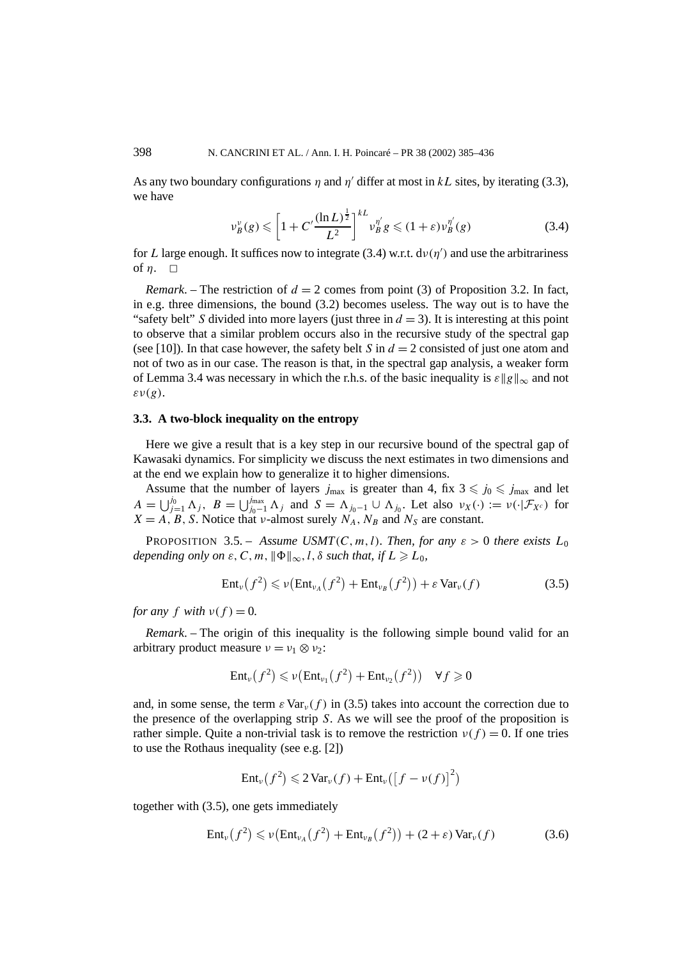As any two boundary configurations  $\eta$  and  $\eta'$  differ at most in  $kL$  sites, by iterating (3.3), we have

$$
\nu_B^{\nu}(g) \leqslant \left[1 + C' \frac{(\ln L)^{\frac{1}{2}}}{L^2}\right]^{kL} \nu_B^{\eta'} g \leqslant (1 + \varepsilon) \nu_B^{\eta'}(g) \tag{3.4}
$$

for *L* large enough. It suffices now to integrate (3.4) w.r.t.  $d\nu(\eta')$  and use the arbitrariness of  $n. \square$ 

*Remark.* – The restriction of  $d = 2$  comes from point (3) of Proposition 3.2. In fact, in e.g. three dimensions, the bound (3.2) becomes useless. The way out is to have the "safety belt" *S* divided into more layers (just three in  $d = 3$ ). It is interesting at this point to observe that a similar problem occurs also in the recursive study of the spectral gap (see [10]). In that case however, the safety belt *S* in  $d = 2$  consisted of just one atom and not of two as in our case. The reason is that, in the spectral gap analysis, a weaker form of Lemma 3.4 was necessary in which the r.h.s. of the basic inequality is  $\varepsilon$  || $g$ || $\infty$  and not *εν(g)*.

### **3.3. A two-block inequality on the entropy**

Here we give a result that is a key step in our recursive bound of the spectral gap of Kawasaki dynamics. For simplicity we discuss the next estimates in two dimensions and at the end we explain how to generalize it to higher dimensions.

Assume that the number of layers  $j_{\text{max}}$  is greater than 4, fix  $3 \leq j_0 \leq j_{\text{max}}$  and let  $A = \bigcup_{j=1}^{j_0} \Lambda_j$ ,  $B = \bigcup_{j_0-1}^{j_{\text{max}}} \Lambda_j$  and  $S = \Lambda_{j_0-1} \cup \Lambda_{j_0}$ . Let also  $v_X(\cdot) := v(\cdot | \mathcal{F}_{X^c})$  for  $X = A, B, S$ . Notice that *ν*-almost surely  $N_A, N_B$  and  $N_S$  are constant.

**PROPOSITION** 3.5. – *Assume USMT*(*C*, *m*, *l*)*. Then, for any*  $\varepsilon > 0$  *there exists*  $L_0$ *depending only on*  $\varepsilon$ ,  $C$ ,  $m$ ,  $\|\Phi\|_{\infty}$ ,  $l$ ,  $\delta$  *such that, if*  $L \geq L_0$ ,

$$
Ent_{\nu}(f^2) \leqslant \nu\left( Ent_{\nu_A}(f^2) + Ent_{\nu_B}(f^2) \right) + \varepsilon Var_{\nu}(f) \tag{3.5}
$$

*for any f with*  $v(f) = 0$ *.* 

*Remark*. – The origin of this inequality is the following simple bound valid for an arbitrary product measure  $v = v_1 \otimes v_2$ :

$$
\mathrm{Ent}_{\nu}(f^2) \leqslant \nu(\mathrm{Ent}_{\nu_1}(f^2) + \mathrm{Ent}_{\nu_2}(f^2)) \quad \forall f \geqslant 0
$$

and, in some sense, the term  $\epsilon \text{Var}_v(f)$  in (3.5) takes into account the correction due to the presence of the overlapping strip *S*. As we will see the proof of the proposition is rather simple. Quite a non-trivial task is to remove the restriction  $v(f) = 0$ . If one tries to use the Rothaus inequality (see e.g. [2])

$$
Ent_{\nu}(f^{2}) \leq 2 \operatorname{Var}_{\nu}(f) + Ent_{\nu}([f - \nu(f)]^{2})
$$

together with (3.5), one gets immediately

$$
Ent_{\nu}(f^2) \leqslant \nu(Ent_{\nu_A}(f^2) + Ent_{\nu_B}(f^2)) + (2 + \varepsilon) Var_{\nu}(f)
$$
\n(3.6)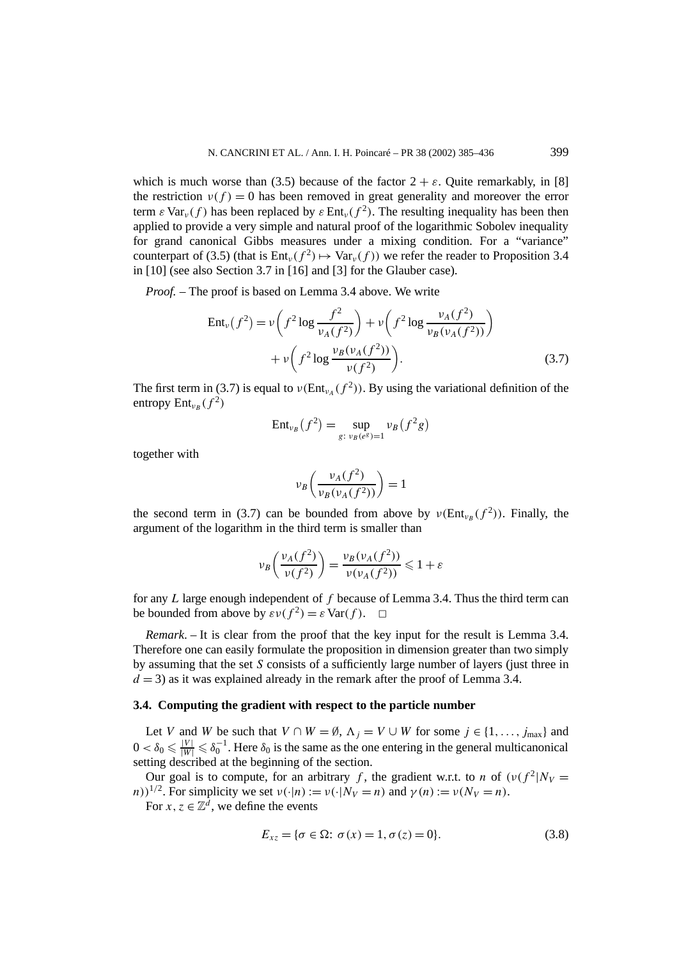which is much worse than (3.5) because of the factor  $2 + \varepsilon$ . Quite remarkably, in [8] the restriction  $v(f) = 0$  has been removed in great generality and moreover the error term  $\epsilon$  Var<sub>*v*</sub>(f) has been replaced by  $\epsilon$  Ent<sub>*v*</sub>( $f^2$ ). The resulting inequality has been then applied to provide a very simple and natural proof of the logarithmic Sobolev inequality for grand canonical Gibbs measures under a mixing condition. For a "variance" counterpart of (3.5) (that is  $Ent_v(f^2) \mapsto \text{Var}_v(f)$ ) we refer the reader to Proposition 3.4 in [10] (see also Section 3.7 in [16] and [3] for the Glauber case).

*Proof. –* The proof is based on Lemma 3.4 above. We write

$$
\text{Ent}_{\nu}(f^{2}) = \nu \left( f^{2} \log \frac{f^{2}}{\nu_{A}(f^{2})} \right) + \nu \left( f^{2} \log \frac{\nu_{A}(f^{2})}{\nu_{B}(\nu_{A}(f^{2}))} \right) + \nu \left( f^{2} \log \frac{\nu_{B}(\nu_{A}(f^{2}))}{\nu(f^{2})} \right). \tag{3.7}
$$

The first term in (3.7) is equal to  $\nu(\text{Ent}_{\nu_A}(f^2))$ . By using the variational definition of the entropy  $Ent_{v_p}(f^2)$ 

$$
Ent_{\nu_B}(f^2) = \sup_{g: \ \nu_B(e^g) = 1} \nu_B(f^2g)
$$

together with

$$
\nu_B\left(\frac{\nu_A(f^2)}{\nu_B(\nu_A(f^2))}\right) = 1
$$

the second term in (3.7) can be bounded from above by  $\nu(\text{Ent}_{\nu_B}(f^2))$ . Finally, the argument of the logarithm in the third term is smaller than

$$
\nu_B\left(\frac{\nu_A(f^2)}{\nu(f^2)}\right) = \frac{\nu_B(\nu_A(f^2))}{\nu(\nu_A(f^2))} \leq 1 + \varepsilon
$$

for any *L* large enough independent of *f* because of Lemma 3.4. Thus the third term can be bounded from above by  $\varepsilon v(f^2) = \varepsilon \text{Var}(f)$ .  $\Box$ 

*Remark*. – It is clear from the proof that the key input for the result is Lemma 3.4. Therefore one can easily formulate the proposition in dimension greater than two simply by assuming that the set *S* consists of a sufficiently large number of layers (just three in  $d = 3$ ) as it was explained already in the remark after the proof of Lemma 3.4.

#### **3.4. Computing the gradient with respect to the particle number**

Let *V* and *W* be such that  $V \cap W = \emptyset$ ,  $\Lambda_i = V \cup W$  for some  $j \in \{1, ..., j_{\text{max}}\}$  and  $0 < \delta_0 \leq \frac{|V|}{|W|} \leq \delta_0^{-1}$ . Here  $\delta_0$  is the same as the one entering in the general multicanonical setting described at the beginning of the section.

Our goal is to compute, for an arbitrary *f*, the gradient w.r.t. to *n* of  $(v(f^2|N_V =$ *n*))<sup>1/2</sup>. For simplicity we set  $v(\cdot|n) := v(\cdot|N_V = n)$  and  $\gamma(n) := v(N_V = n)$ .

For  $x, z \in \mathbb{Z}^d$ , we define the events

$$
E_{xz} = \{ \sigma \in \Omega : \sigma(x) = 1, \sigma(z) = 0 \}.
$$
\n(3.8)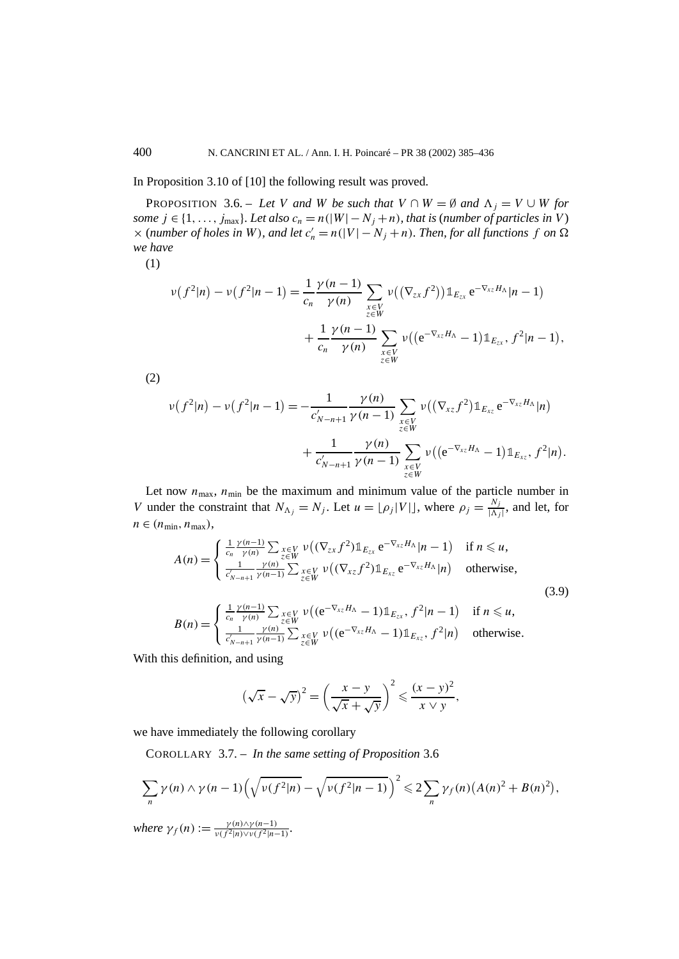In Proposition 3.10 of [10] the following result was proved.

PROPOSITION 3.6. – Let *V* and *W* be such that  $V \cap W = \emptyset$  and  $\Lambda_i = V \cup W$  for *some*  $j \in \{1, \ldots, j_{\text{max}}\}$ *. Let also*  $c_n = n(|W| - N_j + n)$ *, that is (number of particles in V)*  $\times$  (*number of holes in W*), and let  $c'_n = n(|V| - N_j + n)$ . Then, for all functions f on  $\Omega$ *we have*

(1)

$$
\nu(f^{2}|n) - \nu(f^{2}|n-1) = \frac{1}{c_{n}} \frac{\gamma(n-1)}{\gamma(n)} \sum_{\substack{x \in V \\ z \in W}} \nu((\nabla_{zx} f^{2})) \mathbb{1}_{E_{zx}} e^{-\nabla_{xz} H_{\Lambda}} |n-1) + \frac{1}{c_{n}} \frac{\gamma(n-1)}{\gamma(n)} \sum_{\substack{x \in V \\ z \in W}} \nu((e^{-\nabla_{xz} H_{\Lambda}} - 1) \mathbb{1}_{E_{zx}}, f^{2}|n-1),
$$

(2)

$$
\nu(f^{2}|n) - \nu(f^{2}|n-1) = -\frac{1}{c'_{N-n+1}} \frac{\gamma(n)}{\gamma(n-1)} \sum_{\substack{x \in V \\ z \in W}} \nu((\nabla_{xz} f^{2}) \mathbb{1}_{E_{xz}} e^{-\nabla_{xz} H_{\Lambda}} |n) + \frac{1}{c'_{N-n+1}} \frac{\gamma(n)}{\gamma(n-1)} \sum_{\substack{x \in V \\ z \in W}} \nu((e^{-\nabla_{xz} H_{\Lambda}} - 1) \mathbb{1}_{E_{xz}}, f^{2}|n).
$$

Let now  $n_{\text{max}}$ ,  $n_{\text{min}}$  be the maximum and minimum value of the particle number in *V* under the constraint that  $N_{\Lambda_j} = N_j$ . Let  $u = \lfloor \rho_j |V| \rfloor$ , where  $\rho_j = \frac{N_j}{|\Lambda_j|}$ , and let, for  $n \in (n_{\min}, n_{\max}),$ 

$$
A(n) = \begin{cases} \frac{1}{c_n} \frac{\gamma(n-1)}{\gamma(n)} \sum_{\substack{x \in V \\ z \in W}} \nu((\nabla_{zx} f^2) \mathbb{1}_{E_{zx}} e^{-\nabla_{xz} H_{\Lambda}} |n-1) & \text{if } n \leq u, \\ \frac{1}{c'_{N-n+1}} \frac{\gamma(n)}{\gamma(n-1)} \sum_{z \in W} \nu((\nabla_{xz} f^2) \mathbb{1}_{E_{xz}} e^{-\nabla_{xz} H_{\Lambda}} |n) & \text{otherwise,} \end{cases}
$$
(3.9)

$$
B(n) = \begin{cases} \frac{1}{c_n} \frac{\gamma(n-1)}{\gamma(n)} \sum_{z \in W} \nu\big( (\mathrm{e}^{-\nabla_{xz}H_{\Lambda}} - 1) \mathbb{1}_{E_{zx}}, f^2 | n - 1 \big) & \text{if } n \leq u, \\ \frac{1}{c'_{N-n+1}} \frac{\gamma(n)}{\gamma(n-1)} \sum_{z \in W} \nu\big( (\mathrm{e}^{-\nabla_{xz}H_{\Lambda}} - 1) \mathbb{1}_{E_{xz}}, f^2 | n \big) & \text{otherwise.} \end{cases}
$$

With this definition, and using

$$
\left(\sqrt{x} - \sqrt{y}\right)^2 = \left(\frac{x - y}{\sqrt{x} + \sqrt{y}}\right)^2 \leqslant \frac{(x - y)^2}{x \vee y},
$$

we have immediately the following corollary

COROLLARY 3.7. – *In the same setting of Proposition* 3.6

$$
\sum_{n} \gamma(n) \wedge \gamma(n-1) \left( \sqrt{\nu(f^2|n)} - \sqrt{\nu(f^2|n-1)} \right)^2 \leq 2 \sum_{n} \gamma_f(n) \left( A(n)^2 + B(n)^2 \right),
$$
  
where  $\gamma_f(n) := \frac{\gamma(n) \gamma(n-1)}{n}$ 

 $where \gamma_f(n) := \frac{\gamma(n) \wedge \gamma(n-1)}{\nu(f^2|n) \vee \nu(f^2|n-1)}$ .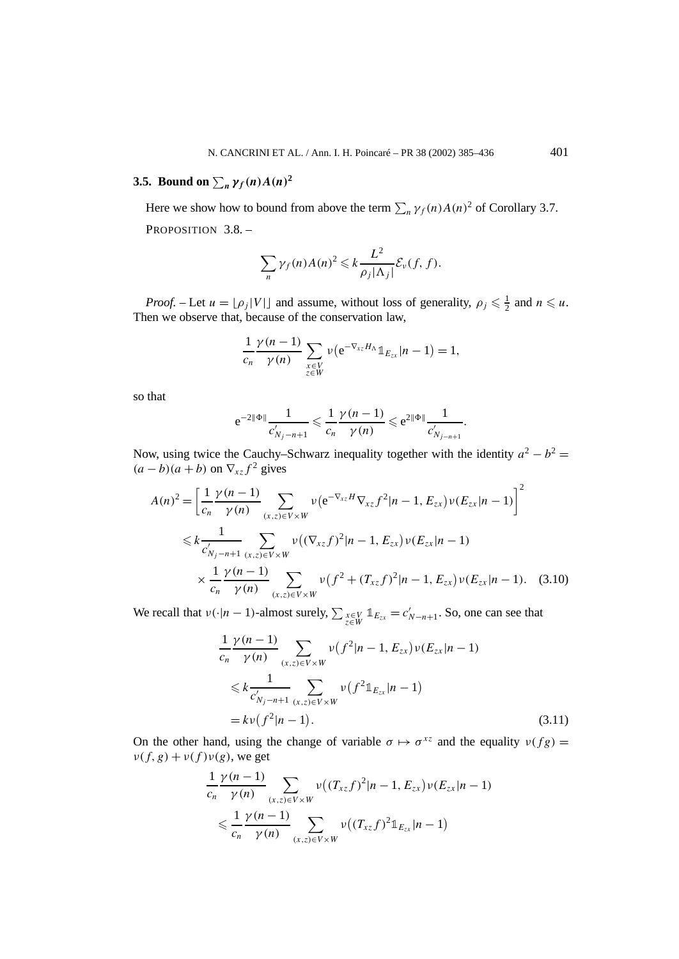# **3.5.** Bound on  $\sum_{n} \gamma_f(n) A(n)^2$

Here we show how to bound from above the term  $\sum_{n} \gamma_f(n) A(n)^2$  of Corollary 3.7. PROPOSITION 3.8. -

$$
\sum_{n} \gamma_f(n) A(n)^2 \leqslant k \frac{L^2}{\rho_j |\Lambda_j|} \mathcal{E}_{\nu}(f, f).
$$

*Proof.* – Let  $u = \lfloor \rho_j |V| \rfloor$  and assume, without loss of generality,  $\rho_j \leq \frac{1}{2}$  and  $n \leq u$ . Then we observe that, because of the conservation law,

$$
\frac{1}{c_n} \frac{\gamma(n-1)}{\gamma(n)} \sum_{\substack{x \in V \\ z \in W}} v(e^{-\nabla_{xz} H_{\Lambda}} 1 \mathbb{1}_{E_{zx}} | n-1) = 1,
$$

so that

$$
e^{-2\|\Phi\|}\frac{1}{c'_{N_j-n+1}} \leqslant \frac{1}{c_n}\frac{\gamma(n-1)}{\gamma(n)} \leqslant e^{2\|\Phi\|}\frac{1}{c'_{N_{j-n+1}}}
$$

*.*

Now, using twice the Cauchy–Schwarz inequality together with the identity  $a^2 - b^2 =$  $(a - b)(a + b)$  on  $\nabla_{xz} f^2$  gives

$$
A(n)^{2} = \left[\frac{1}{c_{n}} \frac{\gamma(n-1)}{\gamma(n)} \sum_{(x,z) \in V \times W} \nu(e^{-\nabla_{xz}H} \nabla_{xz} f^{2}|n-1, E_{zx}) \nu(E_{zx}|n-1)\right]^{2}
$$
  

$$
\leq k \frac{1}{c'_{N_{j}-n+1}} \sum_{(x,z) \in V \times W} \nu((\nabla_{xz}f)^{2}|n-1, E_{zx}) \nu(E_{zx}|n-1)
$$
  

$$
\times \frac{1}{c_{n}} \frac{\gamma(n-1)}{\gamma(n)} \sum_{(x,z) \in V \times W} \nu(f^{2} + (T_{xz}f)^{2}|n-1, E_{zx}) \nu(E_{zx}|n-1). \quad (3.10)
$$

We recall that  $v(\cdot|n-1)$ -almost surely,  $\sum_{z \in W} \mathbb{1}_{E_{zx}} = c'_{N-n+1}$ . So, one can see that

$$
\frac{1}{c_n} \frac{\gamma(n-1)}{\gamma(n)} \sum_{(x,z)\in V\times W} \nu(f^2|n-1, E_{zx})\nu(E_{zx}|n-1) \n\leq k \frac{1}{c'_{N_j-n+1}} \sum_{(x,z)\in V\times W} \nu(f^2 1\!\!1_{E_{zx}}|n-1) \n= k\nu(f^2|n-1).
$$
\n(3.11)

On the other hand, using the change of variable  $\sigma \mapsto \sigma^{xz}$  and the equality  $v(fg) =$  $\nu(f, g) + \nu(f)\nu(g)$ , we get

$$
\frac{1}{c_n} \frac{\gamma(n-1)}{\gamma(n)} \sum_{(x,z)\in V\times W} \nu((T_{xz}f)^2|n-1, E_{zx})\nu(E_{zx}|n-1) \n\leq \frac{1}{c_n} \frac{\gamma(n-1)}{\gamma(n)} \sum_{(x,z)\in V\times W} \nu((T_{xz}f)^2 \mathbb{1}_{E_{zx}}|n-1)
$$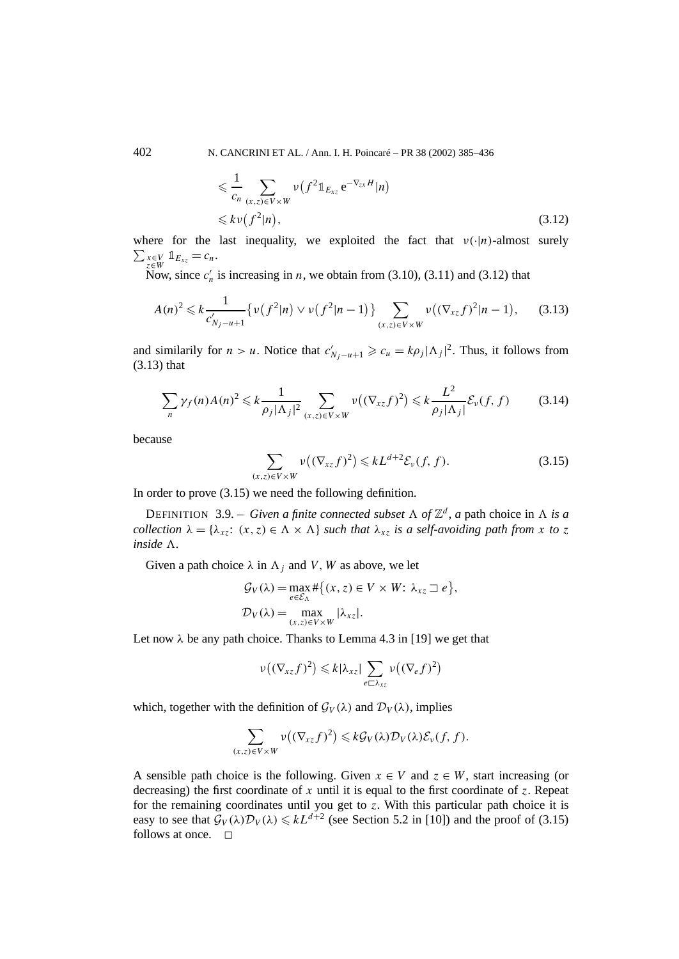402 N. CANCRINI ET AL. / Ann. I. H. Poincaré – PR 38 (2002) 385–436

$$
\leq \frac{1}{c_n} \sum_{(x,z)\in V\times W} \nu(f^2 \mathbb{1}_{E_{xz}} e^{-\nabla_{zx} H} |n)
$$
  

$$
\leq k \nu(f^2 |n),
$$
 (3.12)

where for the last inequality, we exploited the fact that  $v(\cdot|\eta)$ -almost surely  $\sum_{z \in W} x_{\infty}^2 V \mathbb{1}_{E_{xz}} = c_n.$ 

Now, since  $c'_n$  is increasing in *n*, we obtain from (3.10), (3.11) and (3.12) that

$$
A(n)^{2} \leq k \frac{1}{c'_{N_{j}-u+1}} \{ \nu(f^{2}|n) \vee \nu(f^{2}|n-1) \} \sum_{(x,z) \in V \times W} \nu((\nabla_{xz}f)^{2}|n-1), \quad (3.13)
$$

and similarily for *n* > *u*. Notice that  $c'_{N_j-u+1} \geq c_u = k\rho_j |\Lambda_j|^2$ . Thus, it follows from (3.13) that

$$
\sum_{n} \gamma_f(n) A(n)^2 \leq k \frac{1}{\rho_j |\Lambda_j|^2} \sum_{(x,z) \in V \times W} \nu\big( (\nabla_{xz} f)^2 \big) \leq k \frac{L^2}{\rho_j |\Lambda_j|} \mathcal{E}_{\nu}(f, f) \tag{3.14}
$$

because

$$
\sum_{(x,z)\in V\times W} \nu\big((\nabla_{xz}f)^2\big) \leqslant kL^{d+2}\mathcal{E}_{\nu}(f,f). \tag{3.15}
$$

In order to prove (3.15) we need the following definition.

DEFINITION 3.9. – *Given a finite connected subset*  $\Lambda$  *of*  $\mathbb{Z}^d$ *, a* path choice in  $\Lambda$  *is a collection*  $\lambda = {\lambda_{xz}}$ :  $(x, z) \in \Lambda \times \Lambda$  *such that*  $\lambda_{xz}$  *is a self-avoiding path from x to z inside*  $\Lambda$ .

Given a path choice  $\lambda$  in  $\Lambda_i$  and *V*, *W* as above, we let

$$
\mathcal{G}_V(\lambda) = \max_{e \in \mathcal{E}_\Lambda} \# \{ (x, z) \in V \times W : \lambda_{xz} \sqsupset e \},
$$
  

$$
\mathcal{D}_V(\lambda) = \max_{(x, z) \in V \times W} |\lambda_{xz}|.
$$

Let now  $\lambda$  be any path choice. Thanks to Lemma 4.3 in [19] we get that

$$
\nu((\nabla_{xz}f)^2) \leq k|\lambda_{xz}| \sum_{e \sqsubset \lambda_{xz}} \nu((\nabla_e f)^2)
$$

which, together with the definition of  $\mathcal{G}_V(\lambda)$  and  $\mathcal{D}_V(\lambda)$ , implies

$$
\sum_{(x,z)\in V\times W}\nu((\nabla_{xz}f)^2)\leq k\mathcal{G}_V(\lambda)\mathcal{D}_V(\lambda)\mathcal{E}_\nu(f,f).
$$

A sensible path choice is the following. Given  $x \in V$  and  $z \in W$ , start increasing (or decreasing) the first coordinate of *x* until it is equal to the first coordinate of *z*. Repeat for the remaining coordinates until you get to *z*. With this particular path choice it is easy to see that  $\mathcal{G}_V(\lambda)\mathcal{D}_V(\lambda) \leq kL^{d+2}$  (see Section 5.2 in [10]) and the proof of (3.15) follows at once.  $\Box$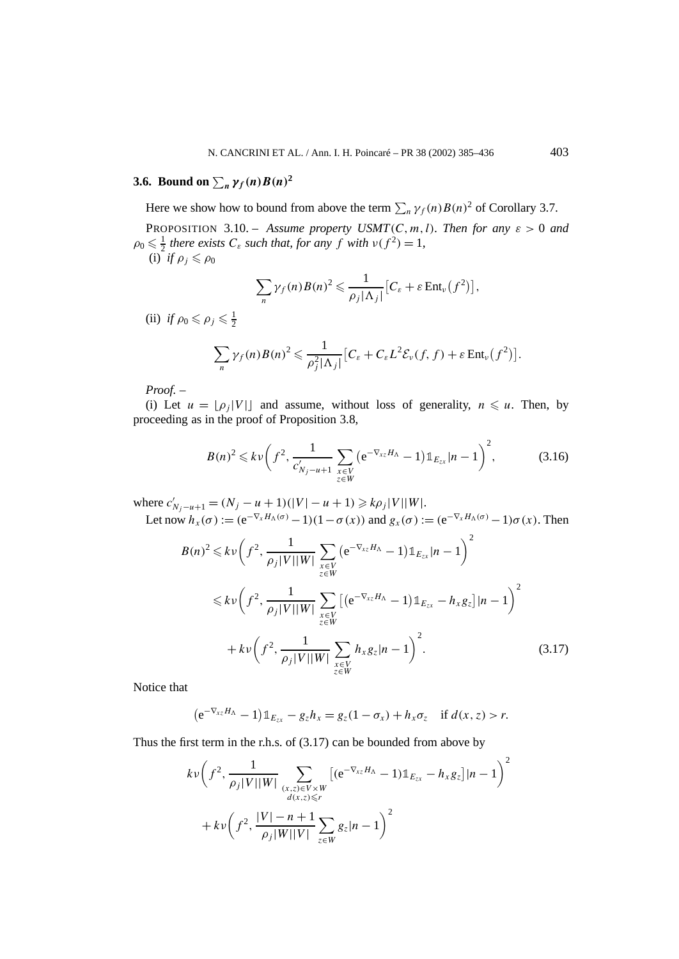# **3.6.** Bound on  $\sum_{n} \gamma_f(n) B(n)^2$

Here we show how to bound from above the term  $\sum_{n} \gamma_f(n) B(n)^2$  of Corollary 3.7.

PROPOSITION 3.10. – *Assume property USMT*(*C, m, l). Then for any*  $\varepsilon > 0$  *and*  $\rho_0 \leq \frac{1}{2}$  *there exists*  $C_{\varepsilon}$  *such that, for any*  $f$  *with*  $v(f^2) = 1$ *,* (i) *if*  $\rho_i \leqslant \rho_0$ 

$$
\sum_{n} \gamma_f(n) B(n)^2 \leq \frac{1}{\rho_j |\Lambda_j|} \big[ C_{\varepsilon} + \varepsilon \operatorname{Ent}_{\nu}(f^2) \big],
$$

(ii) *if*  $\rho_0 \leq \rho_j \leq \frac{1}{2}$ 

$$
\sum_{n} \gamma_f(n) B(n)^2 \leq \frac{1}{\rho_j^2 |\Lambda_j|} \big[ C_{\varepsilon} + C_{\varepsilon} L^2 \mathcal{E}_{\nu}(f, f) + \varepsilon \operatorname{Ent}_{\nu}(f^2) \big].
$$

*Proof. –*

(i) Let  $u = \lfloor \rho_i |V| \rfloor$  and assume, without loss of generality,  $n \leq u$ . Then, by proceeding as in the proof of Proposition 3.8,

$$
B(n)^2 \leq k \nu \left(f^2, \frac{1}{c_{N_j - u + 1}'} \sum_{\substack{x \in V \\ z \in W}} \left(e^{-\nabla_{xz} H_\Lambda} - 1\right) \mathbb{1}_{E_{zx}} |n - 1\right)^2, \tag{3.16}
$$

where  $c'_{N_j-u+1} = (N_j - u + 1)(|V| - u + 1) \ge k\rho_j |V||W|$ .

Let now  $h_x(\sigma) := (e^{-\nabla_x H_\Lambda(\sigma)} - 1)(1 - \sigma(x))$  and  $g_x(\sigma) := (e^{-\nabla_x H_\Lambda(\sigma)} - 1)\sigma(x)$ . Then

$$
B(n)^{2} \leq k \nu \left(f^{2}, \frac{1}{\rho_{j}|V||W|} \sum_{\substack{x \in V \\ z \in W}} \left(e^{-\nabla_{xz} H_{\Lambda}} - 1\right) \mathbb{1}_{E_{zx}} |n-1\right)^{2}
$$
  

$$
\leq k \nu \left(f^{2}, \frac{1}{\rho_{j}|V||W|} \sum_{\substack{x \in V \\ z \in W}} \left[\left(e^{-\nabla_{xz} H_{\Lambda}} - 1\right) \mathbb{1}_{E_{zx}} - h_{x} g_{z}\right] |n-1\right)^{2}
$$
  

$$
+ k \nu \left(f^{2}, \frac{1}{\rho_{j}|V||W|} \sum_{\substack{x \in V \\ z \in W}} h_{x} g_{z} |n-1\right)^{2}.
$$
 (3.17)

Notice that

$$
(e^{-\nabla_{xz}H_\Lambda}-1)\mathbb{1}_{E_{zx}}-g_zh_x=g_z(1-\sigma_x)+h_x\sigma_z \quad \text{if } d(x,z)>r.
$$

Thus the first term in the r.h.s. of (3.17) can be bounded from above by

$$
kv\left(f^{2}, \frac{1}{\rho_{j}|V||W|} \sum_{\substack{(x,z)\in V\times W\\d(x,z)\leq r}} \left[ (e^{-\nabla_{xz}H_{\Lambda}} - 1) \mathbb{1}_{E_{zx}} - h_{x}g_{z} \right] |n-1 \right)^{2}
$$
  
+ 
$$
kv\left(f^{2}, \frac{|V| - n + 1}{\rho_{j}|W||V|} \sum_{z\in W} g_{z} |n-1 \right)^{2}
$$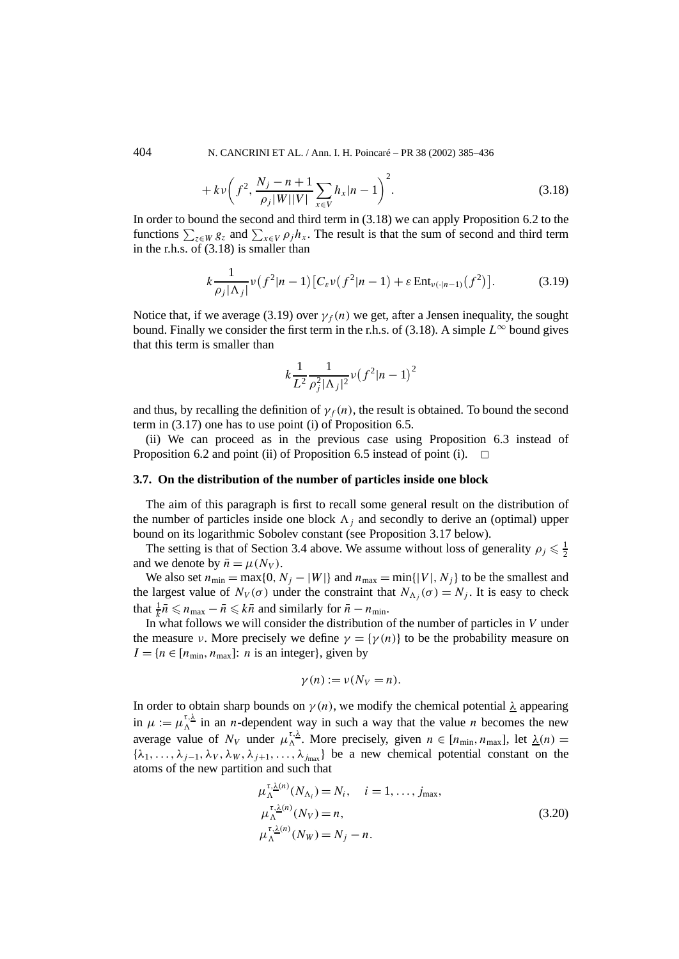404 N. CANCRINI ET AL. / Ann. I. H. Poincaré – PR 38 (2002) 385–436

$$
+ k v \left(f^2, \frac{N_j - n + 1}{\rho_j |W||V|} \sum_{x \in V} h_x |n - 1 \right)^2.
$$
 (3.18)

In order to bound the second and third term in (3.18) we can apply Proposition 6.2 to the functions  $\sum_{z \in W} g_z$  and  $\sum_{x \in V} \rho_j h_x$ . The result is that the sum of second and third term in the r.h.s. of (3.18) is smaller than

$$
k\frac{1}{\rho_j|\Lambda_j|}\nu(f^2|n-1)\big[C_\varepsilon\nu(f^2|n-1)+\varepsilon\operatorname{Ent}_{\nu(\cdot|n-1)}(f^2)\big].\tag{3.19}
$$

Notice that, if we average (3.19) over  $\gamma_f(n)$  we get, after a Jensen inequality, the sought bound. Finally we consider the first term in the r.h.s. of (3.18). A simple  $L^{\infty}$  bound gives that this term is smaller than

$$
k\frac{1}{L^2}\frac{1}{\rho_j^2|\Lambda_j|^2}\nu(f^2|n-1)^2
$$

and thus, by recalling the definition of  $\gamma_f(n)$ , the result is obtained. To bound the second term in (3.17) one has to use point (i) of Proposition 6.5.

(ii) We can proceed as in the previous case using Proposition 6.3 instead of Proposition 6.2 and point (ii) of Proposition 6.5 instead of point (i).  $\Box$ 

#### **3.7. On the distribution of the number of particles inside one block**

The aim of this paragraph is first to recall some general result on the distribution of the number of particles inside one block  $\Lambda_i$  and secondly to derive an (optimal) upper bound on its logarithmic Sobolev constant (see Proposition 3.17 below).

The setting is that of Section 3.4 above. We assume without loss of generality  $\rho_j \leq \frac{1}{2}$ and we denote by  $\bar{n} = \mu(N_V)$ .

We also set  $n_{\min} = \max\{0, N_j - |W|\}$  and  $n_{\max} = \min\{|V|, N_j\}$  to be the smallest and the largest value of  $N_V(\sigma)$  under the constraint that  $N_{\Lambda_i}(\sigma) = N_j$ . It is easy to check that  $\frac{1}{k}\bar{n} \leq n_{\text{max}} - \bar{n} \leq k\bar{n}$  and similarly for  $\bar{n} - n_{\text{min}}$ .

In what follows we will consider the distribution of the number of particles in *V* under the measure *ν*. More precisely we define  $\gamma = {\gamma(n)}$  to be the probability measure on  $I = \{n \in [n_{\min}, n_{\max}]: n \text{ is an integer}\},\$ given by

$$
\gamma(n) := \nu(N_V = n).
$$

In order to obtain sharp bounds on  $\gamma(n)$ , we modify the chemical potential  $\lambda$  appearing in  $\mu := \mu_{\Lambda}^{\tau, \lambda}$  in an *n*-dependent way in such a way that the value *n* becomes the new average value of  $N_V$  under  $\mu_{\Lambda}^{\tau, \lambda}$ . More precisely, given  $n \in [n_{\min}, n_{\max}]$ , let  $\lambda(n) =$  ${\lambda_1, \ldots, \lambda_{j-1}, \lambda_V, \lambda_W, \lambda_{j+1}, \ldots, \lambda_{j_{\text{max}}}}$  be a new chemical potential constant on the atoms of the new partition and such that

$$
\mu_{\Lambda}^{\tau, \underline{\lambda}(n)}(N_{\Lambda_i}) = N_i, \quad i = 1, \dots, j_{\text{max}},
$$
  

$$
\mu_{\Lambda}^{\tau, \underline{\lambda}(n)}(N_V) = n,
$$
  

$$
\mu_{\Lambda}^{\tau, \underline{\lambda}(n)}(N_W) = N_j - n.
$$
 (3.20)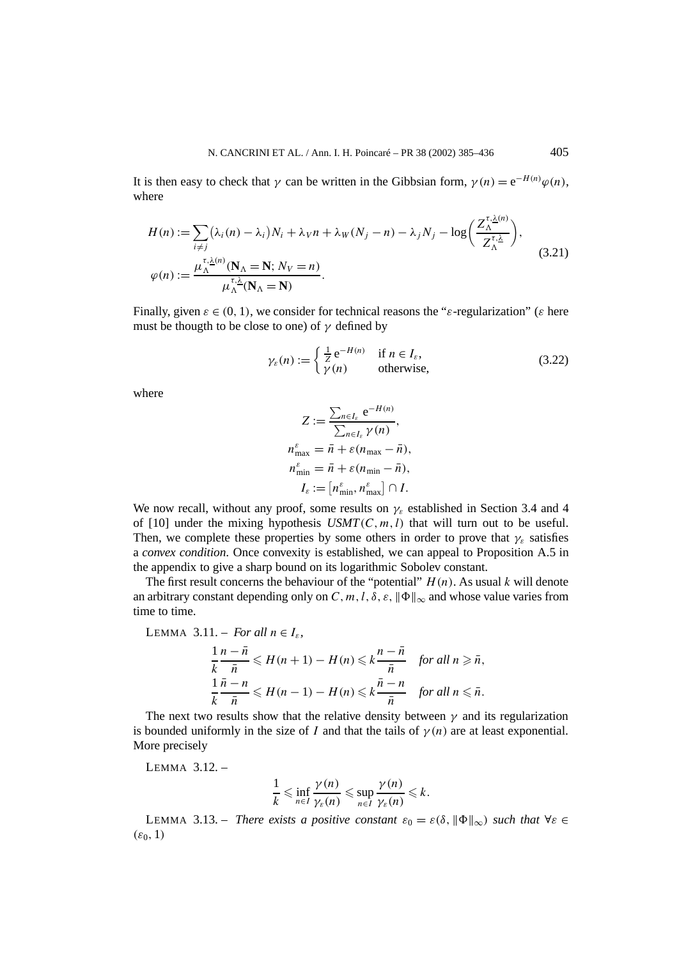It is then easy to check that *γ* can be written in the Gibbsian form,  $\gamma(n) = e^{-H(n)}\varphi(n)$ , where

$$
H(n) := \sum_{i \neq j} (\lambda_i(n) - \lambda_i) N_i + \lambda_V n + \lambda_W (N_j - n) - \lambda_j N_j - \log \left( \frac{Z_{\Lambda}^{\tau, \underline{\lambda}(n)}}{Z_{\Lambda}^{\tau, \underline{\lambda}}} \right),
$$
  

$$
\varphi(n) := \frac{\mu_{\Lambda}^{\tau, \underline{\lambda}(n)} (\mathbf{N}_{\Lambda} = \mathbf{N}; N_V = n)}{\mu_{\Lambda}^{\tau, \underline{\lambda}} (\mathbf{N}_{\Lambda} = \mathbf{N})}.
$$
 (3.21)

Finally, given  $\varepsilon \in (0, 1)$ , we consider for technical reasons the " $\varepsilon$ -regularization" ( $\varepsilon$  here must be thougth to be close to one) of  $\gamma$  defined by

$$
\gamma_{\varepsilon}(n) := \begin{cases} \frac{1}{Z} e^{-H(n)} & \text{if } n \in I_{\varepsilon}, \\ \gamma(n) & \text{otherwise,} \end{cases}
$$
 (3.22)

where

$$
Z := \frac{\sum_{n \in I_{\varepsilon}} e^{-H(n)}}{\sum_{n \in I_{\varepsilon}} \gamma(n)},
$$
  

$$
n_{\max}^{\varepsilon} = \bar{n} + \varepsilon (n_{\max} - \bar{n}),
$$
  

$$
n_{\min}^{\varepsilon} = \bar{n} + \varepsilon (n_{\min} - \bar{n}),
$$
  

$$
I_{\varepsilon} := [n_{\min}^{\varepsilon}, n_{\max}^{\varepsilon}] \cap I.
$$

We now recall, without any proof, some results on  $\gamma_{\varepsilon}$  established in Section 3.4 and 4 of [10] under the mixing hypothesis  $USMT(C, m, l)$  that will turn out to be useful. Then, we complete these properties by some others in order to prove that  $\gamma_{\varepsilon}$  satisfies a *convex condition*. Once convexity is established, we can appeal to Proposition A.5 in the appendix to give a sharp bound on its logarithmic Sobolev constant.

The first result concerns the behaviour of the "potential"  $H(n)$ . As usual  $k$  will denote an arbitrary constant depending only on *C*, *m*, *l*,  $\delta$ ,  $\varepsilon$ ,  $\|\Phi\|_{\infty}$  and whose value varies from time to time.

LEMMA 3.11. – *For all n* ∈ *I<sub>ε</sub>*,  
\n
$$
\frac{1}{k} \frac{n - \bar{n}}{\bar{n}} \leq H(n + 1) - H(n) \leq k \frac{n - \bar{n}}{\bar{n}} \text{ for all } n \geq \bar{n},
$$
\n
$$
\frac{1}{k} \frac{\bar{n} - n}{\bar{n}} \leq H(n - 1) - H(n) \leq k \frac{\bar{n} - n}{\bar{n}} \text{ for all } n \leq \bar{n}.
$$

The next two results show that the relative density between  $\gamma$  and its regularization is bounded uniformly in the size of *I* and that the tails of  $\gamma(n)$  are at least exponential. More precisely

LEMMA 3.12. –

$$
\frac{1}{k} \leqslant \inf_{n \in I} \frac{\gamma(n)}{\gamma_{\varepsilon}(n)} \leqslant \sup_{n \in I} \frac{\gamma(n)}{\gamma_{\varepsilon}(n)} \leqslant k.
$$

**LEMMA** 3.13. – *There exists a positive constant*  $\varepsilon_0 = \varepsilon(\delta, ||\Phi||_{\infty})$  *such that*  $\forall \varepsilon \in$  $(\varepsilon_0, 1)$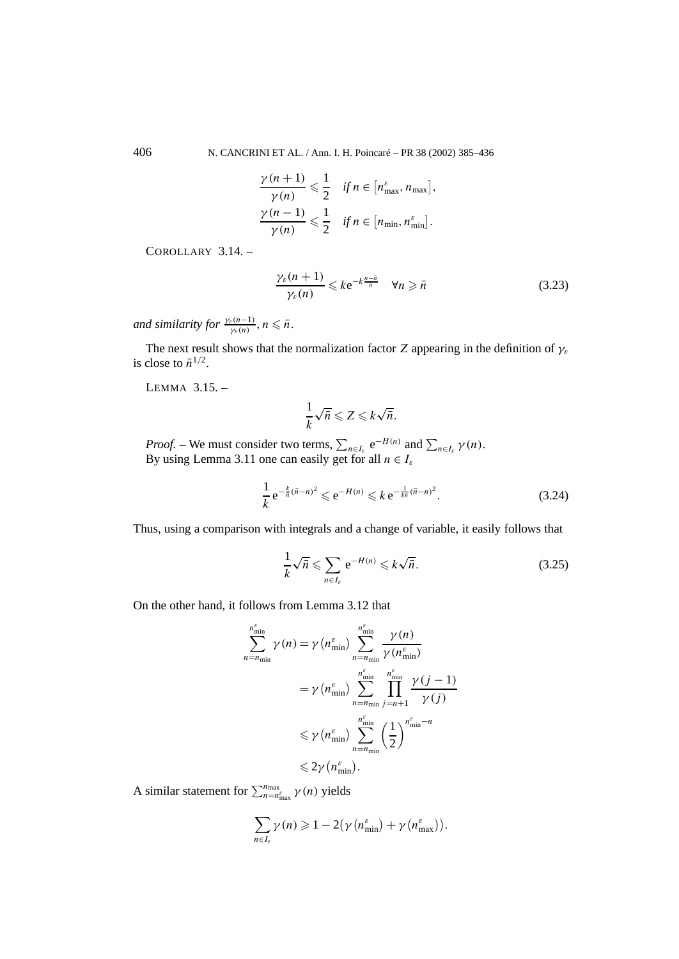406 N. CANCRINI ET AL. / Ann. I. H. Poincaré – PR 38 (2002) 385–436

$$
\frac{\gamma(n+1)}{\gamma(n)} \leq \frac{1}{2} \quad \text{if } n \in [n_{\max}^{\varepsilon}, n_{\max}],
$$
  

$$
\frac{\gamma(n-1)}{\gamma(n)} \leq \frac{1}{2} \quad \text{if } n \in [n_{\min}, n_{\min}^{\varepsilon}].
$$

COROLLARY 3.14. –

$$
\frac{\gamma_{\varepsilon}(n+1)}{\gamma_{\varepsilon}(n)} \leqslant k e^{-k\frac{n-\bar{n}}{\bar{n}}} \quad \forall n \geqslant \bar{n} \tag{3.23}
$$

*and similarity for*  $\frac{\gamma_{\varepsilon}(n-1)}{\gamma_{\varepsilon}(n)}$ ,  $n \leq \bar{n}$ .

The next result shows that the normalization factor *Z* appearing in the definition of *γε* is close to  $\bar{n}^{1/2}$ .

LEMMA 3.15. –

$$
\frac{1}{k}\sqrt{\bar{n}} \leqslant Z \leqslant k\sqrt{\bar{n}}.
$$

*Proof.* – We must consider two terms,  $\sum_{n \in I_{\varepsilon}} e^{-H(n)}$  and  $\sum_{n \in I_{\varepsilon}} \gamma(n)$ . By using Lemma 3.11 one can easily get for all  $n \in I_{\varepsilon}$ 

$$
\frac{1}{k} e^{-\frac{k}{n}(\bar{n}-n)^2} \leqslant e^{-H(n)} \leqslant k e^{-\frac{1}{k\bar{n}}(\bar{n}-n)^2}.
$$
\n(3.24)

Thus, using a comparison with integrals and a change of variable, it easily follows that

$$
\frac{1}{k}\sqrt{\bar{n}} \leqslant \sum_{n \in I_{\varepsilon}} e^{-H(n)} \leqslant k\sqrt{\bar{n}}.\tag{3.25}
$$

On the other hand, it follows from Lemma 3.12 that

$$
\sum_{n=n_{\min}}^{n_{\min}^{\epsilon}} \gamma(n) = \gamma(n_{\min}^{\epsilon}) \sum_{n=n_{\min}}^{n_{\min}^{\epsilon}} \frac{\gamma(n)}{\gamma(n_{\min}^{\epsilon})}
$$
  
=  $\gamma(n_{\min}^{\epsilon}) \sum_{n=n_{\min}}^{n_{\min}^{\epsilon}} \prod_{j=n+1}^{n_{\min}^{\epsilon}} \frac{\gamma(j-1)}{\gamma(j)}$   
 $\leq \gamma(n_{\min}^{\epsilon}) \sum_{n=n_{\min}}^{n_{\min}^{\epsilon}} \left(\frac{1}{2}\right)^{n_{\min}^{\epsilon}-n}$   
 $\leq 2\gamma(n_{\min}^{\epsilon}).$ 

A similar statement for  $\sum_{n=n_{\text{max}}^{\text{max}}}^{n_{\text{max}}} \gamma(n)$  yields

$$
\sum_{n\in I_{\varepsilon}}\gamma(n)\geqslant 1-2(\gamma\left(n_{\min}^{\varepsilon}\right)+\gamma\left(n_{\max}^{\varepsilon}\right)).
$$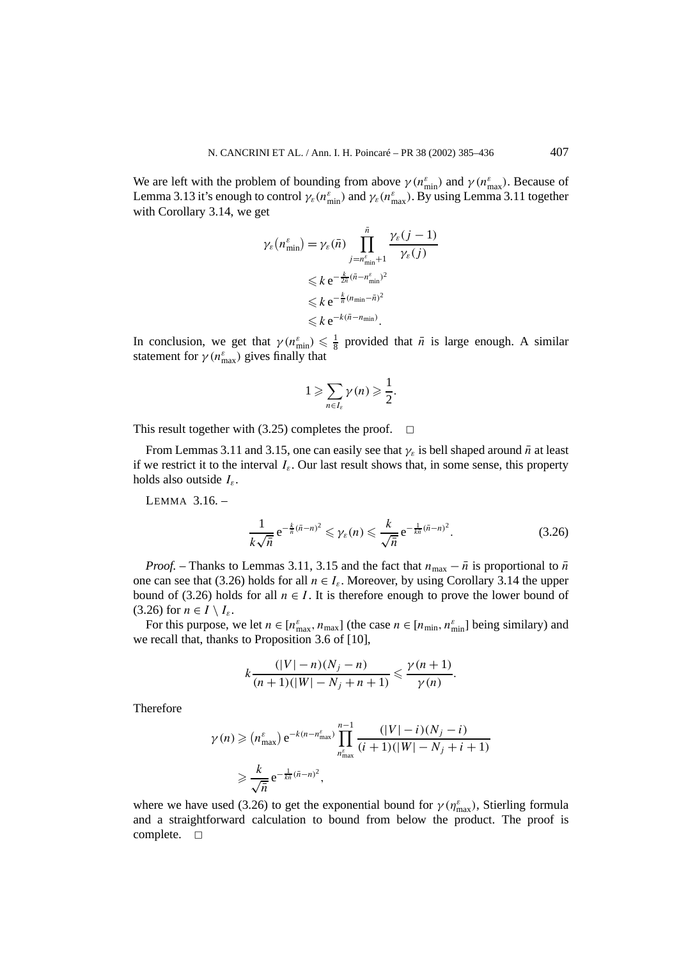We are left with the problem of bounding from above  $\gamma(n_{\min}^{\varepsilon})$  and  $\gamma(n_{\max}^{\varepsilon})$ . Because of Lemma 3.13 it's enough to control  $\gamma_{\varepsilon}(n_{\min}^{\varepsilon})$  and  $\gamma_{\varepsilon}(n_{\max}^{\varepsilon})$ . By using Lemma 3.11 together with Corollary 3.14, we get

$$
\gamma_{\varepsilon}(n_{\min}^{\varepsilon}) = \gamma_{\varepsilon}(\bar{n}) \prod_{j=n_{\min}^{\varepsilon}+1}^{\bar{n}} \frac{\gamma_{\varepsilon}(j-1)}{\gamma_{\varepsilon}(j)}
$$
  
\$\leq k e^{-\frac{k}{2n}(\bar{n}-n\_{\min}^{\varepsilon})^2}\$  
\$\leq k e^{-\frac{k}{n}(n\_{\min}-\bar{n})^2}\$  
\$\leq k e^{-k(\bar{n}-n\_{\min})}\$.

In conclusion, we get that  $\gamma(n_{\min}^{\varepsilon}) \leq \frac{1}{8}$  provided that  $\bar{n}$  is large enough. A similar statement for  $\gamma(n_{\max}^{\varepsilon})$  gives finally that

$$
1 \geqslant \sum_{n \in I_{\varepsilon}} \gamma(n) \geqslant \frac{1}{2}.
$$

This result together with (3.25) completes the proof.  $\Box$ 

From Lemmas 3.11 and 3.15, one can easily see that  $\gamma_{\varepsilon}$  is bell shaped around  $\bar{n}$  at least if we restrict it to the interval  $I_{\varepsilon}$ . Our last result shows that, in some sense, this property holds also outside *Iε*.

LEMMA 3.16. –

$$
\frac{1}{k\sqrt{n}}e^{-\frac{k}{n}(\bar{n}-n)^2}\leqslant\gamma_{\varepsilon}(n)\leqslant\frac{k}{\sqrt{n}}e^{-\frac{1}{k\bar{n}}(\bar{n}-n)^2}.\tag{3.26}
$$

*Proof.* – Thanks to Lemmas 3.11, 3.15 and the fact that  $n_{\text{max}} - \bar{n}$  is proportional to  $\bar{n}$ one can see that (3.26) holds for all  $n \in I_{\varepsilon}$ . Moreover, by using Corollary 3.14 the upper bound of (3.26) holds for all  $n \in I$ . It is therefore enough to prove the lower bound of (3.26) for  $n \in I \setminus I_{\varepsilon}$ .

For this purpose, we let  $n \in [n_{\max}^{\varepsilon}, n_{\max}]$  (the case  $n \in [n_{\min}, n_{\min}^{\varepsilon}]$  being similary) and we recall that, thanks to Proposition 3.6 of [10],

$$
k \frac{(|V| - n)(N_j - n)}{(n + 1)(|W| - N_j + n + 1)} \le \frac{\gamma(n + 1)}{\gamma(n)}.
$$

Therefore

$$
\gamma(n) \geqslant (n_{\max}^{\varepsilon}) e^{-k(n - n_{\max}^{\varepsilon})} \prod_{\substack{n_{\max}^{\varepsilon} \\ n_{\max}^{\varepsilon}}} \frac{(|V| - i)(N_j - i)}{(i + 1)(|W| - N_j + i + 1)}
$$
  

$$
\geqslant \frac{k}{\sqrt{n}} e^{-\frac{1}{k\pi}(\bar{n} - n)^2},
$$

where we have used (3.26) to get the exponential bound for  $\gamma(\eta_{\text{max}}^{\varepsilon})$ , Stierling formula and a straightforward calculation to bound from below the product. The proof is complete.  $\square$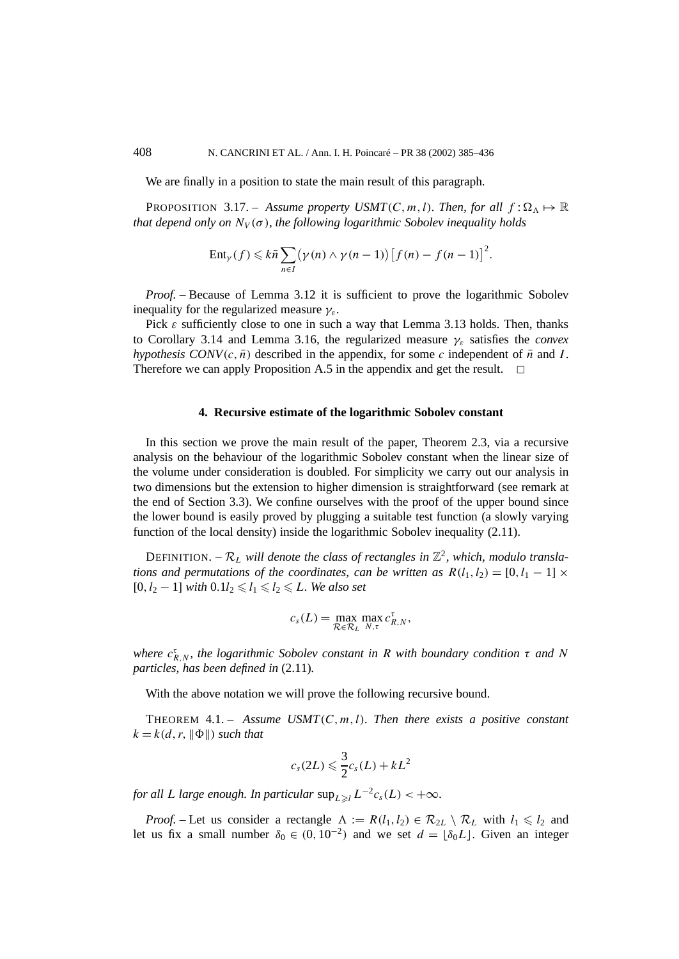We are finally in a position to state the main result of this paragraph.

**PROPOSITION** 3.17. – *Assume property USMT(C, m, l). Then, for all*  $f : \Omega_{\Lambda} \mapsto \mathbb{R}$ *that depend only on*  $N_V(\sigma)$ *, the following logarithmic Sobolev inequality holds* 

$$
Ent_{\gamma}(f) \leqslant k\bar{n} \sum_{n\in I} (\gamma(n) \wedge \gamma(n-1)) [f(n) - f(n-1)]^{2}.
$$

*Proof.* – Because of Lemma 3.12 it is sufficient to prove the logarithmic Sobolev inequality for the regularized measure *γε*.

Pick  $\varepsilon$  sufficiently close to one in such a way that Lemma 3.13 holds. Then, thanks to Corollary 3.14 and Lemma 3.16, the regularized measure *γε* satisfies the *convex hypothesis CONV* $(c, \bar{n})$  described in the appendix, for some *c* independent of  $\bar{n}$  and *I*. Therefore we can apply Proposition A.5 in the appendix and get the result.  $\Box$ 

#### **4. Recursive estimate of the logarithmic Sobolev constant**

In this section we prove the main result of the paper, Theorem 2.3, via a recursive analysis on the behaviour of the logarithmic Sobolev constant when the linear size of the volume under consideration is doubled. For simplicity we carry out our analysis in two dimensions but the extension to higher dimension is straightforward (see remark at the end of Section 3.3). We confine ourselves with the proof of the upper bound since the lower bound is easily proved by plugging a suitable test function (a slowly varying function of the local density) inside the logarithmic Sobolev inequality (2.11).

DEFINITION. –  $\mathcal{R}_L$  will denote the class of rectangles in  $\mathbb{Z}^2$ , which, modulo transla*tions and permutations of the coordinates, can be written as*  $R(l_1, l_2) = [0, l_1 - 1] \times$  $[0, l<sub>2</sub> − 1]$  *with*  $0.1l<sub>2</sub> \le l<sub>1</sub> \le l<sub>2</sub> \le L$ *. We also set* 

$$
c_s(L) = \max_{\mathcal{R} \in \mathcal{R}_L} \max_{N,\tau} c_{R,N}^{\tau},
$$

*where*  $c_{R,N}^{\tau}$ *, the logarithmic Sobolev constant in R with boundary condition τ and N particles, has been defined in* (2.11)*.*

With the above notation we will prove the following recursive bound.

THEOREM 4.1. – *Assume USMT(C, m, l). Then there exists a positive constant*  $k = k(d, r, ||\Phi||)$  *such that* 

$$
c_s(2L) \leq \frac{3}{2}c_s(L) + kL^2
$$

*for all L large enough. In particular*  $\sup_{L>l} L^{-2}c_s(L) < +\infty$ *.* 

*Proof.* – Let us consider a rectangle  $\Lambda := R(l_1, l_2) \in R_{2L} \setminus R_L$  with  $l_1 \leq l_2$  and let us fix a small number  $\delta_0 \in (0, 10^{-2})$  and we set  $d = \lfloor \delta_0 L \rfloor$ . Given an integer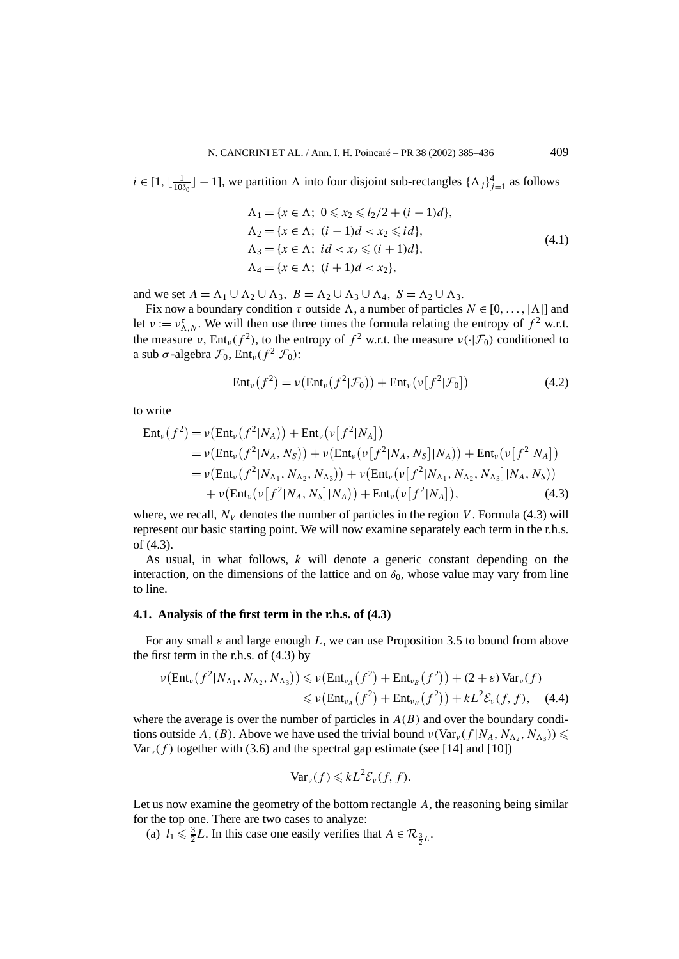$i \in [1, \lfloor \frac{1}{10\delta_0} \rfloor - 1]$ , we partition  $\Lambda$  into four disjoint sub-rectangles  $\{\Lambda_j\}_{j=1}^4$  as follows

$$
\Lambda_1 = \{x \in \Lambda; \ 0 \le x_2 \le l_2/2 + (i - 1)d\},\
$$
  
\n
$$
\Lambda_2 = \{x \in \Lambda; \ (i - 1)d < x_2 \le id\},\
$$
  
\n
$$
\Lambda_3 = \{x \in \Lambda; \ id < x_2 \le (i + 1)d\},\
$$
  
\n
$$
\Lambda_4 = \{x \in \Lambda; \ (i + 1)d < x_2\},\
$$
\n
$$
(4.1)
$$

and we set  $A = \Lambda_1 \cup \Lambda_2 \cup \Lambda_3$ ,  $B = \Lambda_2 \cup \Lambda_3 \cup \Lambda_4$ ,  $S = \Lambda_2 \cup \Lambda_3$ .

Fix now a boundary condition  $\tau$  outside  $\Lambda$ , a number of particles  $N \in [0, \ldots, |\Lambda|]$  and let  $v := v_{\Lambda,N}^{\tau}$ . We will then use three times the formula relating the entropy of  $f^2$  w.r.t. the measure *ν*, Ent<sub>*v*</sub>( $f^2$ ), to the entropy of  $f^2$  w.r.t. the measure  $v(\cdot|\mathcal{F}_0)$  conditioned to a sub  $\sigma$ -algebra  $\mathcal{F}_0$ , Ent<sub>*v*</sub>( $f^2|\mathcal{F}_0$ ):

$$
Ent_{\nu}(f^2) = \nu(Ent_{\nu}(f^2|\mathcal{F}_0)) + Ent_{\nu}(\nu[f^2|\mathcal{F}_0])
$$
\n(4.2)

to write

$$
\begin{split} \text{Ent}_{\nu}(f^{2}) &= \nu(\text{Ent}_{\nu}(f^{2}|N_{A})) + \text{Ent}_{\nu}(\nu[f^{2}|N_{A}]) \\ &= \nu(\text{Ent}_{\nu}(f^{2}|N_{A},N_{S})) + \nu(\text{Ent}_{\nu}(\nu[f^{2}|N_{A},N_{S}]|N_{A})) + \text{Ent}_{\nu}(\nu[f^{2}|N_{A}]) \\ &= \nu(\text{Ent}_{\nu}(f^{2}|N_{\Lambda_{1}},N_{\Lambda_{2}},N_{\Lambda_{3}})) + \nu(\text{Ent}_{\nu}(\nu[f^{2}|N_{\Lambda_{1}},N_{\Lambda_{2}},N_{\Lambda_{3}}]|N_{A},N_{S})) \\ &+ \nu(\text{Ent}_{\nu}(\nu[f^{2}|N_{A},N_{S}]|N_{A})) + \text{Ent}_{\nu}(\nu[f^{2}|N_{A}]), \end{split} \tag{4.3}
$$

where, we recall,  $N_V$  denotes the number of particles in the region *V*. Formula (4.3) will represent our basic starting point. We will now examine separately each term in the r.h.s. of (4.3).

As usual, in what follows, *k* will denote a generic constant depending on the interaction, on the dimensions of the lattice and on  $\delta_0$ , whose value may vary from line to line.

#### **4.1. Analysis of the first term in the r.h.s. of (4.3)**

For any small *ε* and large enough *L*, we can use Proposition 3.5 to bound from above the first term in the r.h.s. of  $(4.3)$  by

$$
\nu\left(\text{Ent}_{\nu}\left(f^{2}|N_{\Lambda_{1}},N_{\Lambda_{2}},N_{\Lambda_{3}}\right)\right) \leqslant \nu\left(\text{Ent}_{\nu_{A}}\left(f^{2}\right)+\text{Ent}_{\nu_{B}}\left(f^{2}\right)\right)+(2+\varepsilon)\text{Var}_{\nu}(f) \leqslant \nu\left(\text{Ent}_{\nu_{A}}\left(f^{2}\right)+\text{Ent}_{\nu_{B}}\left(f^{2}\right)\right)+kL^{2}\mathcal{E}_{\nu}(f,f), \quad (4.4)
$$

where the average is over the number of particles in  $A(B)$  and over the boundary conditions outside *A*, (*B*). Above we have used the trivial bound  $\nu(\text{Var}_{\nu}(f|N_A, N_{\Lambda_2}, N_{\Lambda_3})) \le$ Var<sub>*v*</sub>(f) together with (3.6) and the spectral gap estimate (see [14] and [10])

$$
\text{Var}_{\nu}(f) \leqslant kL^2 \mathcal{E}_{\nu}(f, f).
$$

Let us now examine the geometry of the bottom rectangle *A*, the reasoning being similar for the top one. There are two cases to analyze:

(a)  $l_1 \leq \frac{3}{2}L$ . In this case one easily verifies that  $A \in \mathcal{R}_{\frac{3}{2}L}$ .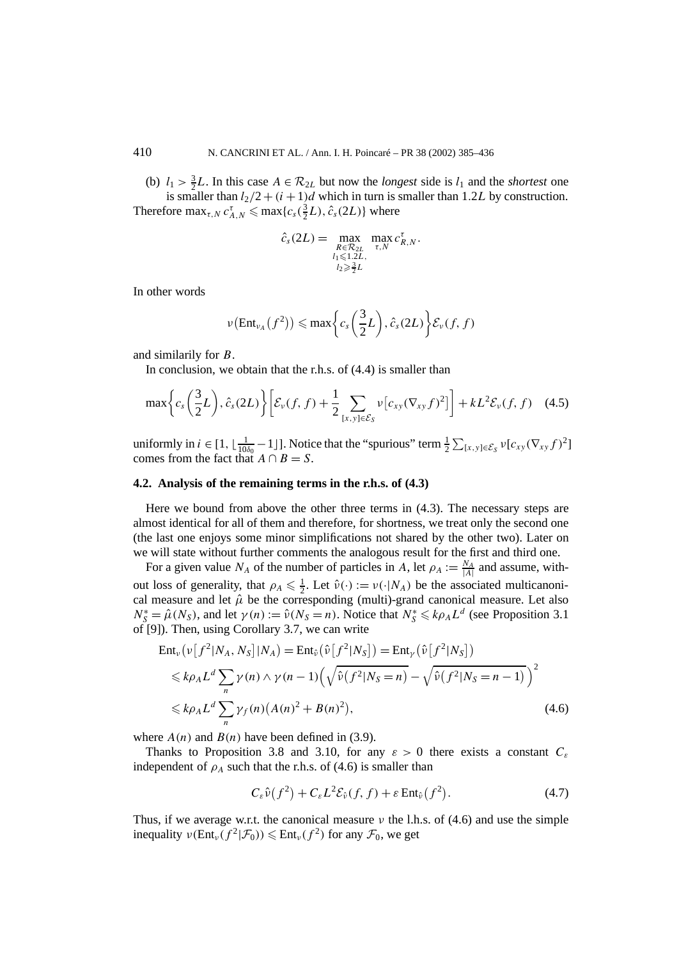(b)  $l_1 > \frac{3}{2}L$ . In this case  $A \in \mathcal{R}_{2L}$  but now the *longest* side is  $l_1$  and the *shortest* one is smaller than  $l_2/2 + (i + 1)d$  which in turn is smaller than 1.2*L* by construction. Therefore  $\max_{\tau, N} c_{A,N}^{\tau} \le \max\{c_s(\frac{3}{2}L), \hat{c}_s(2L)\}\$  where

$$
\hat{c}_s(2L) = \max_{\substack{R \in \mathcal{R}_{2L} \\ l_1 \leq 1.2L, \\ l_2 \geq \frac{3}{2}L}} \max_{\tau, N} c_{R,N}^{\tau}.
$$

In other words

$$
\nu\big(\text{Ent}_{\nu_A}\big(f^2\big)\big) \leqslant \max\bigg\{c_s\bigg(\frac{3}{2}L\bigg), \hat{c}_s(2L)\bigg\}\mathcal{E}_{\nu}(f, f)
$$

and similarily for *B*.

In conclusion, we obtain that the r.h.s. of  $(4.4)$  is smaller than

$$
\max\bigg\{c_s\bigg(\frac{3}{2}L\bigg),\hat{c}_s(2L)\bigg\}\bigg[\mathcal{E}_\nu(f,f)+\frac{1}{2}\sum_{[x,y]\in\mathcal{E}_S}\nu[c_{xy}(\nabla_{xy}f)^2]\bigg]+kL^2\mathcal{E}_\nu(f,f)\quad(4.5)
$$

uniformly in  $i \in [1, \lfloor \frac{1}{10\delta_0} - 1 \rfloor]$ . Notice that the "spurious" term  $\frac{1}{2} \sum_{\{x, y\} \in \mathcal{E}_S} v[c_{xy}(\nabla_{xy} f)^2]$ comes from the fact that  $A \cap B = S$ .

#### **4.2. Analysis of the remaining terms in the r.h.s. of (4.3)**

Here we bound from above the other three terms in (4.3). The necessary steps are almost identical for all of them and therefore, for shortness, we treat only the second one (the last one enjoys some minor simplifications not shared by the other two). Later on we will state without further comments the analogous result for the first and third one.

For a given value  $N_A$  of the number of particles in *A*, let  $\rho_A := \frac{N_A}{|A|}$  and assume, without loss of generality, that  $\rho_A \le \frac{1}{2}$ . Let  $\hat{v}(\cdot) := v(\cdot|N_A)$  be the associated multicanonical measure and let  $\hat{\mu}$  be the corresponding (multi)-grand canonical measure. Let also  $N_S^* = \hat{\mu}(N_S)$ , and let  $\gamma(n) := \hat{\nu}(N_S = n)$ . Notice that  $N_S^* \le k\rho_A L^d$  (see Proposition 3.1) of [9]). Then, using Corollary 3.7, we can write

$$
\operatorname{Ent}_{\nu}\left(\nu\left[f^{2}|N_{A},N_{S}\right]|N_{A}\right) = \operatorname{Ent}_{\hat{\nu}}\left(\hat{\nu}\left[f^{2}|N_{S}\right]\right) = \operatorname{Ent}_{\gamma}\left(\hat{\nu}\left[f^{2}|N_{S}\right]\right)
$$
\n
$$
\leq k\rho_{A}L^{d}\sum_{n}\gamma(n)\wedge\gamma(n-1)\left(\sqrt{\hat{\nu}\left(f^{2}|N_{S}=n\right)} - \sqrt{\hat{\nu}\left(f^{2}|N_{S}=n-1\right)}\right)^{2}
$$
\n
$$
\leq k\rho_{A}L^{d}\sum_{n}\gamma_{f}(n)\left(A(n)^{2} + B(n)^{2}\right),\tag{4.6}
$$

where  $A(n)$  and  $B(n)$  have been defined in (3.9).

Thanks to Proposition 3.8 and 3.10, for any  $\varepsilon > 0$  there exists a constant  $C_{\varepsilon}$ independent of  $\rho_A$  such that the r.h.s. of (4.6) is smaller than

$$
C_{\varepsilon}\hat{\nu}(f^2) + C_{\varepsilon}L^2 \mathcal{E}_{\hat{\nu}}(f, f) + \varepsilon \operatorname{Ent}_{\hat{\nu}}(f^2). \tag{4.7}
$$

Thus, if we average w.r.t. the canonical measure *ν* the l.h.s. of (4.6) and use the simple inequality  $\nu(\text{Ent}_{\nu}(f^2|\mathcal{F}_0)) \leq \text{Ent}_{\nu}(f^2)$  for any  $\mathcal{F}_0$ , we get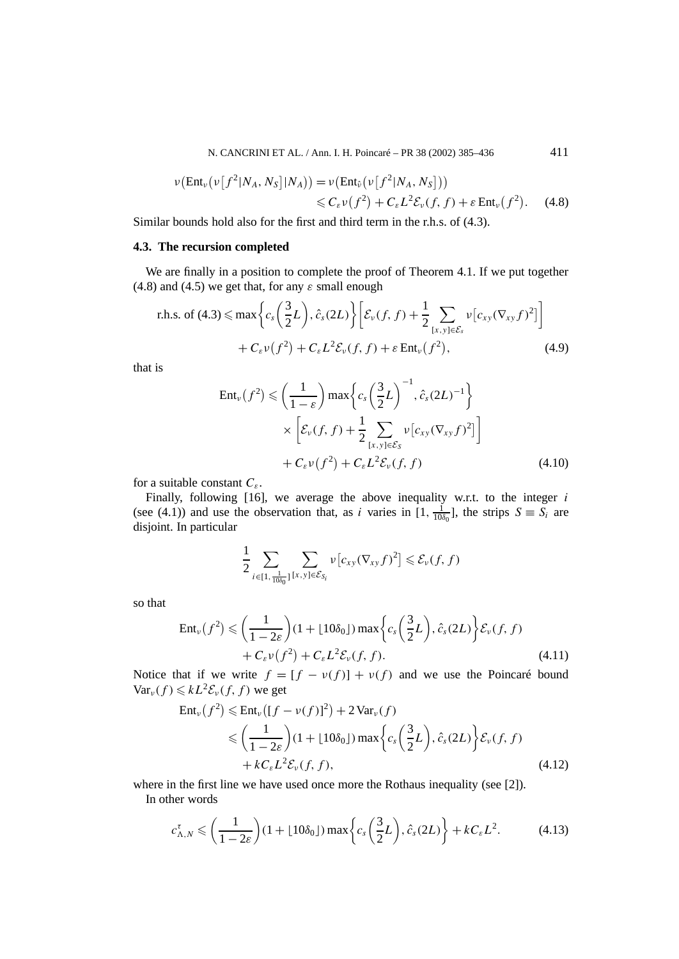N. CANCRINI ET AL. / Ann. I. H. Poincaré – PR 38 (2002) 385–436 411

$$
\nu\big(\text{Ent}_{\nu}\big(\nu\big[f^2|N_A,N_S\big]|N_A\big)\big) = \nu\big(\text{Ent}_{\hat{\nu}}\big(\nu\big[f^2|N_A,N_S\big]\big)\big) \leq C_{\varepsilon}\nu\big(f^2\big) + C_{\varepsilon}L^2\mathcal{E}_{\nu}(f,f) + \varepsilon\,\text{Ent}_{\nu}\big(f^2\big). \tag{4.8}
$$

Similar bounds hold also for the first and third term in the r.h.s. of (4.3).

## **4.3. The recursion completed**

We are finally in a position to complete the proof of Theorem 4.1. If we put together (4.8) and (4.5) we get that, for any  $\varepsilon$  small enough

r.h.s. of (4.3) 
$$
\leq \max \left\{ c_s \left( \frac{3}{2} L \right), \hat{c}_s (2L) \right\} \left[ \mathcal{E}_v(f, f) + \frac{1}{2} \sum_{[x, y] \in \mathcal{E}_s} v \left[ c_{xy} (\nabla_{xy} f)^2 \right] \right] + C_{\varepsilon} v(f^2) + C_{\varepsilon} L^2 \mathcal{E}_v(f, f) + \varepsilon \operatorname{Ent}_v(f^2),
$$
 (4.9)

that is

$$
\operatorname{Ent}_{\nu}(f^{2}) \leqslant \left(\frac{1}{1-\varepsilon}\right) \max\left\{c_{s}\left(\frac{3}{2}L\right)^{-1}, \hat{c}_{s}(2L)^{-1}\right\}
$$

$$
\times \left[\mathcal{E}_{\nu}(f, f) + \frac{1}{2} \sum_{\{x,y\} \in \mathcal{E}_{S}} \nu[c_{xy}(\nabla_{xy}f)^{2}]\right]
$$

$$
+ C_{\varepsilon} \nu(f^{2}) + C_{\varepsilon} L^{2} \mathcal{E}_{\nu}(f, f) \tag{4.10}
$$

for a suitable constant *Cε*.

Finally, following [16], we average the above inequality w.r.t. to the integer *i* (see (4.1)) and use the observation that, as *i* varies in  $[1, \frac{1}{10\delta_0}]$ , the strips  $S \equiv S_i$  are disjoint. In particular

$$
\frac{1}{2} \sum_{i \in [1, \frac{1}{10\delta_0}]} \sum_{[x,y] \in \mathcal{E}_{S_i}} \nu \big[c_{xy} (\nabla_{xy} f)^2 \big] \leq \mathcal{E}_{\nu}(f, f)
$$

so that

$$
\operatorname{Ent}_{\nu}(f^{2}) \leqslant \left(\frac{1}{1-2\varepsilon}\right)(1+\lfloor 10\delta_{0}\rfloor)\max\left\{c_{s}\left(\frac{3}{2}L\right),\hat{c}_{s}(2L)\right\}\mathcal{E}_{\nu}(f,f) + C_{\varepsilon}\nu(f^{2}) + C_{\varepsilon}L^{2}\mathcal{E}_{\nu}(f,f).
$$
\n(4.11)

Notice that if we write  $f = [f - v(f)] + v(f)$  and we use the Poincaré bound  $Var_v(f) \leq kL^2 \mathcal{E}_v(f, f)$  we get

$$
\operatorname{Ent}_{\nu}(f^{2}) \leq \operatorname{Ent}_{\nu}([f - \nu(f)]^{2}) + 2 \operatorname{Var}_{\nu}(f)
$$
  
\n
$$
\leq \left(\frac{1}{1 - 2\varepsilon}\right) (1 + \lfloor 10\delta_{0} \rfloor) \max\left\{c_{s}\left(\frac{3}{2}L\right), \hat{c}_{s}(2L)\right\} \mathcal{E}_{\nu}(f, f)
$$
  
\n
$$
+ kC_{\varepsilon}L^{2}\mathcal{E}_{\nu}(f, f), \tag{4.12}
$$

where in the first line we have used once more the Rothaus inequality (see [2]).

In other words

$$
c_{\Lambda,N}^{\tau} \leqslant \left(\frac{1}{1-2\varepsilon}\right) (1 + \lfloor 10\delta_0 \rfloor) \max\left\{c_s\left(\frac{3}{2}L\right), \hat{c}_s(2L)\right\} + kC_{\varepsilon}L^2. \tag{4.13}
$$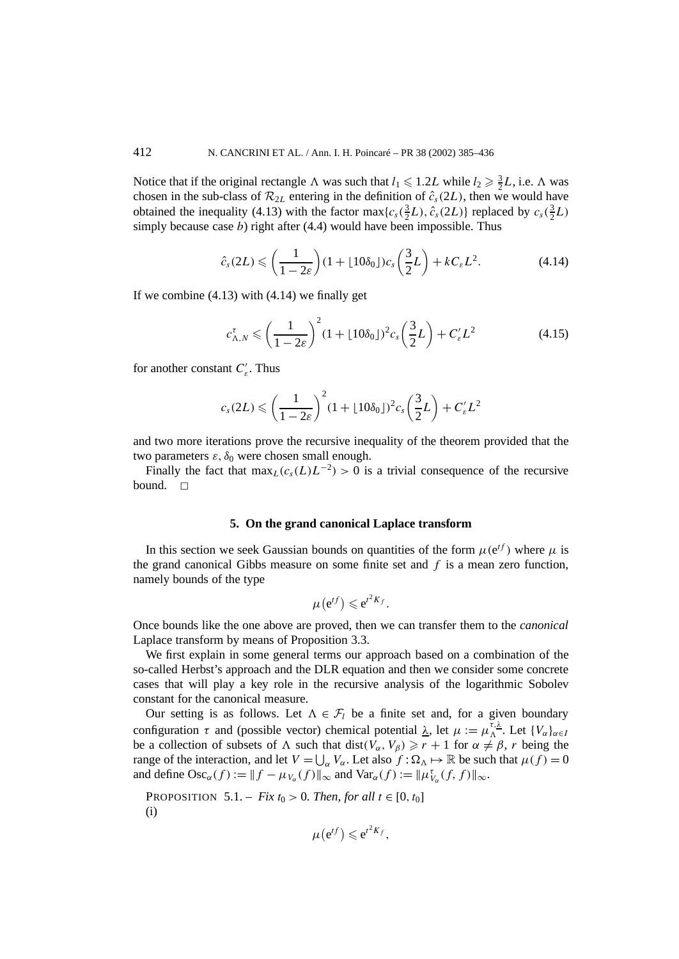Notice that if the original rectangle  $\Lambda$  was such that  $l_1 \leq 1.2L$  while  $l_2 \geq \frac{3}{2}L$ , i.e.  $\Lambda$  was chosen in the sub-class of  $\mathcal{R}_{2L}$  entering in the definition of  $\hat{c}_s(2L)$ , then we would have obtained the inequality (4.13) with the factor  $\max\{c_s(\frac{3}{2}L), \hat{c}_s(2L)\}\)$  replaced by  $c_s(\frac{3}{2}L)$ simply because case  $b$ ) right after  $(4.4)$  would have been impossible. Thus

$$
\hat{c}_s(2L) \leqslant \left(\frac{1}{1-2\varepsilon}\right)(1+\lfloor 10\delta_0\rfloor)c_s\left(\frac{3}{2}L\right)+kC_{\varepsilon}L^2. \tag{4.14}
$$

If we combine  $(4.13)$  with  $(4.14)$  we finally get

$$
c_{\Lambda,N}^{\tau} \leqslant \left(\frac{1}{1-2\varepsilon}\right)^2 (1+\lfloor 10\delta_0\rfloor)^2 c_s \left(\frac{3}{2}L\right) + C_{\varepsilon}'L^2 \tag{4.15}
$$

for another constant *C <sup>ε</sup>*. Thus

$$
c_s(2L) \leqslant \left(\frac{1}{1-2\varepsilon}\right)^2 (1+\lfloor 10\delta_0\rfloor)^2 c_s\left(\frac{3}{2}L\right) + C'_\varepsilon L^2
$$

and two more iterations prove the recursive inequality of the theorem provided that the two parameters  $\varepsilon$ ,  $\delta_0$  were chosen small enough.

Finally the fact that  $\max_{L}(c_s(L)L^{-2}) > 0$  is a trivial consequence of the recursive bound.  $\Box$ 

# **5. On the grand canonical Laplace transform**

In this section we seek Gaussian bounds on quantities of the form  $\mu(e^{tf})$  where  $\mu$  is the grand canonical Gibbs measure on some finite set and *f* is a mean zero function, namely bounds of the type

$$
\mu(e^{tf}) \leqslant e^{t^2K_f}.
$$

Once bounds like the one above are proved, then we can transfer them to the *canonical* Laplace transform by means of Proposition 3.3.

We first explain in some general terms our approach based on a combination of the so-called Herbst's approach and the DLR equation and then we consider some concrete cases that will play a key role in the recursive analysis of the logarithmic Sobolev constant for the canonical measure.

Our setting is as follows. Let  $\Lambda \in \mathcal{F}_l$  be a finite set and, for a given boundary configuration  $\tau$  and (possible vector) chemical potential  $\lambda$ , let  $\mu := \mu_{\Lambda}^{\tau,\lambda}$ . Let  $\{V_{\alpha}\}_{{\alpha \in I}}$ be a collection of subsets of  $\Lambda$  such that dist $(V_\alpha, V_\beta) \ge r + 1$  for  $\alpha \ne \beta$ , *r* being the range of the interaction, and let  $V = \bigcup_{\alpha} V_{\alpha}$ . Let also  $f : \Omega_{\Lambda} \mapsto \mathbb{R}$  be such that  $\mu(f) = 0$ and define  $\text{Osc}_{\alpha}(f) := ||f - \mu_{V_{\alpha}}(f)||_{\infty}$  and  $\text{Var}_{\alpha}(f) := ||\mu_{V_{\alpha}}^{\tau}(f, f)||_{\infty}$ .

**PROPOSITION** 5.1. – *Fix*  $t_0 > 0$ *. Then, for all*  $t \in [0, t_0]$ (i)

$$
\mu(e^{tf})\leqslant e^{t^2K_f},
$$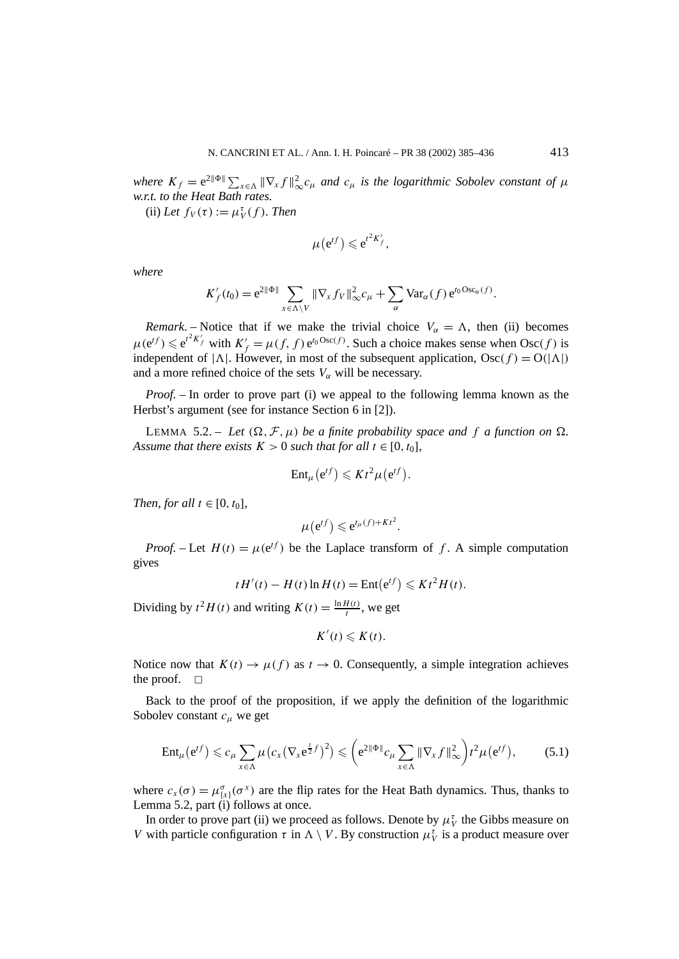*where*  $K_f = e^{2\|\Phi\|} \sum_{x \in \Lambda} \|\nabla_x f\|_{\infty}^2 c_{\mu}$  and  $c_{\mu}$  is the logarithmic Sobolev constant of  $\mu$ *w.r.t. to the Heat Bath rates.*

 $(iii)$  *Let*  $f_V(\tau) := \mu_V^{\tau}(f)$ *. Then* 

$$
\mu(e^{tf})\leqslant e^{t^2K'_f},
$$

*where*

$$
K_f'(t_0) = e^{2\|\Phi\|} \sum_{x \in \Lambda \setminus V} \|\nabla_x f_V\|_{\infty}^2 c_{\mu} + \sum_{\alpha} \text{Var}_{\alpha}(f) e^{t_0 \text{Osc}_{\alpha}(f)}.
$$

*Remark*. – Notice that if we make the trivial choice  $V_\alpha = \Lambda$ , then (ii) becomes  $\mu(e^{tf}) \leq e^{t^2 K_f'}$  with  $K_f' = \mu(f, f) e^{t_0 \text{Osc}(f)}$ . Such a choice makes sense when  $\text{Osc}(f)$  is independent of  $|\Lambda|$ . However, in most of the subsequent application, Osc $(f) = O(|\Lambda|)$ and a more refined choice of the sets  $V_\alpha$  will be necessary.

*Proof.* – In order to prove part (i) we appeal to the following lemma known as the Herbst's argument (see for instance Section 6 in [2]).

LEMMA 5.2. – Let  $(\Omega, \mathcal{F}, \mu)$  be a finite probability space and f a function on  $\Omega$ . *Assume that there exists*  $K > 0$  *such that for all*  $t \in [0, t_0]$ *,* 

$$
\mathrm{Ent}_{\mu}(e^{tf}) \leqslant K t^2 \mu(e^{tf}).
$$

*Then, for all*  $t \in [0, t_0]$ *,* 

$$
\mu(e^{tf}) \leqslant e^{t\mu(f) + Kt^2}.
$$

*Proof.* – Let  $H(t) = \mu(e^{tf})$  be the Laplace transform of f. A simple computation gives

$$
tH'(t) - H(t)\ln H(t) = \text{Ent}(e^{tf}) \leqslant Kt^2H(t).
$$

Dividing by  $t^2 H(t)$  and writing  $K(t) = \frac{\ln H(t)}{t}$ , we get

$$
K'(t)\leqslant K(t).
$$

Notice now that  $K(t) \to \mu(f)$  as  $t \to 0$ . Consequently, a simple integration achieves the proof.  $\square$ 

Back to the proof of the proposition, if we apply the definition of the logarithmic Sobolev constant *cµ* we get

$$
\operatorname{Ent}_{\mu}(e^{tf}) \leqslant c_{\mu} \sum_{x \in \Lambda} \mu\big(c_{x} \big(\nabla_{x} e^{\frac{t}{2}f}\big)^{2}\big) \leqslant \bigg(e^{2\|\Phi\|} c_{\mu} \sum_{x \in \Lambda} \|\nabla_{x} f\|_{\infty}^{2}\bigg) t^{2} \mu\big(e^{tf}\big),\tag{5.1}
$$

where  $c_x(\sigma) = \mu_{\{x\}}^{\sigma}(\sigma^x)$  are the flip rates for the Heat Bath dynamics. Thus, thanks to Lemma 5.2, part  $(i)$  follows at once.

In order to prove part (ii) we proceed as follows. Denote by  $\mu_V^{\tau}$  the Gibbs measure on *V* with particle configuration  $\tau$  in  $\Lambda \setminus V$ . By construction  $\mu_V^{\tau}$  is a product measure over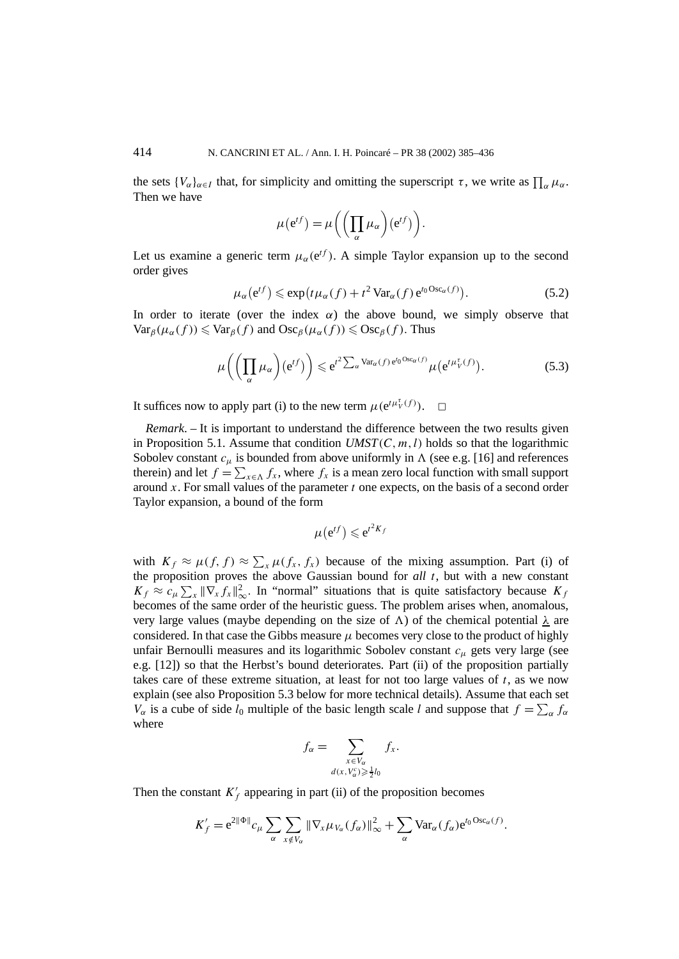the sets  $\{V_{\alpha}\}_{{\alpha \in I}}$  that, for simplicity and omitting the superscript  $\tau$ , we write as  $\prod_{\alpha} \mu_{\alpha}$ . Then we have

$$
\mu(e^{tf}) = \mu\bigg(\bigg(\prod_{\alpha}\mu_{\alpha}\bigg)(e^{tf})\bigg).
$$

Let us examine a generic term  $\mu_{\alpha}$ (e<sup>*tf*</sup>). A simple Taylor expansion up to the second order gives

$$
\mu_{\alpha}(\mathbf{e}^{tf}) \leqslant \exp\bigl(t\mu_{\alpha}(f) + t^2 \operatorname{Var}_{\alpha}(f) \mathbf{e}^{t_0 \operatorname{Osc}_{\alpha}(f)}\bigr). \tag{5.2}
$$

In order to iterate (over the index  $\alpha$ ) the above bound, we simply observe that  $Var_{\beta}(\mu_{\alpha}(f)) \leq \text{Var}_{\beta}(f)$  and  $\text{Osc}_{\beta}(\mu_{\alpha}(f)) \leq \text{Osc}_{\beta}(f)$ . Thus

$$
\mu\bigg(\bigg(\prod_{\alpha}\mu_{\alpha}\bigg)(e^{tf})\bigg) \leqslant e^{t^2\sum_{\alpha}\text{Var}_{\alpha}(f)e^{t_0\text{Osc}_{\alpha}(f)}}\mu\big(e^{t\mu_V^{\tau}(f)}\big).
$$
\n(5.3)

It suffices now to apply part (i) to the new term  $\mu(e^{t\mu_V^{\tau}(f)})$ .  $\Box$ 

*Remark*. – It is important to understand the difference between the two results given in Proposition 5.1. Assume that condition  $UMST(C, m, l)$  holds so that the logarithmic Sobolev constant  $c_{\mu}$  is bounded from above uniformly in  $\Lambda$  (see e.g. [16] and references therein) and let  $f = \sum_{x \in \Lambda} f_x$ , where  $f_x$  is a mean zero local function with small support around *x*. For small values of the parameter *t* one expects, on the basis of a second order Taylor expansion, a bound of the form

$$
\mu\big(\mathrm{e}^{tf}\big)\leqslant\mathrm{e}^{t^2K_f}
$$

with  $K_f \approx \mu(f, f) \approx \sum_x \mu(f_x, f_x)$  because of the mixing assumption. Part (i) of the proposition proves the above Gaussian bound for *all t*, but with a new constant  $K_f \approx c_\mu \sum_x ||\nabla_x f_x||_\infty^2$ . In "normal" situations that is quite satisfactory because  $K_f$ becomes of the same order of the heuristic guess. The problem arises when, anomalous, very large values (maybe depending on the size of  $\Lambda$ ) of the chemical potential  $\lambda$  are considered. In that case the Gibbs measure  $\mu$  becomes very close to the product of highly unfair Bernoulli measures and its logarithmic Sobolev constant *cµ* gets very large (see e.g. [12]) so that the Herbst's bound deteriorates. Part (ii) of the proposition partially takes care of these extreme situation, at least for not too large values of *t*, as we now explain (see also Proposition 5.3 below for more technical details). Assume that each set *V<sub>α</sub>* is a cube of side  $l_0$  multiple of the basic length scale *l* and suppose that  $f = \sum_{\alpha} f_{\alpha}$ where

$$
f_{\alpha} = \sum_{\substack{x \in V_{\alpha} \\ d(x, V_{\alpha}^c) \geq \frac{1}{2}l_0}} f_x.
$$

Then the constant  $K_f'$  appearing in part (ii) of the proposition becomes

$$
K'_f = e^{2\|\Phi\|} c_\mu \sum_\alpha \sum_{x \notin V_\alpha} \|\nabla_x \mu_{V_\alpha}(f_\alpha)\|_\infty^2 + \sum_\alpha \text{Var}_\alpha(f_\alpha) e^{t_0 \text{Osc}_\alpha(f)}.
$$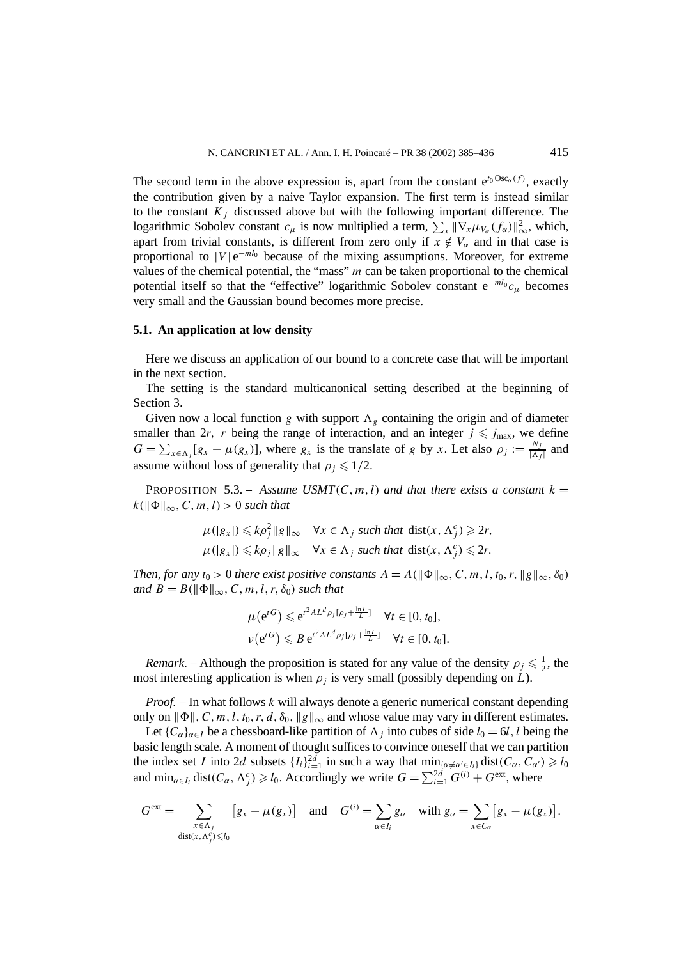The second term in the above expression is, apart from the constant  $e^{t_0 Osc_\alpha(f)}$ , exactly the contribution given by a naive Taylor expansion. The first term is instead similar to the constant  $K_f$  discussed above but with the following important difference. The logarithmic Sobolev constant  $c_{\mu}$  is now multiplied a term,  $\sum_{x} ||\nabla_x \mu_{V_{\alpha}}(f_{\alpha})||_{\infty}^2$ , which, apart from trivial constants, is different from zero only if  $x \notin V_\alpha$  and in that case is proportional to  $|V|e^{-ml_0}$  because of the mixing assumptions. Moreover, for extreme values of the chemical potential, the "mass" *m* can be taken proportional to the chemical potential itself so that the "effective" logarithmic Sobolev constant e<sup>−</sup>*ml*<sup>0</sup> *cµ* becomes very small and the Gaussian bound becomes more precise.

#### **5.1. An application at low density**

Here we discuss an application of our bound to a concrete case that will be important in the next section.

The setting is the standard multicanonical setting described at the beginning of Section 3.

Given now a local function *g* with support  $\Lambda_g$  containing the origin and of diameter smaller than 2*r*, *r* being the range of interaction, and an integer  $j \le j_{\text{max}}$ , we define  $G = \sum_{x \in \Lambda_j} [g_x - \mu(g_x)]$ , where  $g_x$  is the translate of *g* by *x*. Let also  $\rho_j := \frac{N_j}{|\Lambda_j|}$  and assume without loss of generality that  $\rho_i \leq 1/2$ .

**PROPOSITION** 5.3. – *Assume USMT*(*C*, *m*, *l*) *and that there exists a constant*  $k =$  $k(\|\Phi\|_{\infty}, C, m, l) > 0$  *such that* 

$$
\mu(|g_x|) \leq k\rho_j^2 \|g\|_{\infty} \quad \forall x \in \Lambda_j \text{ such that } \text{dist}(x, \Lambda_j^c) \geq 2r,
$$
  

$$
\mu(|g_x|) \leq k\rho_j \|g\|_{\infty} \quad \forall x \in \Lambda_j \text{ such that } \text{dist}(x, \Lambda_j^c) \leq 2r.
$$

*Then, for any*  $t_0 > 0$  *there exist positive constants*  $A = A(||\Phi||_{\infty}, C, m, l, t_0, r, ||g||_{\infty}, \delta_0)$ *and*  $B = B(||\Phi||_{\infty}, C, m, l, r, \delta_0)$  *such that* 

$$
\mu(e^{tG}) \leq e^{t^2 A L^d \rho_j[\rho_j + \frac{\ln L}{L}]} \quad \forall t \in [0, t_0],
$$
  

$$
\nu(e^{tG}) \leq B e^{t^2 A L^d \rho_j[\rho_j + \frac{\ln L}{L}]} \quad \forall t \in [0, t_0].
$$

*Remark*. – Although the proposition is stated for any value of the density  $\rho_j \leq \frac{1}{2}$ , the most interesting application is when  $\rho_i$  is very small (possibly depending on *L*).

*Proof. –* In what follows *k* will always denote a generic numerical constant depending only on  $\|\Phi\|$ , C, m, l, t<sub>0</sub>, r, d,  $\delta_0$ ,  $\|g\|_{\infty}$  and whose value may vary in different estimates.

Let  ${C_\alpha}_{\alpha\in I}$  be a chessboard-like partition of  $\Lambda_i$  into cubes of side  $l_0 = 6l$ , *l* being the basic length scale. A moment of thought suffices to convince oneself that we can partition the index set *I* into 2*d* subsets  $\{I_i\}_{i=1}^{2d}$  in such a way that  $\min_{\{\alpha \neq \alpha' \in I_i\}} \text{dist}(C_\alpha, C_{\alpha'}) \geq 1$ and  $\min_{\alpha \in I_i} \text{dist}(C_\alpha, \Lambda_j^c) \geq l_0$ . Accordingly we write  $G = \sum_{i=1}^{2d} G^{(i)} + G^{\text{ext}}$ , where

$$
G^{\text{ext}} = \sum_{\substack{x \in \Lambda_j \\ \text{dist}(x, \Lambda_j^c) \leq l_0}} [g_x - \mu(g_x)] \quad \text{and} \quad G^{(i)} = \sum_{\alpha \in I_i} g_\alpha \quad \text{with } g_\alpha = \sum_{x \in C_\alpha} [g_x - \mu(g_x)].
$$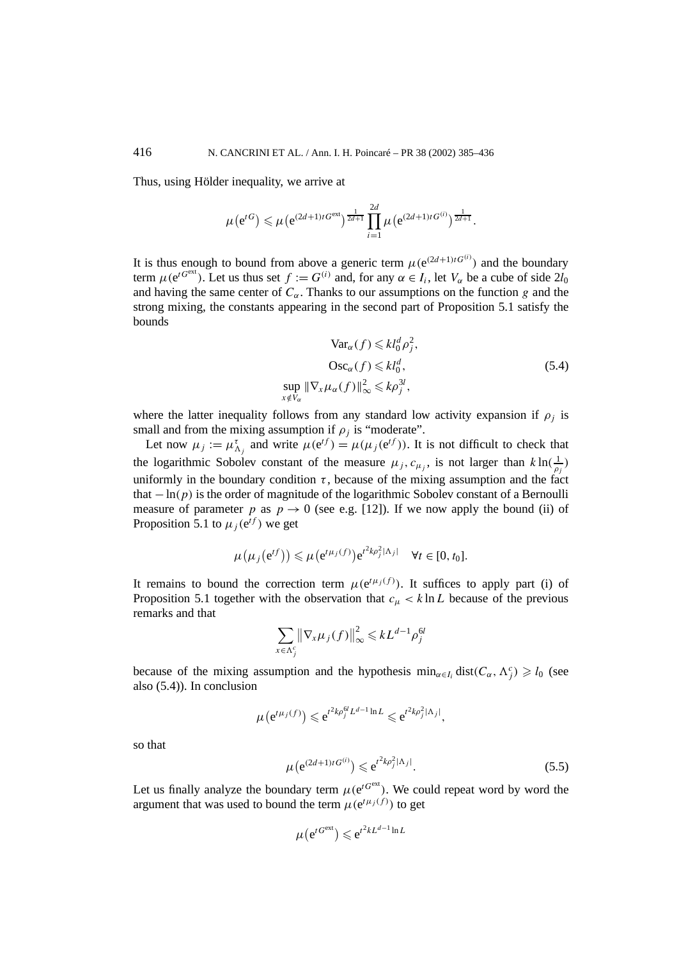Thus, using Hölder inequality, we arrive at

$$
\mu(e^{tG}) \leq \mu(e^{(2d+1)tG^{\text{ext}}})^{\frac{1}{2d+1}}\prod_{i=1}^{2d}\mu(e^{(2d+1)tG^{(i)}})^{\frac{1}{2d+1}}.
$$

It is thus enough to bound from above a generic term  $\mu(e^{(2d+1)tG^{(i)}})$  and the boundary term  $\mu(e^{tG^{ext}})$ . Let us thus set  $f := G^{(i)}$  and, for any  $\alpha \in I_i$ , let  $V_{\alpha}$  be a cube of side  $2l_0$ and having the same center of  $C_\alpha$ . Thanks to our assumptions on the function *g* and the strong mixing, the constants appearing in the second part of Proposition 5.1 satisfy the bounds

$$
\operatorname{Var}_{\alpha}(f) \leq k l_0^d \rho_j^2,
$$
  
\n
$$
\operatorname{Osc}_{\alpha}(f) \leq k l_0^d,
$$
  
\n
$$
\sup_{x \notin V_{\alpha}} \|\nabla_x \mu_{\alpha}(f)\|_{\infty}^2 \leq k \rho_j^{3l},
$$
\n(5.4)

where the latter inequality follows from any standard low activity expansion if  $\rho_i$  is small and from the mixing assumption if  $\rho_i$  is "moderate".

Let now  $\mu_j := \mu_{\Lambda_j}^{\tau}$  and write  $\mu(e^{tf}) = \mu(\mu_j(e^{tf}))$ . It is not difficult to check that the logarithmic Sobolev constant of the measure  $\mu_j$ ,  $c_{\mu_j}$ , is not larger than  $k \ln(\frac{1}{\rho_j})$ uniformly in the boundary condition  $\tau$ , because of the mixing assumption and the fact that  $-\ln(p)$  is the order of magnitude of the logarithmic Sobolev constant of a Bernoulli measure of parameter *p* as  $p \rightarrow 0$  (see e.g. [12]). If we now apply the bound (ii) of Proposition 5.1 to  $\mu_i(e^{tf})$  we get

$$
\mu(\mu_j(e^{tf})) \leq \mu(e^{t\mu_j(f)})e^{t^2k\rho_j^2|\Lambda_j|} \quad \forall t \in [0, t_0].
$$

It remains to bound the correction term  $\mu(e^{t\mu_j(f)})$ . It suffices to apply part (i) of Proposition 5.1 together with the observation that  $c<sub>u</sub> < k \ln L$  because of the previous remarks and that

$$
\sum_{x \in \Lambda_j^c} \left\| \nabla_x \mu_j(f) \right\|_{\infty}^2 \leqslant kL^{d-1} \rho_j^{6l}
$$

because of the mixing assumption and the hypothesis  $\min_{\alpha \in I_i} \text{dist}(C_\alpha, \Lambda_j^c) \geq l_0$  (see also (5.4)). In conclusion

 $\mu(e^{t\mu_j(f)}) \leqslant e^{t^2k\rho_j^{Gl}L^{d-1}\ln L} \leqslant e^{t^2k\rho_j^2|\Lambda_j|},$ 

so that

$$
\mu(e^{(2d+1)tG^{(i)}}) \leq e^{t^2k\rho_j^2|\Lambda_j|}.
$$
\n(5.5)

Let us finally analyze the boundary term  $\mu(e^{tG^{ext}})$ . We could repeat word by word the argument that was used to bound the term  $\mu(e^{t\mu_j(f)})$  to get

$$
\mu(e^{tG^{ext}}) \leq e^{t^2kL^{d-1}\ln L}
$$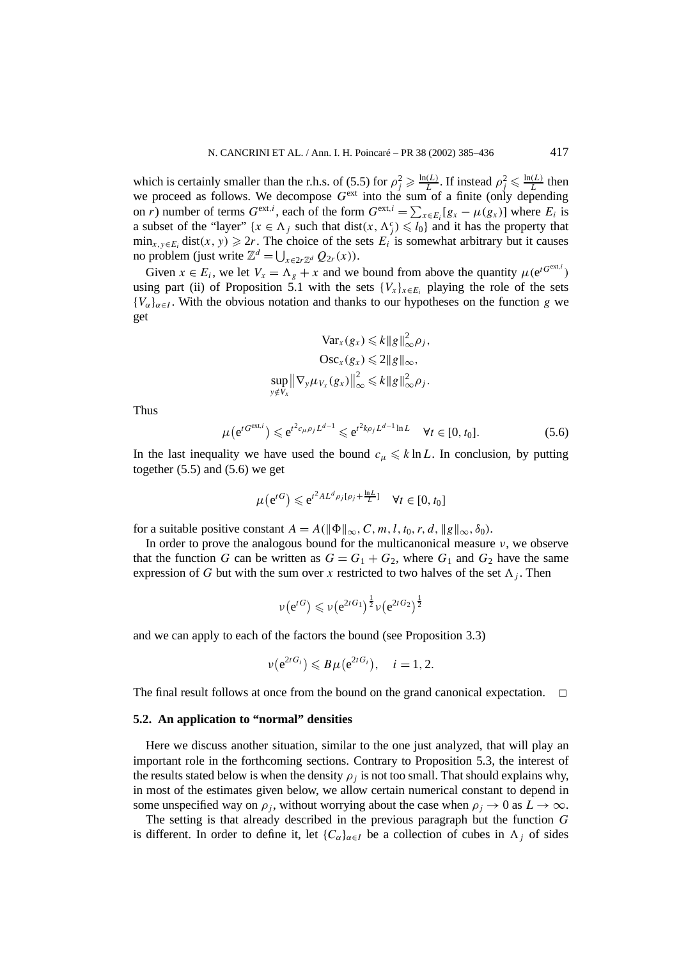which is certainly smaller than the r.h.s. of (5.5) for  $\rho_j^2 \ge \frac{\ln(L)}{L}$ . If instead  $\rho_j^2 \le \frac{\ln(L)}{L}$  then we proceed as follows. We decompose *G*ext into the sum of a finite (only depending on *r*) number of terms  $G^{\text{ext},i}$ , each of the form  $G^{\text{ext},i} = \sum_{x \in E_i} [g_x - \mu(g_x)]$  where  $E_i$  is a subset of the "layer"  $\{x \in \Lambda_j \text{ such that } dist(x, \Lambda_j^c) \leq l_0\}$  and it has the property that  $\min_{x,y\in E_i}$  dist $(x, y) \ge 2r$ . The choice of the sets  $E_i$  is somewhat arbitrary but it causes no problem (just write  $\mathbb{Z}^d = \bigcup_{x \in 2r\mathbb{Z}^d} Q_{2r}(x)$ ).

Given  $x \in E_i$ , we let  $V_x = \Lambda_g + x$  and we bound from above the quantity  $\mu(e^{tG^{ext,i}})$ using part (ii) of Proposition 5.1 with the sets  ${V_x}_{x \in E_i}$  playing the role of the sets  ${V_{\alpha}}_{\alpha \in I}$ . With the obvious notation and thanks to our hypotheses on the function *g* we get

$$
\operatorname{Var}_x(g_x) \leq k \|g\|_{\infty}^2 \rho_j,
$$
  
\n
$$
\operatorname{Osc}_x(g_x) \leq 2 \|g\|_{\infty},
$$
  
\n
$$
\sup_{y \notin V_x} \|\nabla_y \mu_{V_x}(g_x)\|_{\infty}^2 \leq k \|g\|_{\infty}^2 \rho_j.
$$

Thus

$$
\mu(e^{tG^{\text{ext},i}}) \leq e^{t^2 c_\mu \rho_j L^{d-1}} \leq e^{t^2 k \rho_j L^{d-1} \ln L} \quad \forall t \in [0, t_0]. \tag{5.6}
$$

In the last inequality we have used the bound  $c_{\mu} \leq k \ln L$ . In conclusion, by putting together  $(5.5)$  and  $(5.6)$  we get

$$
\mu(e^{tG}) \leq e^{t^2 A L^d \rho_j[\rho_j + \frac{\ln L}{L}]} \quad \forall t \in [0, t_0]
$$

for a suitable positive constant  $A = A(||\Phi||_{\infty}, C, m, l, t_0, r, d, ||g||_{\infty}, \delta_0)$ .

In order to prove the analogous bound for the multicanonical measure *ν*, we observe that the function *G* can be written as  $G = G_1 + G_2$ , where  $G_1$  and  $G_2$  have the same expression of *G* but with the sum over *x* restricted to two halves of the set  $\Lambda_i$ . Then

$$
\nu(e^{tG}) \leqslant \nu(e^{2tG_1})^{\frac{1}{2}}\nu(e^{2tG_2})^{\frac{1}{2}}
$$

and we can apply to each of the factors the bound (see Proposition 3.3)

$$
\nu(e^{2tG_i}) \leqslant B\mu(e^{2tG_i}), \quad i=1,2.
$$

The final result follows at once from the bound on the grand canonical expectation.  $\Box$ 

#### **5.2. An application to "normal" densities**

Here we discuss another situation, similar to the one just analyzed, that will play an important role in the forthcoming sections. Contrary to Proposition 5.3, the interest of the results stated below is when the density  $\rho_i$  is not too small. That should explains why, in most of the estimates given below, we allow certain numerical constant to depend in some unspecified way on  $\rho_j$ , without worrying about the case when  $\rho_j \to 0$  as  $L \to \infty$ .

The setting is that already described in the previous paragraph but the function *G* is different. In order to define it, let  ${C_\alpha}_{\alpha \in I}$  be a collection of cubes in  $\Lambda_i$  of sides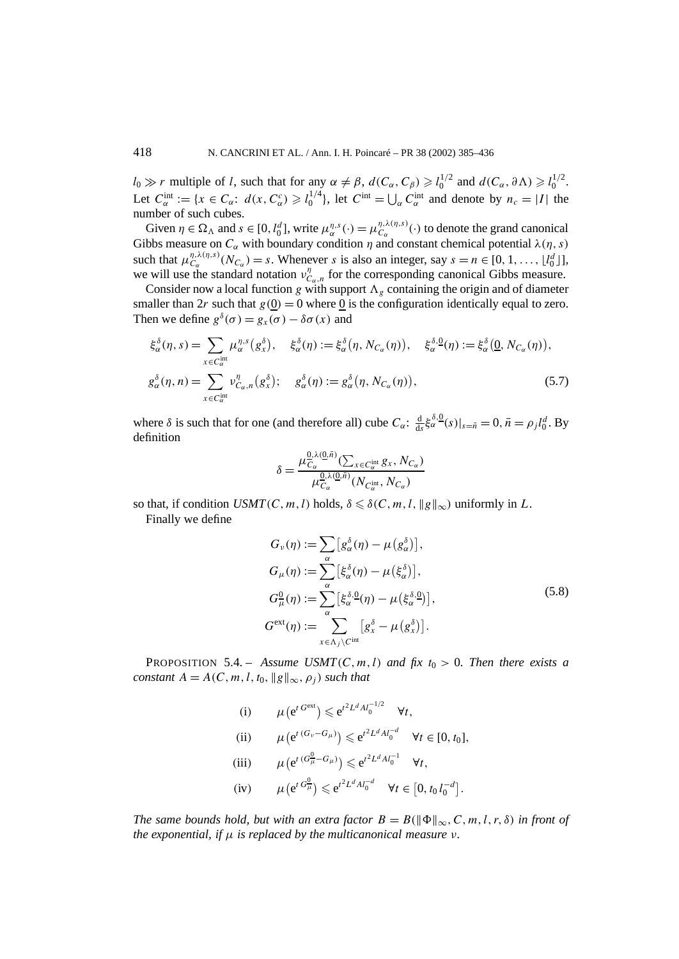$l_0 \gg r$  multiple of *l*, such that for any  $\alpha \neq \beta$ ,  $d(C_\alpha, C_\beta) \geq l_0^{1/2}$  and  $d(C_\alpha, \partial \Lambda) \geq l_0^{1/2}$ . Let  $C_{\alpha}^{int} := \{x \in C_{\alpha}: d(x, C_{\alpha}^{c}) \geq l_0^{1/4}\}$ , let  $C^{int} = \bigcup_{\alpha} C_{\alpha}^{int}$  and denote by  $n_c = |I|$  the number of such cubes.

Given  $\eta \in \Omega_\Lambda$  and  $s \in [0, l_0^d]$ , write  $\mu_\alpha^{\eta,s}(\cdot) = \mu_{C_\alpha}^{\eta,\lambda(\eta,s)}(\cdot)$  to denote the grand canonical Gibbs measure on  $C_\alpha$  with boundary condition  $\eta$  and constant chemical potential  $\lambda(\eta, s)$ such that  $\mu_{C_\alpha}^{\eta, \lambda(\eta, s)}(N_{C_\alpha}) = s$ . Whenever *s* is also an integer, say  $s = n \in [0, 1, \ldots, \lfloor l_0^d \rfloor]$ , we will use the standard notation  $v_{C_{\alpha},n}^{\eta}$  for the corresponding canonical Gibbs measure.

Consider now a local function *g* with support  $\Lambda_{g}$  containing the origin and of diameter smaller than 2*r* such that  $g(0) = 0$  where 0 is the configuration identically equal to zero. Then we define  $g^{\delta}(\sigma) = g_x(\sigma) - \delta \sigma(x)$  and

$$
\xi_{\alpha}^{\delta}(\eta, s) = \sum_{x \in C_{\alpha}^{\text{int}}} \mu_{\alpha}^{\eta, s}(g_x^{\delta}), \quad \xi_{\alpha}^{\delta}(\eta) := \xi_{\alpha}^{\delta}(\eta, N_{C_{\alpha}}(\eta)), \quad \xi_{\alpha}^{\delta, 0}(\eta) := \xi_{\alpha}^{\delta}(\underline{0}, N_{C_{\alpha}}(\eta)),
$$
  

$$
g_{\alpha}^{\delta}(\eta, n) = \sum_{x \in C_{\alpha}^{\text{int}}} \nu_{C_{\alpha}, n}^{\eta}(g_x^{\delta}); \quad g_{\alpha}^{\delta}(\eta) := g_{\alpha}^{\delta}(\eta, N_{C_{\alpha}}(\eta)), \tag{5.7}
$$

where  $\delta$  is such that for one (and therefore all) cube  $C_{\alpha}$ :  $\frac{d}{ds} \xi_{\alpha}^{\delta,0}(s)|_{s=\bar{n}} = 0$ ,  $\bar{n} = \rho_j l_0^d$ . By definition

$$
\delta = \frac{\mu_{C_{\alpha}}^{0,\lambda(0,\bar{n})}(\sum_{x \in C_{\alpha}^{\text{int}}} g_x, N_{C_{\alpha}})}{\mu_{C_{\alpha}}^{0,\lambda(0,\bar{n})}(N_{C_{\alpha}^{\text{int}}}, N_{C_{\alpha}})}
$$

so that, if condition *USMT*(*C*, *m*, *l*) holds,  $\delta \leq \delta$ (*C*, *m*, *l*,  $||g||_{\infty}$ ) uniformly in *L*. Finally we define

$$
G_{\nu}(\eta) := \sum_{\alpha} [g_{\alpha}^{\delta}(\eta) - \mu(g_{\alpha}^{\delta})],
$$
  
\n
$$
G_{\mu}(\eta) := \sum_{\alpha} [\xi_{\alpha}^{\delta}(\eta) - \mu(\xi_{\alpha}^{\delta})],
$$
  
\n
$$
G_{\mu}^0(\eta) := \sum_{\alpha} [\xi_{\alpha}^{\delta,0}(\eta) - \mu(\xi_{\alpha}^{\delta,0})],
$$
  
\n
$$
G^{\text{ext}}(\eta) := \sum_{x \in \Lambda_j \setminus C^{\text{int}}} [g_x^{\delta} - \mu(g_x^{\delta})].
$$
\n(5.8)

PROPOSITION 5.4. – *Assume USMT*(*C*, *m*, *l*) *and fix*  $t_0 > 0$ *. Then there exists a constant*  $A = A(C, m, l, t_0, ||g||_{\infty}, \rho_i)$  *such that* 

(i)  $\mu(e^{t G^{ext}}) \leq e^{t^2 L^d A l_0^{-1/2}} \quad \forall t,$ 

(ii) 
$$
\mu(e^{t(G_v - G_{\mu})}) \le e^{t^2 L^d A l_0^{-d}} \quad \forall t \in [0, t_0],
$$

- $(\text{iii}) \qquad \mu(e^{t (G_{\mu}^0 G_{\mu})}) \leq e^{t^2 L^d A l_0^{-1}} \quad \forall t,$
- (iv)  $\mu(e^{t G_{\mu}^0}) \leq e^{t^2 L^d A l_0^{-d}} \quad \forall t \in [0, t_0 l_0^{-d}].$

*The same bounds hold, but with an extra factor*  $B = B(||\Phi||_{\infty}, C, m, l, r, \delta)$  *in front of the exponential, if µ is replaced by the multicanonical measure ν.*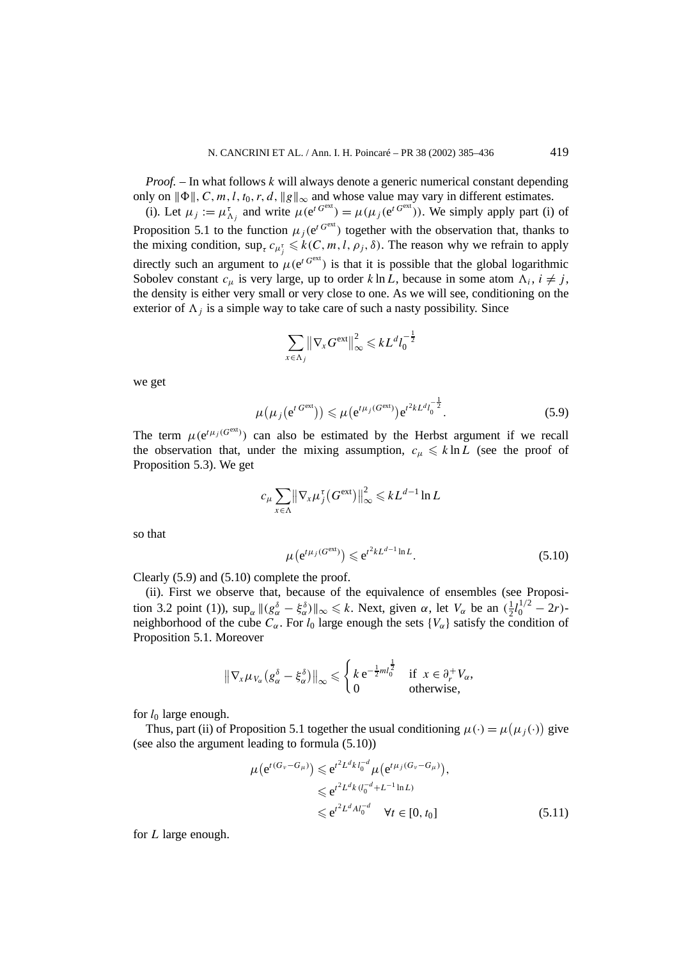*Proof. –* In what follows *k* will always denote a generic numerical constant depending only on  $\|\Phi\|$ , C, m, l, t<sub>0</sub>, r, d,  $\|g\|_{\infty}$  and whose value may vary in different estimates.

(i). Let  $\mu_j := \mu_{\Lambda_j}^{\tau}$  and write  $\mu(e^{t G^{\text{ext}}}) = \mu(\mu_j(e^{t G^{\text{ext}}}))$ . We simply apply part (i) of Proposition 5.1 to the function  $\mu_i(e^{t G<sup>ext</sup>})$  together with the observation that, thanks to the mixing condition,  $\sup_{\tau} c_{\mu_{j}^{\tau}} \leq k(C, m, l, \rho_{j}, \delta)$ . The reason why we refrain to apply directly such an argument to  $\mu(e^{t G^{ext}})$  is that it is possible that the global logarithmic Sobolev constant  $c_{\mu}$  is very large, up to order  $k \ln L$ , because in some atom  $\Lambda_i$ ,  $i \neq j$ , the density is either very small or very close to one. As we will see, conditioning on the exterior of  $\Lambda_i$  is a simple way to take care of such a nasty possibility. Since

$$
\sum_{x \in \Lambda_j} \left\| \nabla_x G^{\text{ext}} \right\|_{\infty}^2 \leqslant k L^d l_0^{-\frac{1}{2}}
$$

we get

$$
\mu(\mu_j(e^{t G^{\text{ext}}})) \leq \mu(e^{t \mu_j(G^{\text{ext}})}) e^{t^2 k L^d l_0^{-\frac{1}{2}}}.
$$
\n(5.9)

− 1

The term  $\mu(e^{t\mu_j(G^{ext})})$  can also be estimated by the Herbst argument if we recall the observation that, under the mixing assumption,  $c_{\mu} \leq k \ln L$  (see the proof of Proposition 5.3). We get

$$
c_{\mu} \sum_{x \in \Lambda} \left\| \nabla_x \mu_j^{\tau} (G^{\text{ext}}) \right\|_{\infty}^2 \leqslant k L^{d-1} \ln L
$$

so that

$$
\mu\left(e^{t\mu_j(G^{\text{ext}})}\right) \leqslant e^{t^2kL^{d-1}\ln L}.\tag{5.10}
$$

Clearly (5.9) and (5.10) complete the proof.

(ii). First we observe that, because of the equivalence of ensembles (see Proposition 3.2 point (1)),  $\sup_{\alpha} ||(g_{\alpha}^{\delta} - \xi_{\alpha}^{\delta})||_{\infty} \le k$ . Next, given  $\alpha$ , let  $V_{\alpha}$  be an  $(\frac{1}{2}l_0^{1/2} - 2r)$ neighborhood of the cube  $C_\alpha$ . For  $l_0$  large enough the sets  $\{V_\alpha\}$  satisfy the condition of Proposition 5.1. Moreover

$$
\|\nabla_x \mu_{V_\alpha} (g_\alpha^\delta - \xi_\alpha^\delta)\|_\infty \leq \begin{cases} k \,\mathrm{e}^{-\frac{1}{2}ml_0^{\frac{1}{2}}} & \text{if } x \in \partial_r^+ V_\alpha, \\ 0 & \text{otherwise,} \end{cases}
$$

for *l*<sup>0</sup> large enough.

Thus, part (ii) of Proposition 5.1 together the usual conditioning  $\mu(\cdot) = \mu(\mu_j(\cdot))$  give (see also the argument leading to formula (5.10))

$$
\mu(e^{t(G_v - G_{\mu})}) \leq e^{t^2 L^d k l_0^{-d}} \mu(e^{t \mu_j(G_v - G_{\mu})}),
$$
  
\n
$$
\leq e^{t^2 L^d k (l_0^{-d} + L^{-1} \ln L)}
$$
  
\n
$$
\leq e^{t^2 L^d A l_0^{-d}} \quad \forall t \in [0, t_0]
$$
\n(5.11)

for *L* large enough.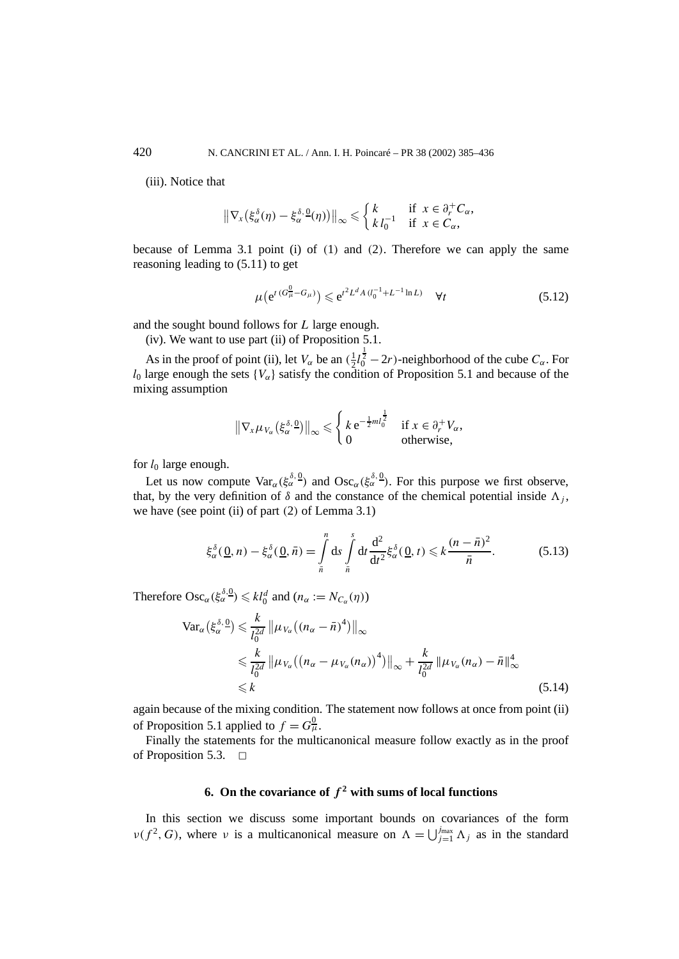(iii). Notice that

$$
\|\nabla_x(\xi_\alpha^\delta(\eta)-\xi_\alpha^\delta\cdot\Omega(\eta))\|_\infty\leq \begin{cases}k & \text{if } x\in\partial_r^+C_\alpha, \\ k\,l_0^{-1} & \text{if } x\in C_\alpha,\end{cases}
$$

because of Lemma 3.1 point (i) of *(*1*)* and *(*2*)*. Therefore we can apply the same reasoning leading to (5.11) to get

$$
\mu(e^{t(G_{\mu}^0 - G_{\mu})}) \leq e^{t^2 L^d A (l_0^{-1} + L^{-1} \ln L)} \quad \forall t
$$
\n(5.12)

and the sought bound follows for *L* large enough.

(iv). We want to use part (ii) of Proposition 5.1.

As in the proof of point (ii), let  $V_\alpha$  be an  $(\frac{1}{2}l_0^{\frac{1}{2}} - 2r)$ -neighborhood of the cube  $C_\alpha$ . For  $l_0$  large enough the sets  ${V_\alpha}$  satisfy the condition of Proposition 5.1 and because of the mixing assumption

$$
\|\nabla_x \mu_{V_\alpha}(\xi_\alpha^{\delta, \underline{0}})\|_{\infty} \leqslant \begin{cases} k e^{-\frac{1}{2}ml_0^{\frac{1}{2}}} & \text{if } x \in \partial_r^+ V_\alpha, \\ 0 & \text{otherwise,} \end{cases}
$$

for *l*<sup>0</sup> large enough.

Let us now compute  $\text{Var}_{\alpha}(\xi_{\alpha}^{\delta,0})$  and  $\text{Osc}_{\alpha}(\xi_{\alpha}^{\delta,0})$ . For this purpose we first observe, that, by the very definition of  $\delta$  and the constance of the chemical potential inside  $\Lambda_i$ , we have (see point (ii) of part *(*2*)* of Lemma 3.1)

$$
\xi_{\alpha}^{\delta}(\underline{0},n) - \xi_{\alpha}^{\delta}(\underline{0},\bar{n}) = \int\limits_{\bar{n}}^{n} ds \int\limits_{\bar{n}}^{s} dt \frac{d^{2}}{dt^{2}} \xi_{\alpha}^{\delta}(\underline{0},t) \leq k \frac{(n-\bar{n})^{2}}{\bar{n}}.
$$
 (5.13)

Therefore  $\mathrm{Osc}_{\alpha}(\xi_{\alpha}^{\delta,0}) \leq k l_0^d$  and  $(n_{\alpha} := N_{C_{\alpha}}(\eta))$ 

$$
\operatorname{Var}_{\alpha}(\xi_{\alpha}^{\delta,\,0}) \leq \frac{k}{l_0^{2d}} \left\| \mu_{V_{\alpha}} \left( (n_{\alpha} - \bar{n})^4 \right) \right\|_{\infty}
$$
\n
$$
\leq \frac{k}{l_0^{2d}} \left\| \mu_{V_{\alpha}} \left( (n_{\alpha} - \mu_{V_{\alpha}}(n_{\alpha}))^4 \right) \right\|_{\infty} + \frac{k}{l_0^{2d}} \left\| \mu_{V_{\alpha}}(n_{\alpha}) - \bar{n} \right\|_{\infty}^4
$$
\n
$$
\leq k \tag{5.14}
$$

again because of the mixing condition. The statement now follows at once from point (ii) of Proposition 5.1 applied to  $f = G^0_\mu$ .

Finally the statements for the multicanonical measure follow exactly as in the proof of Proposition 5.3.  $\Box$ 

# **6.** On the covariance of  $f^2$  with sums of local functions

In this section we discuss some important bounds on covariances of the form  $\nu(f^2, G)$ , where *ν* is a multicanonical measure on  $\Lambda = \bigcup_{j=1}^{j_{\text{max}}}\Lambda_j$  as in the standard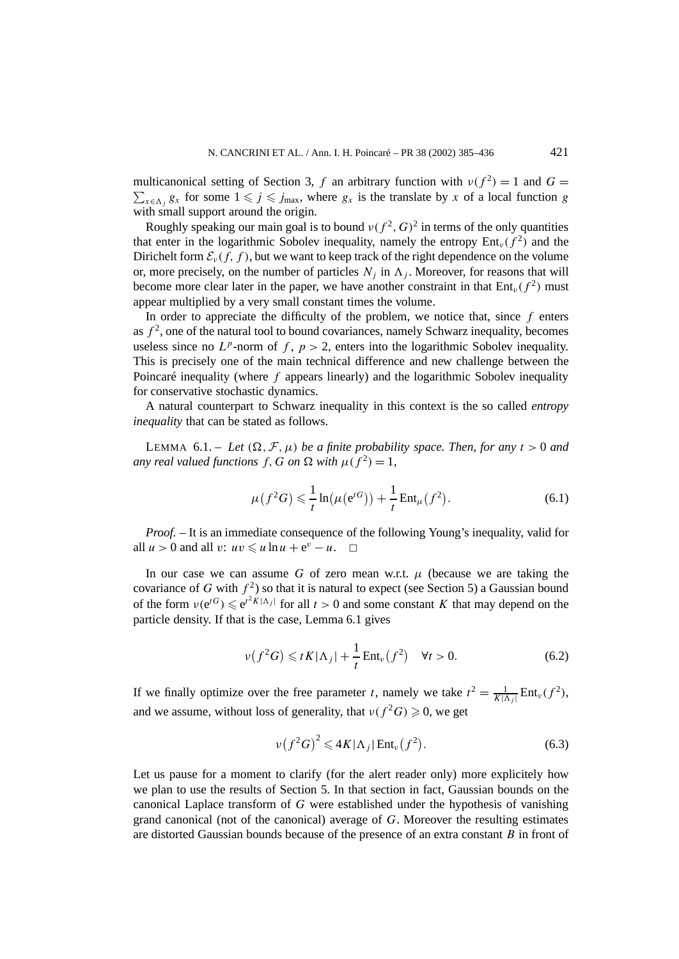multicanonical setting of Section 3, *f* an arbitrary function with  $v(f^2) = 1$  and  $G =$  $\sum_{x \in \Lambda_j} g_x$  for some  $1 \leq j \leq j_{\text{max}}$ , where  $g_x$  is the translate by *x* of a local function *g* with small support around the origin.

Roughly speaking our main goal is to bound  $v(f^2, G)^2$  in terms of the only quantities that enter in the logarithmic Sobolev inequality, namely the entropy  $Ent_v(f^2)$  and the Dirichelt form  $\mathcal{E}_v(f, f)$ , but we want to keep track of the right dependence on the volume or, more precisely, on the number of particles  $N_i$  in  $\Lambda_i$ . Moreover, for reasons that will become more clear later in the paper, we have another constraint in that  $Ent_v(f^2)$  must appear multiplied by a very small constant times the volume.

In order to appreciate the difficulty of the problem, we notice that, since *f* enters as  $f^2$ , one of the natural tool to bound covariances, namely Schwarz inequality, becomes useless since no  $L^p$ -norm of  $f, p > 2$ , enters into the logarithmic Sobolev inequality. This is precisely one of the main technical difference and new challenge between the Poincaré inequality (where *f* appears linearly) and the logarithmic Sobolev inequality for conservative stochastic dynamics.

A natural counterpart to Schwarz inequality in this context is the so called *entropy inequality* that can be stated as follows.

LEMMA 6.1. – Let  $(\Omega, \mathcal{F}, \mu)$  be a finite probability space. Then, for any  $t > 0$  and *any real valued functions*  $f$ ,  $G$  *on*  $\Omega$  *with*  $\mu(f^2) = 1$ ,

$$
\mu(f^2 G) \leq \frac{1}{t} \ln(\mu(e^{tG})) + \frac{1}{t} \text{Ent}_{\mu}(f^2).
$$
\n(6.1)

*Proof. –* It is an immediate consequence of the following Young's inequality, valid for all  $u > 0$  and all  $v: uv \leq u \ln u + e^v - u$ .  $\Box$ 

In our case we can assume *G* of zero mean w.r.t.  $\mu$  (because we are taking the covariance of *G* with  $f^2$ ) so that it is natural to expect (see Section 5) a Gaussian bound of the form  $v(e^{tG}) \le e^{t^2 K |\Lambda_j|}$  for all  $t > 0$  and some constant *K* that may depend on the particle density. If that is the case, Lemma 6.1 gives

$$
\nu(f^2 G) \leqslant t K |\Lambda_j| + \frac{1}{t} \operatorname{Ent}_{\nu}(f^2) \quad \forall t > 0. \tag{6.2}
$$

If we finally optimize over the free parameter *t*, namely we take  $t^2 = \frac{1}{K|\Lambda_j|} \text{Ent}_{\nu}(f^2)$ , and we assume, without loss of generality, that  $\nu(f^2G) \geq 0$ , we get

$$
\nu(f^2G)^2 \leqslant 4K|\Lambda_j|\operatorname{Ent}_{\nu}(f^2). \tag{6.3}
$$

Let us pause for a moment to clarify (for the alert reader only) more explicitely how we plan to use the results of Section 5. In that section in fact, Gaussian bounds on the canonical Laplace transform of *G* were established under the hypothesis of vanishing grand canonical (not of the canonical) average of *G*. Moreover the resulting estimates are distorted Gaussian bounds because of the presence of an extra constant *B* in front of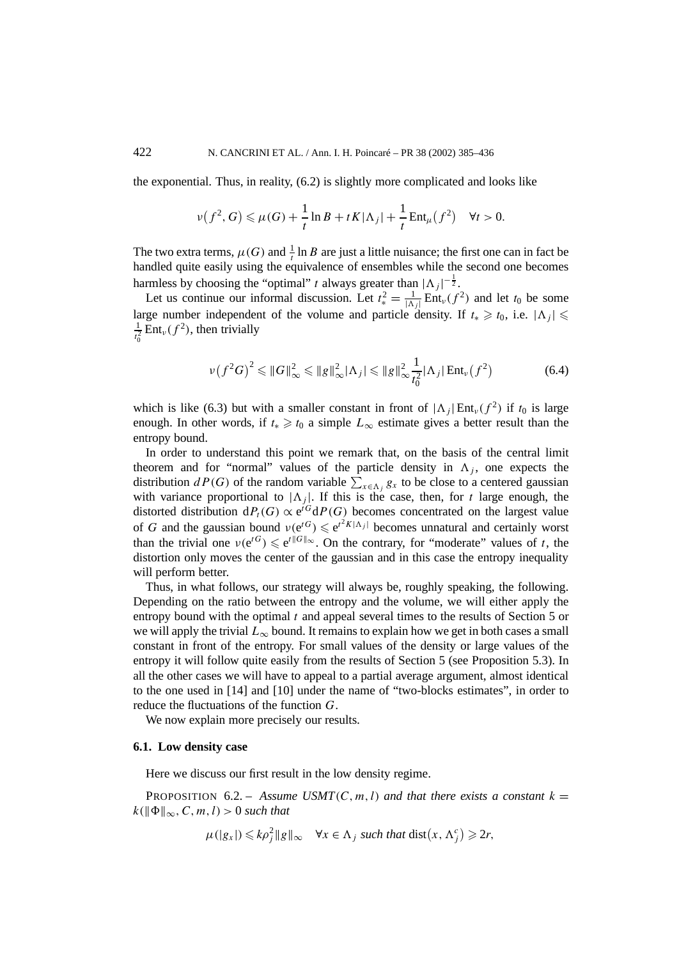the exponential. Thus, in reality, (6.2) is slightly more complicated and looks like

$$
\nu(f^2, G) \leq \mu(G) + \frac{1}{t} \ln B + t K |\Lambda_j| + \frac{1}{t} \text{Ent}_{\mu}(f^2) \quad \forall t > 0.
$$

The two extra terms,  $\mu(G)$  and  $\frac{1}{t}$  ln *B* are just a little nuisance; the first one can in fact be handled quite easily using the equivalence of ensembles while the second one becomes harmless by choosing the "optimal" *t* always greater than  $|\Lambda_j|^{-\frac{1}{2}}$ .

Let us continue our informal discussion. Let  $t_*^2 = \frac{1}{|\Lambda_j|} \text{Ent}_{\nu}(f^2)$  and let  $t_0$  be some large number independent of the volume and particle density. If  $t_* \geq t_0$ , i.e.  $|\Lambda_j| \leq$  $\frac{1}{t_0^2}$  Ent<sub>*v*</sub>( $f^2$ ), then trivially 0

$$
\nu(f^2G)^2 \leq \|G\|_{\infty}^2 \leq \|g\|_{\infty}^2 |\Lambda_j| \leq \|g\|_{\infty}^2 \frac{1}{t_0^2} |\Lambda_j| \operatorname{Ent}_{\nu}(f^2) \tag{6.4}
$$

which is like (6.3) but with a smaller constant in front of  $|\Lambda_i| \text{Ent}_v(f^2)$  if  $t_0$  is large enough. In other words, if  $t_* \geq t_0$  a simple  $L_{\infty}$  estimate gives a better result than the entropy bound.

In order to understand this point we remark that, on the basis of the central limit theorem and for "normal" values of the particle density in  $\Lambda_i$ , one expects the distribution *dP*(*G*) of the random variable  $\sum_{x \in \Lambda_j} g_x$  to be close to a centered gaussian with variance proportional to  $|\Lambda_j|$ . If this is the case, then, for *t* large enough, the distorted distribution  $dP_t(G) \propto e^{iG} dP(G)$  becomes concentrated on the largest value of *G* and the gaussian bound  $v(e^{tG}) \le e^{t^2 K |\Lambda_j|}$  becomes unnatural and certainly worst than the trivial one  $v(e^{tG}) \le e^{t\|G\|_{\infty}}$ . On the contrary, for "moderate" values of *t*, the distortion only moves the center of the gaussian and in this case the entropy inequality will perform better.

Thus, in what follows, our strategy will always be, roughly speaking, the following. Depending on the ratio between the entropy and the volume, we will either apply the entropy bound with the optimal *t* and appeal several times to the results of Section 5 or we will apply the trivial  $L_{\infty}$  bound. It remains to explain how we get in both cases a small constant in front of the entropy. For small values of the density or large values of the entropy it will follow quite easily from the results of Section 5 (see Proposition 5.3). In all the other cases we will have to appeal to a partial average argument, almost identical to the one used in [14] and [10] under the name of "two-blocks estimates", in order to reduce the fluctuations of the function *G*.

We now explain more precisely our results.

### **6.1. Low density case**

Here we discuss our first result in the low density regime.

**PROPOSITION** 6.2. – *Assume USMT*(*C*, *m*, *l*) *and that there exists a constant*  $k =$  $k(\phi\|\Phi\|_{\infty}, C, m, l) > 0$  *such that* 

$$
\mu(|g_x|) \leq k\rho_j^2 \|g\|_{\infty} \quad \forall x \in \Lambda_j \text{ such that } \text{dist}\big(x, \Lambda_j^c\big) \geq 2r,
$$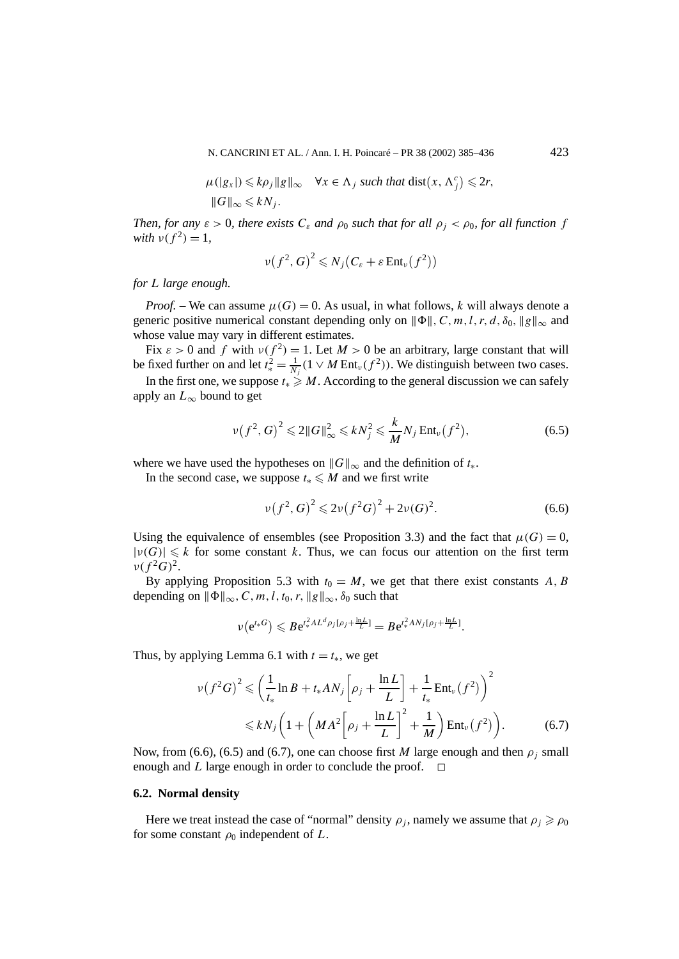N. CANCRINI ET AL. / Ann. I. H. Poincaré – PR 38 (2002) 385–436 423

$$
\mu(|g_x|) \le k\rho_j \|g\|_{\infty} \quad \forall x \in \Lambda_j \text{ such that } \text{dist}(x, \Lambda_j^c) \le 2r,
$$
  

$$
\|G\|_{\infty} \le kN_j.
$$

*Then, for any*  $\varepsilon > 0$ *, there exists*  $C_{\varepsilon}$  *and*  $\rho_0$  *such that for all*  $\rho_j < \rho_0$ *, for all function f with*  $v(f^2) = 1$ ,

$$
\nu(f^2, G)^2 \leq N_j (C_{\varepsilon} + \varepsilon \operatorname{Ent}_{\nu}(f^2))
$$

*for L large enough.*

*Proof.* – We can assume  $\mu(G) = 0$ . As usual, in what follows, k will always denote a generic positive numerical constant depending only on  $\|\Phi\|$ , C, m, l, r, d,  $\delta_0$ ,  $\|g\|_{\infty}$  and whose value may vary in different estimates.

Fix  $\varepsilon > 0$  and f with  $v(f^2) = 1$ . Let  $M > 0$  be an arbitrary, large constant that will be fixed further on and let  $t_*^2 = \frac{1}{N_j}(1 \vee M \text{Ent}_{\nu}(f^2))$ . We distinguish between two cases.

In the first one, we suppose  $t_* \ge M$ . According to the general discussion we can safely apply an  $L_{\infty}$  bound to get

$$
\nu(f^2, G)^2 \leq 2\|G\|_{\infty}^2 \leq kN_j^2 \leq \frac{k}{M}N_j \operatorname{Ent}_{\nu}(f^2),\tag{6.5}
$$

where we have used the hypotheses on  $\|G\|_{\infty}$  and the definition of  $t_{*}$ .

In the second case, we suppose  $t_* \leq M$  and we first write

$$
\nu(f^2, G)^2 \leq 2\nu(f^2G)^2 + 2\nu(G)^2.
$$
\n(6.6)

Using the equivalence of ensembles (see Proposition 3.3) and the fact that  $\mu(G) = 0$ ,  $|\nu(G)| \leq k$  for some constant k. Thus, we can focus our attention on the first term  $\nu(f^2G)^2$ .

By applying Proposition 5.3 with  $t_0 = M$ , we get that there exist constants A, B depending on  $\|\Phi\|_{\infty}$ , C, m, l, t<sub>0</sub>, r,  $\|g\|_{\infty}$ ,  $\delta_0$  such that

$$
\nu(e^{t_*G}) \leqslant Be^{t_*^2 AL^d \rho_j[\rho_j + \frac{\ln L}{L}]} = Be^{t_*^2 AN_j[\rho_j + \frac{\ln L}{L}]}.
$$

Thus, by applying Lemma 6.1 with  $t = t_*$ , we get

$$
\nu(f^2G)^2 \leqslant \left(\frac{1}{t_*}\ln B + t_*AN_j\left[\rho_j + \frac{\ln L}{L}\right] + \frac{1}{t_*}\text{Ent}_{\nu}(f^2)\right)^2
$$
  
 
$$
\leqslant kN_j\left(1 + \left(MA^2\left[\rho_j + \frac{\ln L}{L}\right]^2 + \frac{1}{M}\right)\text{Ent}_{\nu}(f^2)\right).
$$
 (6.7)

Now, from (6.6), (6.5) and (6.7), one can choose first *M* large enough and then  $\rho_i$  small enough and *L* large enough in order to conclude the proof.  $\Box$ 

# **6.2. Normal density**

Here we treat instead the case of "normal" density  $\rho_j$ , namely we assume that  $\rho_j \geqslant \rho_0$ for some constant  $\rho_0$  independent of  $L$ .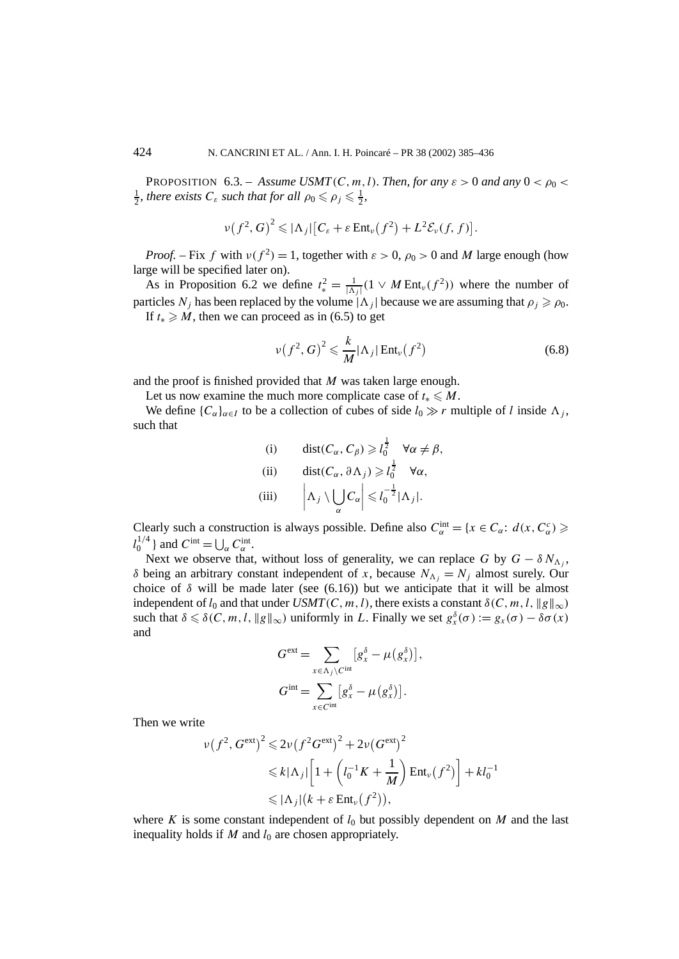**PROPOSITION** 6.3. – *Assume USMT*(*C, m, l). Then, for any*  $\varepsilon > 0$  *and any*  $0 < \rho_0$  $\frac{1}{2}$ *, there exists*  $C_{\varepsilon}$  *such that for all*  $\rho_0 \leqslant \rho_j \leqslant \frac{1}{2}$ *,* 

$$
\nu(f^2,G)^2\leqslant |\Lambda_j|\big[C_\varepsilon+\varepsilon \operatorname{Ent}_{\nu}(f^2)+L^2\mathcal{E}_{\nu}(f,f)\big].
$$

*Proof.* – Fix *f* with  $v(f^2) = 1$ , together with  $\varepsilon > 0$ ,  $\rho_0 > 0$  and *M* large enough (how large will be specified later on).

As in Proposition 6.2 we define  $t_*^2 = \frac{1}{|\Lambda_j|}(1 \vee M \text{Ent}_{\nu}(f^2))$  where the number of particles  $N_j$  has been replaced by the volume  $|\Lambda_j|$  because we are assuming that  $\rho_j \geqslant \rho_0$ . If  $t_* \ge M$ , then we can proceed as in (6.5) to get

$$
\nu(f^2, G)^2 \leqslant \frac{k}{M} |\Lambda_j| \operatorname{Ent}_{\nu}(f^2)
$$
\n(6.8)

and the proof is finished provided that *M* was taken large enough.

Let us now examine the much more complicate case of  $t_* \leq M$ .

We define  ${C_\alpha}_{\alpha \in I}$  to be a collection of cubes of side  $l_0 \gg r$  multiple of *l* inside  $\Lambda_i$ , such that

(i) 
$$
\operatorname{dist}(C_{\alpha}, C_{\beta}) \ge l_0^{\frac{1}{2}} \quad \forall \alpha \neq \beta,
$$
  
\n(ii)  $\operatorname{dist}(C_{\alpha}, \partial \Lambda_j) \ge l_0^{\frac{1}{2}} \quad \forall \alpha,$   
\n(iii)  $\left| \Lambda_j \setminus \bigcup_{\alpha} C_{\alpha} \right| \le l_0^{-\frac{1}{2}} |\Lambda_j|.$ 

Clearly such a construction is always possible. Define also  $C_{\alpha}^{\text{int}} = \{x \in C_{\alpha}: d(x, C_{\alpha}^c) \geq$  $l_0^{1/4}$  } and  $C^{\text{int}} = \bigcup_{\alpha} C^{\text{int}}_{\alpha}$ .

Next we observe that, without loss of generality, we can replace *G* by  $G - \delta N_A$ . *δ* being an arbitrary constant independent of *x*, because  $N_{\Lambda_i} = N_i$  almost surely. Our choice of  $\delta$  will be made later (see (6.16)) but we anticipate that it will be almost independent of  $l_0$  and that under *USMT*(*C*, *m*, *l*), there exists a constant  $\delta$ (*C*, *m*, *l*,  $\|g\|_{\infty}$ ) such that  $\delta \leq \delta(C, m, l, \|g\|_{\infty})$  uniformly in *L*. Finally we set  $g_x^{\delta}(\sigma) := g_x(\sigma) - \delta \sigma(x)$ and

$$
G^{\text{ext}} = \sum_{x \in \Lambda_j \setminus C^{\text{int}}} [g_x^{\delta} - \mu(g_x^{\delta})],
$$
  

$$
G^{\text{int}} = \sum_{x \in C^{\text{int}}} [g_x^{\delta} - \mu(g_x^{\delta})].
$$

Then we write

$$
\nu(f^2, G^{\text{ext}})^2 \leq 2\nu(f^2G^{\text{ext}})^2 + 2\nu(G^{\text{ext}})^2
$$
  

$$
\leq k|\Lambda_j| \left[1 + \left(l_0^{-1}K + \frac{1}{M}\right) \text{Ent}_{\nu}(f^2)\right] + kl_0^{-1}
$$
  

$$
\leq |\Lambda_j| \left(k + \varepsilon \text{Ent}_{\nu}(f^2)\right),
$$

where K is some constant independent of  $l_0$  but possibly dependent on M and the last inequality holds if  $M$  and  $l_0$  are chosen appropriately.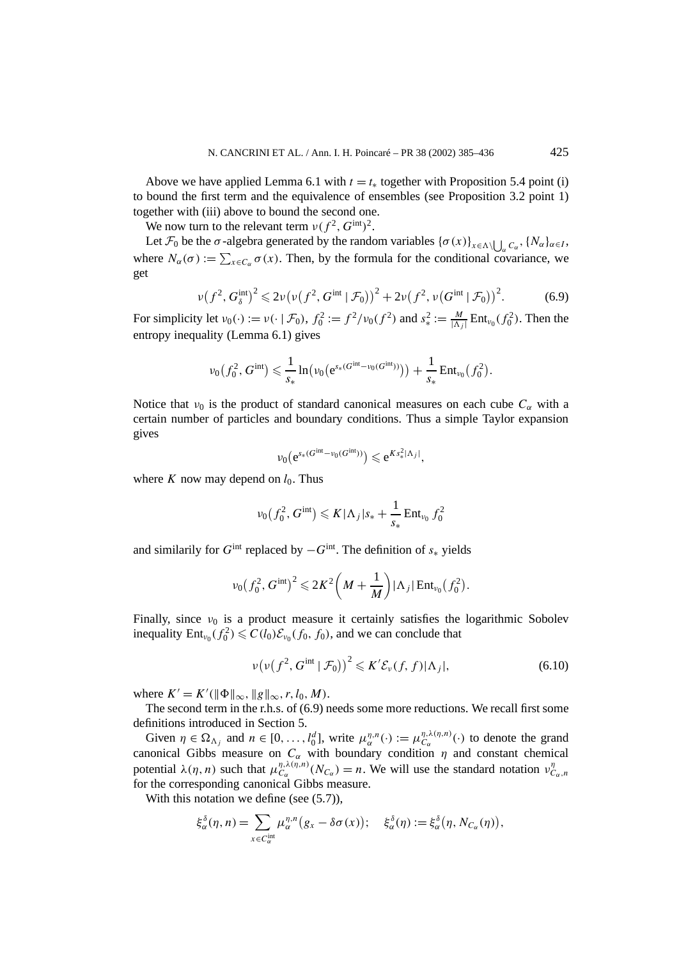Above we have applied Lemma 6.1 with  $t = t_*$  together with Proposition 5.4 point (i) to bound the first term and the equivalence of ensembles (see Proposition 3.2 point 1) together with (iii) above to bound the second one.

We now turn to the relevant term  $\nu(f^2, G^{\text{int}})^2$ .

Let  $\mathcal{F}_0$  be the *σ*-algebra generated by the random variables  $\{\sigma(x)\}_{x \in \Lambda \setminus \bigcup_{\alpha} C_{\alpha}}, \{N_{\alpha}\}_{\alpha \in I}$ , where  $N_{\alpha}(\sigma) := \sum_{x \in C_{\alpha}} \sigma(x)$ . Then, by the formula for the conditional covariance, we get

$$
\nu(f^2, G_\delta^{\text{int}})^2 \leq 2\nu\big(\nu(f^2, G^{\text{int}} \mid \mathcal{F}_0)\big)^2 + 2\nu(f^2, \nu(G^{\text{int}} \mid \mathcal{F}_0)\big)^2. \tag{6.9}
$$

For simplicity let  $v_0(\cdot) := v(\cdot \mid \mathcal{F}_0)$ ,  $f_0^2 := f^2/v_0(f^2)$  and  $s_*^2 := \frac{M}{|\Lambda_j|} \text{Ent}_{v_0}(f_0^2)$ . Then the entropy inequality (Lemma 6.1) gives

$$
\nu_0(f_0^2, G^{\text{int}}) \leq \frac{1}{s_*} \ln \bigl( \nu_0 \bigl( e^{s_*(G^{\text{int}} - \nu_0(G^{\text{int}}))} \bigr) \bigr) + \frac{1}{s_*} \text{Ent}_{\nu_0}(f_0^2).
$$

Notice that  $v_0$  is the product of standard canonical measures on each cube  $C_\alpha$  with a certain number of particles and boundary conditions. Thus a simple Taylor expansion gives

$$
\nu_0\big(e^{s_*(G^{\text{int}}-\nu_0(G^{\text{int}}))}\big)\leqslant e^{Ks_*^2|\Lambda_j|},
$$

where  $K$  now may depend on  $l_0$ . Thus

$$
\nu_0(f_0^2, G^{\text{int}}) \leqslant K|\Lambda_j|s_* + \frac{1}{s_*} \text{Ent}_{\nu_0} f_0^2
$$

and similarily for  $G^{\text{int}}$  replaced by  $-G^{\text{int}}$ . The definition of  $s_*$  yields

$$
\nu_0(f_0^2, G^{\text{int}})^2 \le 2K^2 \left(M + \frac{1}{M}\right) |\Lambda_j| \text{Ent}_{\nu_0}(f_0^2).
$$

Finally, since  $v_0$  is a product measure it certainly satisfies the logarithmic Sobolev inequality  $Ent_{\nu_0}(f_0^2) \leq C(l_0)\mathcal{E}_{\nu_0}(f_0, f_0)$ , and we can conclude that

$$
\nu\big(\nu\big(f^2, G^{\text{int}} \,|\, \mathcal{F}_0\big)\big)^2 \leqslant K' \mathcal{E}_\nu(f, f) |\Lambda_j|,\tag{6.10}
$$

where  $K' = K'(\|\Phi\|_{\infty}, \|g\|_{\infty}, r, l_0, M)$ .

The second term in the r.h.s. of (6.9) needs some more reductions. We recall first some definitions introduced in Section 5.

Given  $\eta \in \Omega_{\Lambda_j}$  and  $n \in [0, \ldots, l_0]^d$ , write  $\mu_{\alpha}^{\eta, n}(\cdot) := \mu_{C_{\alpha}}^{\eta, \lambda(\eta, n)}(\cdot)$  to denote the grand canonical Gibbs measure on  $C_{\alpha}$  with boundary condition  $\eta$  and constant chemical potential  $\lambda(\eta, n)$  such that  $\mu_{C_\alpha}^{\eta, \lambda(\eta, n)}(N_{C_\alpha}) = n$ . We will use the standard notation  $\nu_{C_\alpha, n}^{\eta}$ for the corresponding canonical Gibbs measure.

With this notation we define (see  $(5.7)$ ),

$$
\xi_{\alpha}^{\delta}(\eta, n) = \sum_{x \in C_{\alpha}^{\text{int}}} \mu_{\alpha}^{\eta, n}(g_x - \delta \sigma(x)); \quad \xi_{\alpha}^{\delta}(\eta) := \xi_{\alpha}^{\delta}(\eta, N_{C_{\alpha}}(\eta)),
$$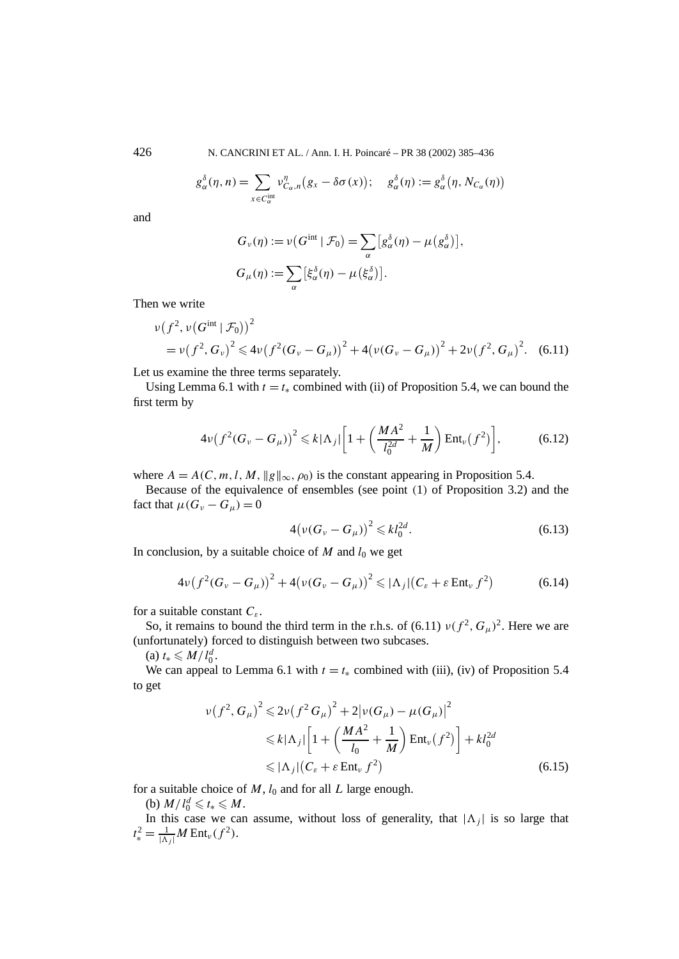426 N. CANCRINI ET AL. / Ann. I. H. Poincaré – PR 38 (2002) 385–436

$$
g_{\alpha}^{\delta}(\eta, n) = \sum_{x \in C_{\alpha}^{\text{int}}} \nu_{C_{\alpha}, n}^{\eta} (g_x - \delta \sigma(x)); \quad g_{\alpha}^{\delta}(\eta) := g_{\alpha}^{\delta} (\eta, N_{C_{\alpha}}(\eta))
$$

and

$$
G_{\nu}(\eta) := \nu(G^{\text{int}} | \mathcal{F}_0) = \sum_{\alpha} [g_{\alpha}^{\delta}(\eta) - \mu(g_{\alpha}^{\delta})],
$$
  

$$
G_{\mu}(\eta) := \sum_{\alpha} [\xi_{\alpha}^{\delta}(\eta) - \mu(\xi_{\alpha}^{\delta})].
$$

Then we write

$$
\nu(f^2, \nu(G^{\text{int}} \mid \mathcal{F}_0))^2
$$
  
=  $\nu(f^2, G_\nu)^2 \le 4\nu(f^2(G_\nu - G_\mu))^2 + 4(\nu(G_\nu - G_\mu))^2 + 2\nu(f^2, G_\mu)^2.$  (6.11)

Let us examine the three terms separately.

Using Lemma 6.1 with  $t = t_*$  combined with (ii) of Proposition 5.4, we can bound the first term by

$$
4\nu\big(f^2(G_\nu - G_\mu)\big)^2 \le k|\Lambda_j|\bigg[1 + \bigg(\frac{MA^2}{l_0^{2d}} + \frac{1}{M}\bigg) \text{Ent}_\nu(f^2)\bigg],\tag{6.12}
$$

where  $A = A(C, m, l, M, ||g||_{\infty}, \rho_0)$  is the constant appearing in Proposition 5.4.

Because of the equivalence of ensembles (see point *(*1*)* of Proposition 3.2) and the fact that  $\mu(G_v - G_u) = 0$ 

$$
4(\nu(G_{\nu} - G_{\mu}))^{2} \leq k l_0^{2d}.
$$
 (6.13)

In conclusion, by a suitable choice of  $M$  and  $l_0$  we get

$$
4\nu\big(f^2(G_\nu - G_\mu)\big)^2 + 4\big(\nu(G_\nu - G_\mu)\big)^2 \leqslant |\Lambda_j|\big(C_\varepsilon + \varepsilon \operatorname{Ent}_\nu f^2\big) \tag{6.14}
$$

for a suitable constant *Cε*.

So, it remains to bound the third term in the r.h.s. of (6.11)  $\nu(f^2, G_\mu)^2$ . Here we are (unfortunately) forced to distinguish between two subcases.

 $(a) t_* \leq M/l_0^d$ .

We can appeal to Lemma 6.1 with  $t = t_*$  combined with (iii), (iv) of Proposition 5.4 to get

$$
\nu(f^2, G_\mu)^2 \leq 2\nu(f^2 G_\mu)^2 + 2|\nu(G_\mu) - \mu(G_\mu)|^2
$$
  
\n
$$
\leq k|\Lambda_j| \left[1 + \left(\frac{MA^2}{l_0} + \frac{1}{M}\right) \text{Ent}_{\nu}(f^2)\right] + kl_0^{2d}
$$
  
\n
$$
\leq |\Lambda_j| (C_{\varepsilon} + \varepsilon \text{Ent}_{\nu} f^2)
$$
 (6.15)

for a suitable choice of *M*, *l*<sup>0</sup> and for all *L* large enough.

(b)  $M/l_0^d \leq t_* \leq M$ .

In this case we can assume, without loss of generality, that  $|\Lambda_i|$  is so large that  $t_*^2 = \frac{1}{|\Lambda_j|} M \text{Ent}_{\nu}(f^2)$ .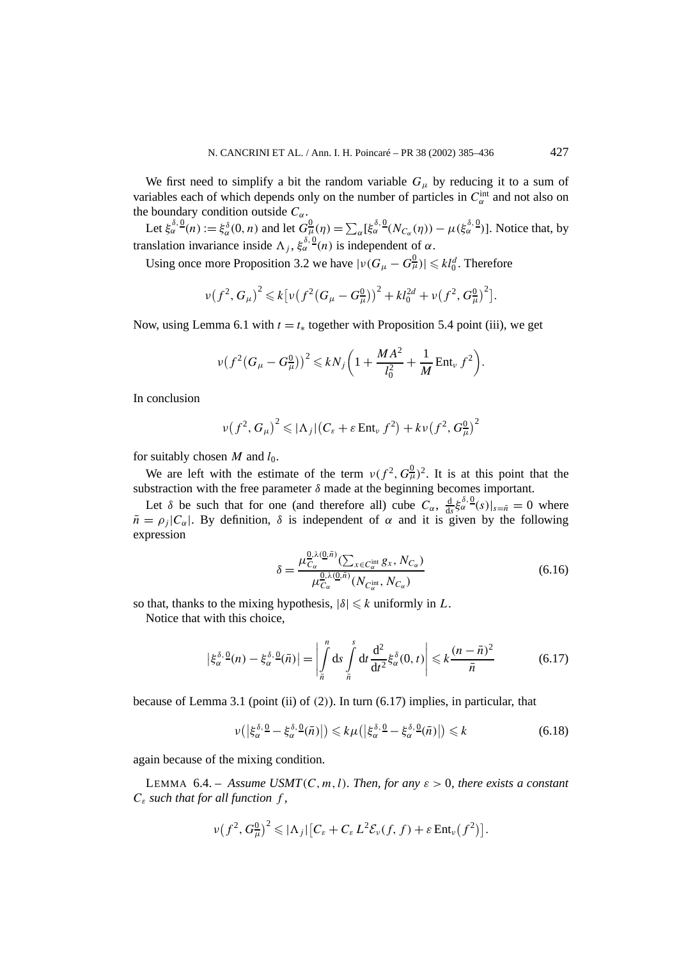We first need to simplify a bit the random variable  $G_{\mu}$  by reducing it to a sum of variables each of which depends only on the number of particles in  $C_{\alpha}^{\text{int}}$  and not also on the boundary condition outside  $C_\alpha$ .

Let  $\xi_{\alpha}^{\delta,0}(n) := \xi_{\alpha}^{\delta}(0,n)$  and let  $G_{\mu}^{0}(\eta) = \sum_{\alpha} [\xi_{\alpha}^{\delta,0}(N_{C_{\alpha}}(\eta)) - \mu (\xi_{\alpha}^{\delta,0})]$ . Notice that, by translation invariance inside  $\Lambda_j$ ,  $\xi_{\alpha}^{\delta, \Omega}(n)$  is independent of  $\alpha$ .

Using once more Proposition 3.2 we have  $|v(G_\mu - G_\mu^0)| \leq k l_0^d$ . Therefore

$$
\nu(f^2, G_\mu)^2 \leq k \big[ \nu \big(f^2 (G_\mu - G_\mu^0)\big)^2 + k l_0^{2d} + \nu \big(f^2, G_\mu^0\big)^2 \big].
$$

Now, using Lemma 6.1 with  $t = t_*$  together with Proposition 5.4 point (iii), we get

$$
\nu \big(f^2 \big(G_\mu - G_\mu^0\big)\big)^2 \leqslant k N_j \bigg(1 + \frac{M A^2}{l_0^2} + \frac{1}{M} \operatorname{Ent}_{\nu} f^2\bigg).
$$

In conclusion

$$
\nu(f^2, G_\mu)^2 \leqslant |\Lambda_j| \big( C_\varepsilon + \varepsilon \operatorname{Ent}_{\nu} f^2 \big) + k \nu \big( f^2, G_\mu^0 \big)^2
$$

for suitably chosen  $M$  and  $l_0$ .

We are left with the estimate of the term  $\nu(f^2, G^0_\mu)^2$ . It is at this point that the substraction with the free parameter  $\delta$  made at the beginning becomes important.

Let  $\delta$  be such that for one (and therefore all) cube  $C_{\alpha}$ ,  $\frac{d}{ds} \xi_{\alpha}^{\delta} g(s)|_{s=\bar{n}} = 0$  where  $\bar{n} = \rho_i |C_\alpha|$ . By definition,  $\delta$  is independent of  $\alpha$  and it is given by the following expression

$$
\delta = \frac{\mu_{C_{\alpha}}^{0,\lambda(0,\bar{n})}(\sum_{x \in C_{\alpha}^{\text{int}}} g_x, N_{C_{\alpha}})}{\mu_{C_{\alpha}}^{0,\lambda(0,\bar{n})}(N_{C_{\alpha}^{\text{int}}}, N_{C_{\alpha}})}
$$
(6.16)

so that, thanks to the mixing hypothesis,  $|\delta| \le k$  uniformly in *L*.

Notice that with this choice,

$$
\left|\xi_{\alpha}^{\delta,\,0}(n)-\xi_{\alpha}^{\delta,\,0}(\bar{n})\right|=\left|\int\limits_{\bar{n}}^{n}ds\int\limits_{\bar{n}}^{\delta}dt\frac{d^{2}}{dt^{2}}\xi_{\alpha}^{\delta}(0,t)\right|\leqslant k\frac{(n-\bar{n})^{2}}{\bar{n}}\tag{6.17}
$$

because of Lemma 3.1 (point (ii) of *(*2*)*). In turn (6.17) implies, in particular, that

$$
\nu(|\xi_{\alpha}^{\delta,\Omega} - \xi_{\alpha}^{\delta,\Omega}(\bar{n})|) \leq k \mu(|\xi_{\alpha}^{\delta,\Omega} - \xi_{\alpha}^{\delta,\Omega}(\bar{n})|) \leq k \tag{6.18}
$$

again because of the mixing condition.

LEMMA 6.4. – *Assume USMT*( $C, m, l$ )*. Then, for any*  $\varepsilon > 0$ *, there exists a constant Cε such that for all function f ,*

$$
\nu(f^2, G^0_\mu)^2 \leqslant |\Lambda_j| \big[ C_\varepsilon + C_\varepsilon L^2 \mathcal{E}_\nu(f, f) + \varepsilon \operatorname{Ent}_\nu(f^2) \big].
$$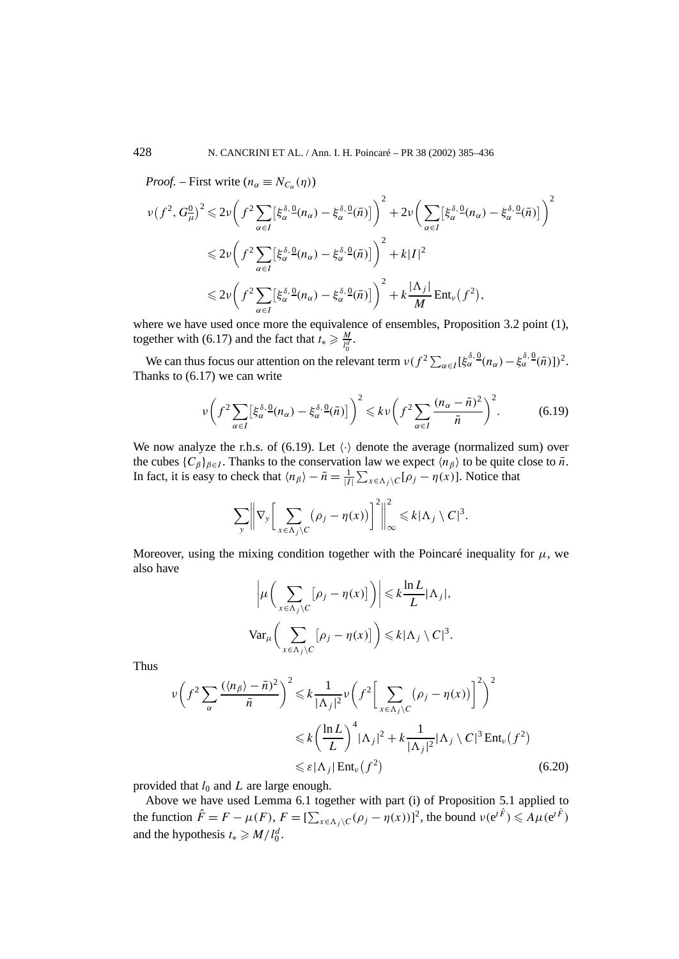*Proof.* – First write  $(n_{\alpha} \equiv N_{C_{\alpha}}(\eta))$ 

$$
\nu(f^2, G^0_\mu)^2 \leq 2\nu \left(f^2 \sum_{\alpha \in I} \left[\xi_\alpha^{\delta, \mathcal{Q}}(n_\alpha) - \xi_\alpha^{\delta, \mathcal{Q}}(\bar{n})\right]\right)^2 + 2\nu \left(\sum_{\alpha \in I} \left[\xi_\alpha^{\delta, \mathcal{Q}}(n_\alpha) - \xi_\alpha^{\delta, \mathcal{Q}}(\bar{n})\right]\right)^2
$$
  

$$
\leq 2\nu \left(f^2 \sum_{\alpha \in I} \left[\xi_\alpha^{\delta, \mathcal{Q}}(n_\alpha) - \xi_\alpha^{\delta, \mathcal{Q}}(\bar{n})\right]\right)^2 + k|I|^2
$$
  

$$
\leq 2\nu \left(f^2 \sum_{\alpha \in I} \left[\xi_\alpha^{\delta, \mathcal{Q}}(n_\alpha) - \xi_\alpha^{\delta, \mathcal{Q}}(\bar{n})\right]\right)^2 + k\frac{|\Lambda_j|}{M} \text{Ent}_{\nu}(f^2),
$$

where we have used once more the equivalence of ensembles, Proposition 3.2 point (1), together with (6.17) and the fact that  $t_* \geq \frac{M}{l_0^d}$ .

We can thus focus our attention on the relevant term  $v(f^2 \sum_{\alpha \in I} [\xi_{\alpha}^{\delta,0}(n_{\alpha}) - \xi_{\alpha}^{\delta,0}(\bar{n})])^2$ . Thanks to (6.17) we can write

$$
\nu\bigg(f^2\sum_{\alpha\in I} \left[\xi_\alpha^{\delta,\,0}(n_\alpha)-\xi_\alpha^{\delta,\,0}(\bar{n})\right]^2 \leq k\,\nu\bigg(f^2\sum_{\alpha\in I} \frac{(n_\alpha-\bar{n})^2}{\bar{n}}\bigg)^2. \tag{6.19}
$$

We now analyze the r.h.s. of (6.19). Let  $\langle \cdot \rangle$  denote the average (normalized sum) over the cubes  $\{C_\beta\}_{\beta \in I}$ . Thanks to the conservation law we expect  $\langle n_\beta \rangle$  to be quite close to  $\bar{n}$ . In fact, it is easy to check that  $\langle n_\beta \rangle - \bar{n} = \frac{1}{|I|} \sum_{x \in \Lambda_j \setminus C} [\rho_j - \eta(x)]$ . Notice that

$$
\sum_{y} \left\| \nabla_{y} \left[ \sum_{x \in \Lambda_{j} \setminus C} (\rho_{j} - \eta(x)) \right]^{2} \right\|_{\infty}^{2} \leq k |\Lambda_{j} \setminus C|^{3}.
$$

Moreover, using the mixing condition together with the Poincaré inequality for  $\mu$ , we also have

$$
\left|\mu\left(\sum_{x \in \Lambda_j \setminus C} [\rho_j - \eta(x)]\right)\right| \leq k \frac{\ln L}{L} |\Lambda_j|,
$$
  
 
$$
\text{Var}_{\mu}\left(\sum_{x \in \Lambda_j \setminus C} [\rho_j - \eta(x)]\right) \leq k |\Lambda_j \setminus C|^3.
$$

Thus

$$
\nu \left( f^2 \sum_{\alpha} \frac{(\langle n_{\beta} \rangle - \bar{n})^2}{\bar{n}} \right)^2 \leq k \frac{1}{|\Lambda_j|^2} \nu \left( f^2 \left[ \sum_{x \in \Lambda_j \setminus C} (\rho_j - \eta(x)) \right]^2 \right)^2
$$
  

$$
\leq k \left( \frac{\ln L}{L} \right)^4 |\Lambda_j|^2 + k \frac{1}{|\Lambda_j|^2} |\Lambda_j \setminus C|^3 \operatorname{Ent}_{\nu} (f^2)
$$
  

$$
\leq \varepsilon |\Lambda_j| \operatorname{Ent}_{\nu} (f^2) \tag{6.20}
$$

provided that  $l_0$  and  $L$  are large enough.

Above we have used Lemma 6.1 together with part (i) of Proposition 5.1 applied to the function  $\hat{F} = F - \mu(F)$ ,  $F = [\sum_{x \in \Lambda_j \setminus C} (\rho_j - \eta(x))]^2$ , the bound  $\nu(e^{t\hat{F}}) \leq A\mu(e^{t\hat{F}})$ and the hypothesis  $t_* \ge M/l_0^d$ .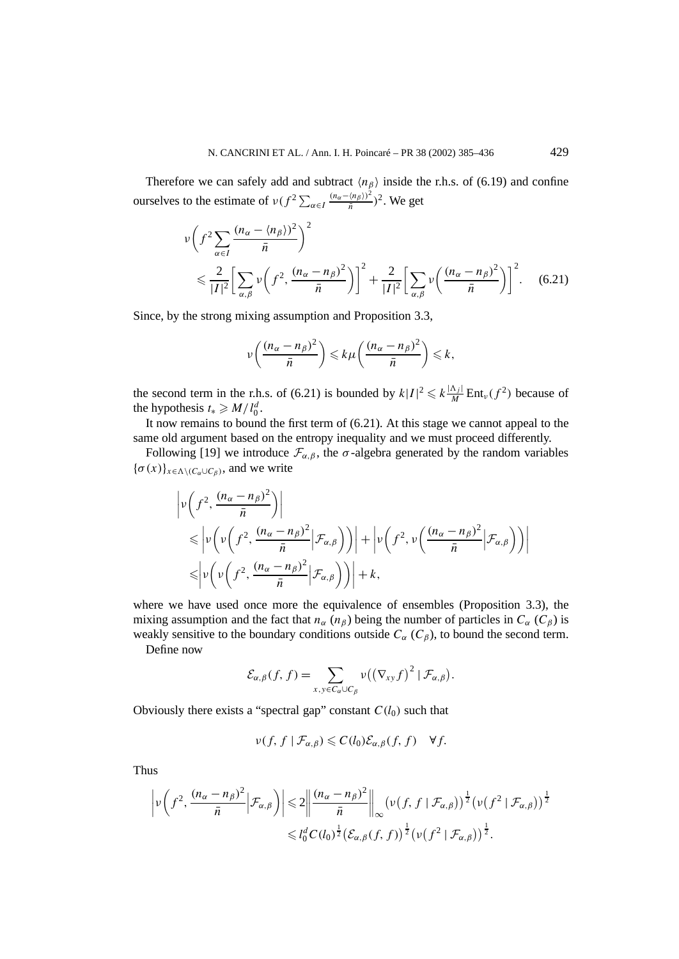Therefore we can safely add and subtract  $\langle n_\beta \rangle$  inside the r.h.s. of (6.19) and confine ourselves to the estimate of  $\nu(f^2 \sum_{\alpha \in I} \frac{(n_{\alpha} - \langle n_{\beta} \rangle)^2}{\bar{n}})^2$ . We get

$$
\nu \left( f^2 \sum_{\alpha \in I} \frac{(n_\alpha - \langle n_\beta \rangle)^2}{\bar{n}} \right)^2
$$
  
\$\leqslant \frac{2}{|I|^2} \left[ \sum\_{\alpha, \beta} \nu \left( f^2, \frac{(n\_\alpha - n\_\beta)^2}{\bar{n}} \right) \right]^2 + \frac{2}{|I|^2} \left[ \sum\_{\alpha, \beta} \nu \left( \frac{(n\_\alpha - n\_\beta)^2}{\bar{n}} \right) \right]^2 \tag{6.21}\$

Since, by the strong mixing assumption and Proposition 3.3,

$$
\nu\left(\frac{(n_{\alpha}-n_{\beta})^2}{\bar{n}}\right) \leq k\mu\left(\frac{(n_{\alpha}-n_{\beta})^2}{\bar{n}}\right) \leq k,
$$

the second term in the r.h.s. of (6.21) is bounded by  $k|I|^2 \leq k \frac{|\Lambda_j|}{M} \text{Ent}_\nu(f^2)$  because of the hypothesis  $t_* \ge M/l_0^d$ .

It now remains to bound the first term of (6.21). At this stage we cannot appeal to the same old argument based on the entropy inequality and we must proceed differently.

Following [19] we introduce  $\mathcal{F}_{\alpha,\beta}$ , the  $\sigma$ -algebra generated by the random variables  ${\{\sigma(x)\}}_{x \in \Lambda \setminus (C_{\sigma} \cup C_{\beta})}$ , and we write

$$
\left| \nu \left( f^2, \frac{(n_\alpha - n_\beta)^2}{\bar{n}} \right) \right|
$$
  
\n
$$
\leq \left| \nu \left( \nu \left( f^2, \frac{(n_\alpha - n_\beta)^2}{\bar{n}} \Big| \mathcal{F}_{\alpha,\beta} \right) \right) \right| + \left| \nu \left( f^2, \nu \left( \frac{(n_\alpha - n_\beta)^2}{\bar{n}} \Big| \mathcal{F}_{\alpha,\beta} \right) \right) \right|
$$
  
\n
$$
\leq \left| \nu \left( \nu \left( f^2, \frac{(n_\alpha - n_\beta)^2}{\bar{n}} \Big| \mathcal{F}_{\alpha,\beta} \right) \right) \right| + k,
$$

where we have used once more the equivalence of ensembles (Proposition 3.3), the mixing assumption and the fact that  $n_{\alpha}$  ( $n_{\beta}$ ) being the number of particles in  $C_{\alpha}$  ( $C_{\beta}$ ) is weakly sensitive to the boundary conditions outside  $C_\alpha$  ( $C_\beta$ ), to bound the second term.

Define now

$$
\mathcal{E}_{\alpha,\beta}(f,f)=\sum_{x,y\in C_{\alpha}\cup C_{\beta}}\nu((\nabla_{xy}f)^2\mid\mathcal{F}_{\alpha,\beta}).
$$

Obviously there exists a "spectral gap" constant  $C(l_0)$  such that

$$
\nu(f, f \mid \mathcal{F}_{\alpha,\beta}) \leqslant C(l_0) \mathcal{E}_{\alpha,\beta}(f, f) \quad \forall f.
$$

Thus

$$
\left|\nu\left(f^2,\frac{(n_{\alpha}-n_{\beta})^2}{\bar{n}}\Big|\mathcal{F}_{\alpha,\beta}\right)\right|\leqslant 2\left\|\frac{(n_{\alpha}-n_{\beta})^2}{\bar{n}}\right\|_{\infty}\left(\nu\left(f,f\mid\mathcal{F}_{\alpha,\beta}\right)\right)^{\frac{1}{2}}\left(\nu\left(f^2\mid\mathcal{F}_{\alpha,\beta}\right)\right)^{\frac{1}{2}}\right\|\\\leqslant l_0^d C(l_0)^{\frac{1}{2}}\left(\mathcal{E}_{\alpha,\beta}(f,f)\right)^{\frac{1}{2}}\left(\nu\left(f^2\mid\mathcal{F}_{\alpha,\beta}\right)\right)^{\frac{1}{2}}.
$$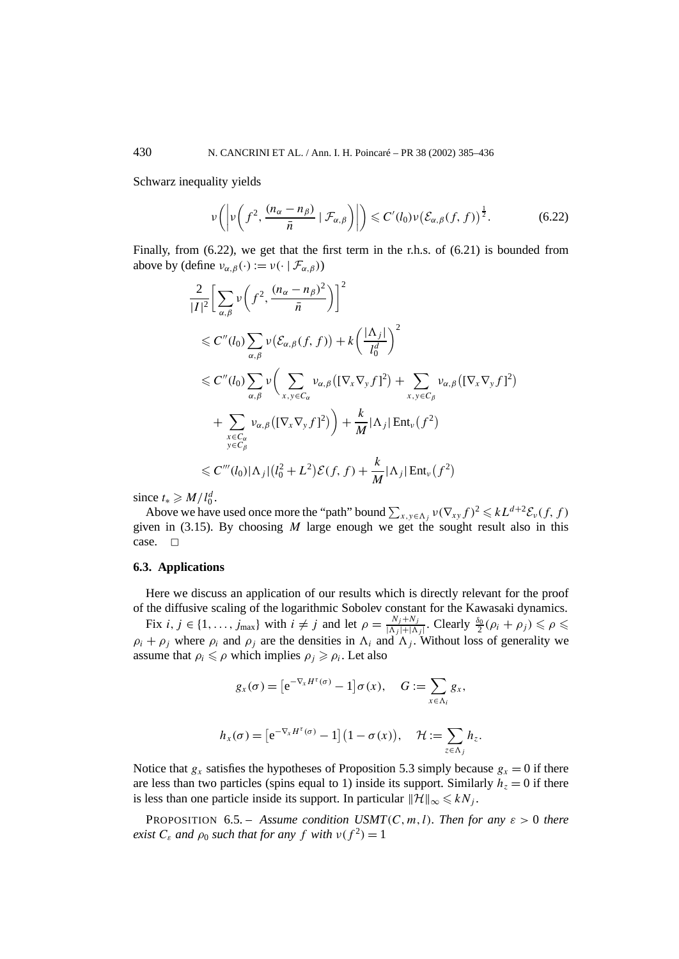Schwarz inequality yields

$$
\nu\bigg(\bigg|\nu\bigg(f^2,\frac{(n_\alpha-n_\beta)}{\bar{n}}\mid\mathcal{F}_{\alpha,\beta}\bigg)\bigg|\bigg) \leqslant C'(l_0)\nu\big(\mathcal{E}_{\alpha,\beta}(f,f)\big)^{\frac{1}{2}}.\tag{6.22}
$$

Finally, from (6.22), we get that the first term in the r.h.s. of (6.21) is bounded from above by (define  $v_{\alpha,\beta}(\cdot) := v(\cdot | \mathcal{F}_{\alpha,\beta})$ )

$$
\frac{2}{|I|^2} \Biggl[ \sum_{\alpha,\beta} \nu \biggl( f^2, \frac{(n_\alpha - n_\beta)^2}{\bar{n}} \biggr) \Biggr]^2
$$
  
\$\leq C''(l\_0) \sum\_{\alpha,\beta} \nu (\mathcal{E}\_{\alpha,\beta}(f,f)) + k \biggl( \frac{|\Lambda\_j|}{l\_0^d} \biggr)^2\$  
\$\leq C''(l\_0) \sum\_{\alpha,\beta} \nu \biggl( \sum\_{x,y \in C\_\alpha} \nu\_{\alpha,\beta} \biggl( [\nabla\_x \nabla\_y f]^2 \biggr) + \sum\_{x,y \in C\_\beta} \nu\_{\alpha,\beta} \biggl( [\nabla\_x \nabla\_y f]^2 \biggr) + \frac{k}{M} |\Lambda\_j| \operatorname{Ent}\_{\nu} (f^2) \$  
\$\leq C'''(l\_0) |\Lambda\_j| (l\_0^2 + L^2) \mathcal{E}(f,f) + \frac{k}{M} |\Lambda\_j| \operatorname{Ent}\_{\nu} (f^2) \$  
\$\leq C'''(l\_0) |\Lambda\_j| (l\_0^2 + L^2) \mathcal{E}(f,f) + \frac{k}{M} |\Lambda\_j| \operatorname{Ent}\_{\nu} (f^2) \$  
\$

since  $t_* \ge M/l_0^d$ .

Above we have used once more the "path" bound  $\sum_{x,y \in \Lambda_j} v(\nabla_{xy} f)^2 \leq kL^{d+2} \mathcal{E}_v(f, f)$ given in (3.15). By choosing *M* large enough we get the sought result also in this case.  $\square$ 

#### **6.3. Applications**

Here we discuss an application of our results which is directly relevant for the proof of the diffusive scaling of the logarithmic Sobolev constant for the Kawasaki dynamics.

Fix  $i, j \in \{1, ..., j_{\text{max}}\}$  with  $i \neq j$  and let  $\rho = \frac{N_j + N_j}{|\Delta_j| + |\Delta_j|}$ . Clearly  $\frac{\delta_0}{2}(\rho_i + \rho_j) \leq \rho \leq$  $\rho_i + \rho_j$  where  $\rho_i$  and  $\rho_j$  are the densities in  $\Lambda_i$  and  $\Lambda_j$ . Without loss of generality we assume that  $\rho_i \leq \rho$  which implies  $\rho_j \geq \rho_i$ . Let also

$$
g_x(\sigma) = \left[e^{-\nabla_x H^{\tau}(\sigma)} - 1\right] \sigma(x), \quad G := \sum_{x \in \Lambda_i} g_x,
$$

$$
h_x(\sigma) = \left[e^{-\nabla_x H^\tau(\sigma)} - 1\right] \left(1 - \sigma(x)\right), \quad \mathcal{H} := \sum_{z \in \Lambda_j} h_z.
$$

Notice that  $g_x$  satisfies the hypotheses of Proposition 5.3 simply because  $g_x = 0$  if there are less than two particles (spins equal to 1) inside its support. Similarly  $h<sub>z</sub> = 0$  if there is less than one particle inside its support. In particular  $\|\mathcal{H}\|_{\infty} \leq kN_i$ .

**PROPOSITION** 6.5. – *Assume condition USMT* $(C, m, l)$ *. Then for any*  $\varepsilon > 0$  *there exist*  $C_{\varepsilon}$  *and*  $\rho_0$  *such that for any*  $f$  *with*  $v(f^2) = 1$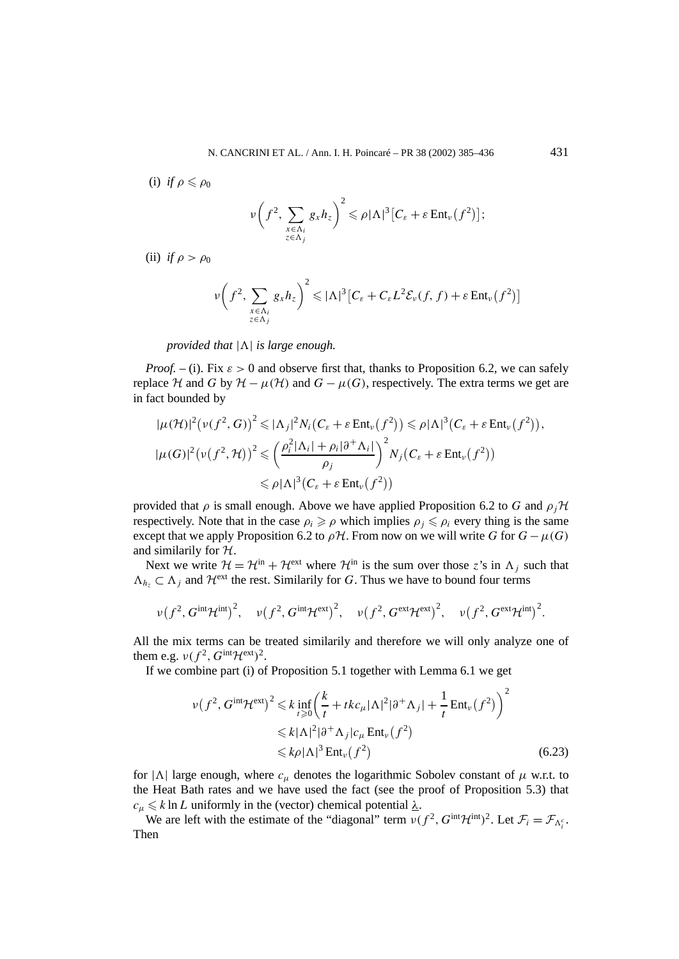(i) *if*  $\rho \leqslant \rho_0$ 

$$
\nu\bigg(f^2,\sum_{\substack{x\in\Lambda_i\\z\in\Lambda_j}}g_xh_z\bigg)^2\leqslant\rho|\Lambda|^3\big[C_\varepsilon+\varepsilon\,\text{Ent}_{\nu}\big(f^2\big)\big];
$$

(ii) *if*  $\rho > \rho_0$ 

$$
\nu\bigg(f^2,\sum_{\substack{x\in\Lambda_i\\z\in\Lambda_j}}g_xh_z\bigg)^2\leqslant |\Lambda|^3\big[C_\varepsilon+C_\varepsilon L^2\mathcal{E}_\nu(f,f)+\varepsilon\,\text{Ent}_\nu\big(f^2\big)\big]
$$

*provided that*  $|\Lambda|$  *is large enough.* 

*Proof.* – (i). Fix  $\varepsilon > 0$  and observe first that, thanks to Proposition 6.2, we can safely replace H and G by  $H - \mu(\mathcal{H})$  and  $G - \mu(G)$ , respectively. The extra terms we get are in fact bounded by

$$
|\mu(\mathcal{H})|^2 (\nu(f^2, G))^2 \leq |\Lambda_j|^2 N_i (C_{\varepsilon} + \varepsilon \operatorname{Ent}_{\nu}(f^2)) \leq \rho |\Lambda|^3 (C_{\varepsilon} + \varepsilon \operatorname{Ent}_{\nu}(f^2)),
$$
  

$$
|\mu(G)|^2 (\nu(f^2, \mathcal{H}))^2 \leq (\frac{\rho_i^2 |\Lambda_i| + \rho_i |\partial^+ \Lambda_i|}{\rho_j})^2 N_j (C_{\varepsilon} + \varepsilon \operatorname{Ent}_{\nu}(f^2))
$$
  

$$
\leq \rho |\Lambda|^3 (C_{\varepsilon} + \varepsilon \operatorname{Ent}_{\nu}(f^2))
$$

provided that  $\rho$  is small enough. Above we have applied Proposition 6.2 to G and  $\rho_i$ H respectively. Note that in the case  $\rho_i \ge \rho$  which implies  $\rho_j \le \rho_i$  every thing is the same except that we apply Proposition 6.2 to  $\rho$ H. From now on we will write *G* for  $G - \mu(G)$ and similarily for  $H$ .

Next we write  $\mathcal{H} = \mathcal{H}^{\text{in}} + \mathcal{H}^{\text{ext}}$  where  $\mathcal{H}^{\text{in}}$  is the sum over those *z*'s in  $\Lambda_i$  such that  $\Lambda_h \subset \Lambda_i$  and  $\mathcal{H}^{\text{ext}}$  the rest. Similarily for *G*. Thus we have to bound four terms

$$
\nu(f^2, G^{\text{int}} \mathcal{H}^{\text{int}})^2, \quad \nu(f^2, G^{\text{int}} \mathcal{H}^{\text{ext}})^2, \quad \nu(f^2, G^{\text{ext}} \mathcal{H}^{\text{ext}})^2, \quad \nu(f^2, G^{\text{ext}} \mathcal{H}^{\text{int}})^2.
$$

All the mix terms can be treated similarily and therefore we will only analyze one of them e.g.  $\nu(f^2, G^{\text{int}}\mathcal{H}^{\text{ext}})^2$ .

If we combine part (i) of Proposition 5.1 together with Lemma 6.1 we get

$$
\nu(f^2, G^{\text{int}} \mathcal{H}^{\text{ext}})^2 \leq k \inf_{t \geq 0} \left( \frac{k}{t} + tkc_\mu |\Lambda|^2 |\partial^+ \Lambda_j| + \frac{1}{t} \text{Ent}_{\nu}(f^2) \right)^2
$$
  
 
$$
\leq k |\Lambda|^2 |\partial^+ \Lambda_j| c_\mu \text{Ent}_{\nu}(f^2)
$$
  
 
$$
\leq k \rho |\Lambda|^3 \text{Ent}_{\nu}(f^2)
$$
 (6.23)

for  $|\Lambda|$  large enough, where  $c_\mu$  denotes the logarithmic Sobolev constant of  $\mu$  w.r.t. to the Heat Bath rates and we have used the fact (see the proof of Proposition 5.3) that  $c_{\mu} \le k \ln L$  uniformly in the (vector) chemical potential  $\lambda$ .

We are left with the estimate of the "diagonal" term  $\nu(f^2, G^{\text{int}}\mathcal{H}^{\text{int}})^2$ . Let  $\mathcal{F}_i = \mathcal{F}_{\Lambda_i^c}$ . Then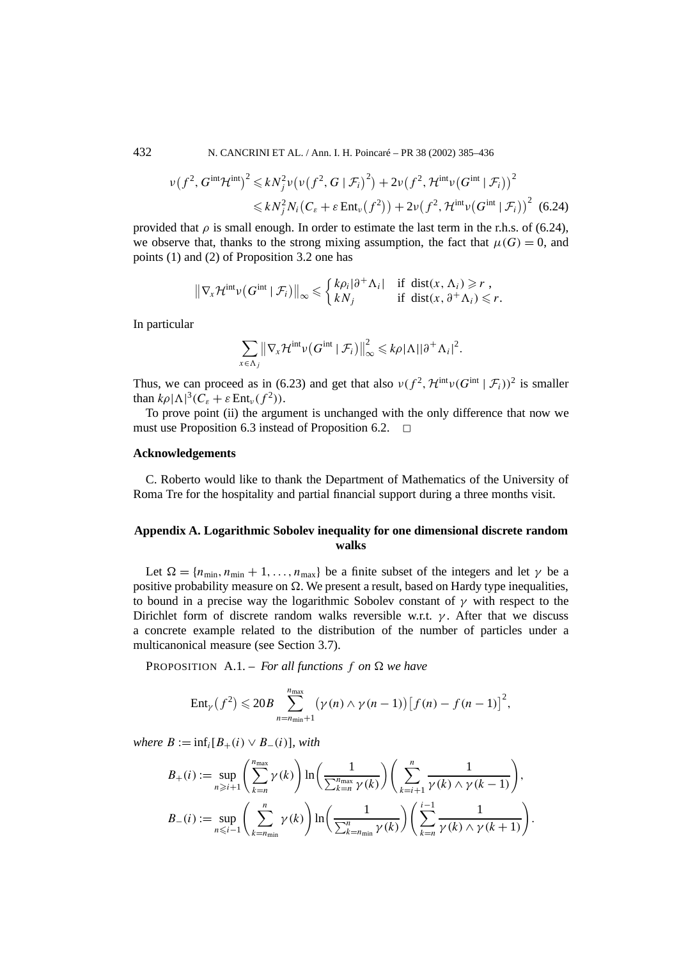432 N. CANCRINI ET AL. / Ann. I. H. Poincaré – PR 38 (2002) 385–436

$$
\nu(f^2, G^{\text{int}} \mathcal{H}^{\text{int}})^2 \leq k N_j^2 \nu(\nu(f^2, G \mid \mathcal{F}_i)^2) + 2\nu(f^2, \mathcal{H}^{\text{int}} \nu(G^{\text{int}} \mid \mathcal{F}_i))^2
$$
  

$$
\leq k N_j^2 N_i (C_{\varepsilon} + \varepsilon \text{Ent}_{\nu}(f^2)) + 2\nu(f^2, \mathcal{H}^{\text{int}} \nu(G^{\text{int}} \mid \mathcal{F}_i))^2
$$
 (6.24)

provided that  $\rho$  is small enough. In order to estimate the last term in the r.h.s. of (6.24), we observe that, thanks to the strong mixing assumption, the fact that  $\mu(G) = 0$ , and points (1) and (2) of Proposition 3.2 one has

$$
\|\nabla_x \mathcal{H}^{\text{int}} \nu(G^{\text{int}} \mid \mathcal{F}_i)\|_{\infty} \leq \begin{cases} k\rho_i |\partial^+ \Lambda_i| & \text{if } \operatorname{dist}(x, \Lambda_i) \geq r, \\ kN_j & \text{if } \operatorname{dist}(x, \partial^+ \Lambda_i) \leq r. \end{cases}
$$

In particular

$$
\sum_{x \in \Lambda_j} \left\| \nabla_x \mathcal{H}^{\text{int}} \nu\big(G^{\text{int}} \mid \mathcal{F}_i\big) \right\|_{\infty}^2 \leqslant k\rho |\Lambda| |\partial^+ \Lambda_i|^2.
$$

Thus, we can proceed as in (6.23) and get that also  $v(f^2, \mathcal{H}^{\text{int}}v(G^{\text{int}} \mid \mathcal{F}_i))^2$  is smaller than  $k\rho |\Lambda|^3 (C_{\varepsilon} + \varepsilon \operatorname{Ent}_{\nu}(f^2)).$ 

To prove point (ii) the argument is unchanged with the only difference that now we must use Proposition 6.3 instead of Proposition 6.2.  $\Box$ 

#### **Acknowledgements**

C. Roberto would like to thank the Department of Mathematics of the University of Roma Tre for the hospitality and partial financial support during a three months visit.

# **Appendix A. Logarithmic Sobolev inequality for one dimensional discrete random walks**

Let  $\Omega = \{n_{\min}, n_{\min} + 1, \ldots, n_{\max}\}\$ be a finite subset of the integers and let  $\gamma$  be a positive probability measure on  $\Omega$ . We present a result, based on Hardy type inequalities, to bound in a precise way the logarithmic Sobolev constant of *γ* with respect to the Dirichlet form of discrete random walks reversible w.r.t. *γ* . After that we discuss a concrete example related to the distribution of the number of particles under a multicanonical measure (see Section 3.7).

PROPOSITION  $A.1 - For all functions f on  $\Omega$  we have$ 

$$
Ent_{\gamma}(f^{2}) \leqslant 20B \sum_{n=n_{\min}+1}^{n_{\max}} (\gamma(n) \wedge \gamma(n-1)) [f(n)-f(n-1)]^{2},
$$

 $where B := \inf_i [B_+(i) \vee B_-(i)]$ *, with* 

$$
B_{+}(i) := \sup_{n \geq i+1} \left( \sum_{k=n}^{n_{\text{max}}} \gamma(k) \right) \ln \left( \frac{1}{\sum_{k=n}^{n_{\text{max}}} \gamma(k)} \right) \left( \sum_{k=i+1}^{n} \frac{1}{\gamma(k) \wedge \gamma(k-1)} \right),
$$
  

$$
B_{-}(i) := \sup_{n \leq i-1} \left( \sum_{k=n_{\text{min}}}^{n} \gamma(k) \right) \ln \left( \frac{1}{\sum_{k=n_{\text{min}}}^{n} \gamma(k)} \right) \left( \sum_{k=n}^{i-1} \frac{1}{\gamma(k) \wedge \gamma(k+1)} \right).
$$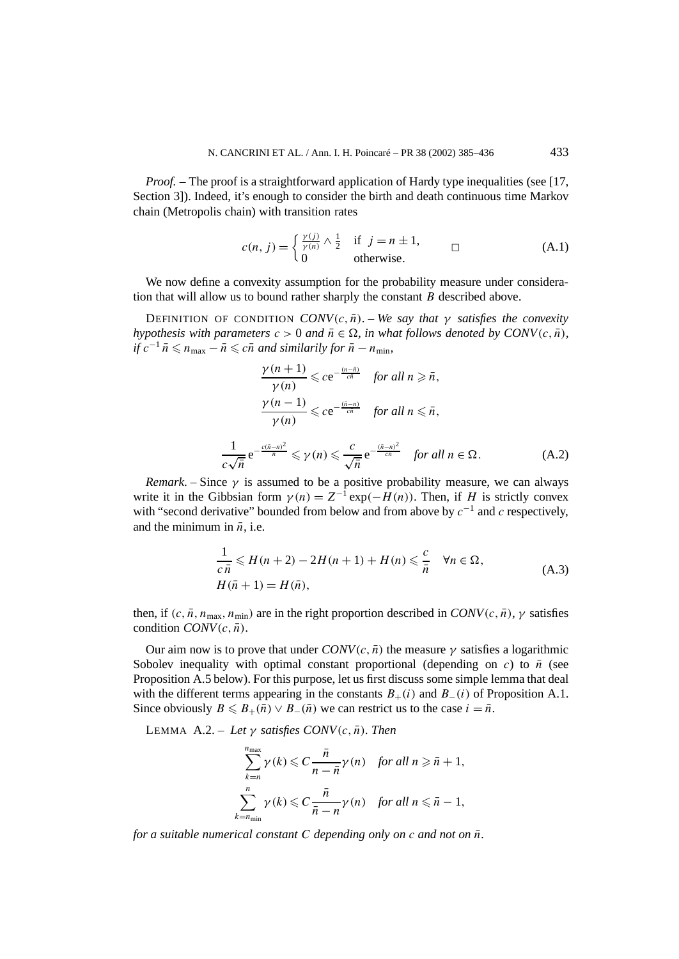*Proof.* – The proof is a straightforward application of Hardy type inequalities (see [17, Section 3]). Indeed, it's enough to consider the birth and death continuous time Markov chain (Metropolis chain) with transition rates

$$
c(n, j) = \begin{cases} \frac{\gamma(j)}{\gamma(n)} \wedge \frac{1}{2} & \text{if } j = n \pm 1, \\ 0 & \text{otherwise.} \end{cases}
$$
 (A.1)

We now define a convexity assumption for the probability measure under consideration that will allow us to bound rather sharply the constant *B* described above.

**DEFINITION** OF CONDITION *CONV* $(c, \bar{n})$ . – *We say that*  $\gamma$  *satisfies the convexity hypothesis with parameters*  $c > 0$  *and*  $\bar{n} \in \Omega$ *, in what follows denoted by CONV* $(c, \bar{n})$ *, if*  $c^{-1}$   $\bar{n}$  ≤  $n_{\text{max}} - \bar{n}$  ≤  $c\bar{n}$  *and similarily for*  $\bar{n} - n_{\text{min}}$ *,* 

$$
\frac{\gamma(n+1)}{\gamma(n)} \leqslant ce^{-\frac{(n-\bar{n})}{c\bar{n}}} \quad \text{for all } n \geqslant \bar{n},
$$
\n
$$
\frac{\gamma(n-1)}{\gamma(n)} \leqslant ce^{-\frac{(\bar{n}-n)}{c\bar{n}}} \quad \text{for all } n \leqslant \bar{n},
$$
\n
$$
\frac{1}{c\sqrt{\bar{n}}} e^{-\frac{c(\bar{n}-n)^2}{\bar{n}}} \leqslant \gamma(n) \leqslant \frac{c}{\sqrt{\bar{n}}} e^{-\frac{(\bar{n}-n)^2}{c\bar{n}}} \quad \text{for all } n \in \Omega.
$$
\n(A.2)

*Remark*. – Since  $\gamma$  is assumed to be a positive probability measure, we can always write it in the Gibbsian form  $\gamma(n) = Z^{-1} \exp(-H(n))$ . Then, if *H* is strictly convex with "second derivative" bounded from below and from above by *c*<sup>−</sup><sup>1</sup> and *c* respectively, and the minimum in  $\bar{n}$ , i.e.

$$
\frac{1}{c\,\bar{n}} \leq H(n+2) - 2H(n+1) + H(n) \leq \frac{c}{\bar{n}} \quad \forall n \in \Omega,
$$
\n
$$
H(\bar{n}+1) = H(\bar{n}),
$$
\n(A.3)

then, if  $(c, \bar{n}, n_{\text{max}}, n_{\text{min}})$  are in the right proportion described in  $CONV(c, \bar{n})$ ,  $\gamma$  satisfies condition  $CONV(c, \bar{n})$ .

Our aim now is to prove that under  $CONV(c, \bar{n})$  the measure  $\gamma$  satisfies a logarithmic Sobolev inequality with optimal constant proportional (depending on *c*) to  $\bar{n}$  (see Proposition A.5 below). For this purpose, let us first discuss some simple lemma that deal with the different terms appearing in the constants  $B_+(i)$  and  $B_-(i)$  of Proposition A.1. Since obviously  $B \le B_+(\bar{n}) \vee B_-(\bar{n})$  we can restrict us to the case  $i = \bar{n}$ .

LEMMA A.2. – *Let*  $γ$  *satisfies CONV* $(c, \bar{n})$ *. Then* 

$$
\sum_{k=n}^{n_{\max}} \gamma(k) \leq C \frac{\bar{n}}{n - \bar{n}} \gamma(n) \quad \text{for all } n \geq \bar{n} + 1,
$$
\n
$$
\sum_{k=n_{\min}}^{n} \gamma(k) \leq C \frac{\bar{n}}{\bar{n} - n} \gamma(n) \quad \text{for all } n \leq \bar{n} - 1,
$$

*for a suitable numerical constant C depending only on c and not on*  $\bar{n}$ *.*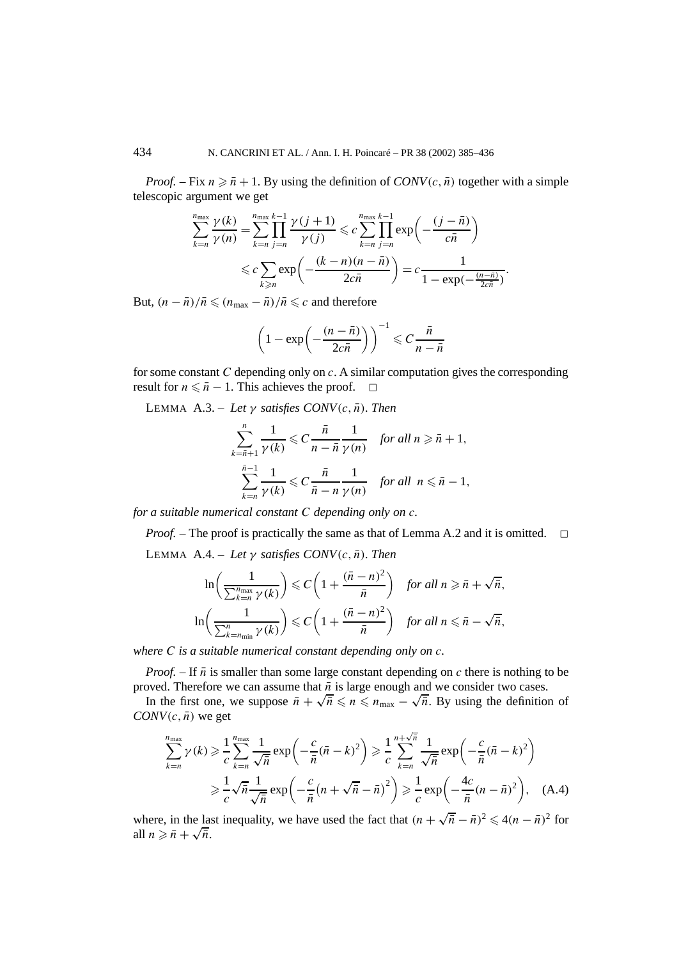*Proof.* – Fix  $n \ge \bar{n} + 1$ . By using the definition of *CONV*(*c*,  $\bar{n}$ ) together with a simple telescopic argument we get

$$
\sum_{k=n}^{n_{\max}} \frac{\gamma(k)}{\gamma(n)} = \sum_{k=n}^{n_{\max}} \prod_{j=n}^{k-1} \frac{\gamma(j+1)}{\gamma(j)} \leqslant c \sum_{k=n}^{n_{\max}} \prod_{j=n}^{k-1} \exp\left(-\frac{(j-\bar{n})}{c\bar{n}}\right)
$$

$$
\leqslant c \sum_{k \geqslant n} \exp\left(-\frac{(k-n)(n-\bar{n})}{2c\bar{n}}\right) = c \frac{1}{1 - \exp(-\frac{(n-\bar{n})}{2c\bar{n}})}.
$$

But,  $(n - \overline{n})/\overline{n} \le (n_{\text{max}} - \overline{n})/\overline{n} \le c$  and therefore

$$
\left(1 - \exp\left(-\frac{(n-\bar{n})}{2c\bar{n}}\right)\right)^{-1} \leqslant C\frac{\bar{n}}{n-\bar{n}}
$$

for some constant *C* depending only on *c*. A similar computation gives the corresponding result for  $n \leq \bar{n} - 1$ . This achieves the proof.  $\Box$ 

LEMMA A.3. – *Let*  $\gamma$  *satisfies CONV* $(c, \bar{n})$ *. Then* 

$$
\sum_{k=\bar{n}+1}^{n} \frac{1}{\gamma(k)} \leqslant C \frac{\bar{n}}{n-\bar{n}} \frac{1}{\gamma(n)} \quad \text{for all } n \geqslant \bar{n}+1,
$$
\n
$$
\sum_{k=n}^{\bar{n}-1} \frac{1}{\gamma(k)} \leqslant C \frac{\bar{n}}{\bar{n}-n} \frac{1}{\gamma(n)} \quad \text{for all } n \leqslant \bar{n}-1,
$$

*for a suitable numerical constant C depending only on c.*

*Proof.* – The proof is practically the same as that of Lemma A.2 and it is omitted. □

LEMMA A.4. – *Let*  $\gamma$  *satisfies CONV* $(c, \bar{n})$ *. Then* 

$$
\ln\left(\frac{1}{\sum_{k=n}^{n_{\text{max}}} \gamma(k)}\right) \leq C\left(1 + \frac{(\bar{n} - n)^2}{\bar{n}}\right) \quad \text{for all } n \geq \bar{n} + \sqrt{\bar{n}},
$$
\n
$$
\ln\left(\frac{1}{\sum_{k=n_{\text{min}}}^{n} \gamma(k)}\right) \leq C\left(1 + \frac{(\bar{n} - n)^2}{\bar{n}}\right) \quad \text{for all } n \leq \bar{n} - \sqrt{\bar{n}},
$$

*where C is a suitable numerical constant depending only on c.*

*Proof.* – If  $\bar{n}$  is smaller than some large constant depending on *c* there is nothing to be proved. Therefore we can assume that  $\bar{n}$  is large enough and we consider two cases.

In the first one, we suppose  $\bar{n} + \sqrt{\bar{n}} \leq n \leq n_{\text{max}} - \sqrt{\bar{n}}$ . By using the definition of *CONV* $(c, \bar{n})$  we get

$$
\sum_{k=n}^{n_{\text{max}}} \gamma(k) \geqslant \frac{1}{c} \sum_{k=n}^{n_{\text{max}}} \frac{1}{\sqrt{\bar{n}}} \exp\left(-\frac{c}{\bar{n}} (\bar{n} - k)^2\right) \geqslant \frac{1}{c} \sum_{k=n}^{n+\sqrt{\bar{n}}} \frac{1}{\sqrt{\bar{n}}} \exp\left(-\frac{c}{\bar{n}} (\bar{n} - k)^2\right)
$$

$$
\geqslant \frac{1}{c} \sqrt{\bar{n}} \frac{1}{\sqrt{\bar{n}}} \exp\left(-\frac{c}{\bar{n}} (n + \sqrt{\bar{n}} - \bar{n})^2\right) \geqslant \frac{1}{c} \exp\left(-\frac{4c}{\bar{n}} (n - \bar{n})^2\right), \quad \text{(A.4)}
$$

where, in the last inequality, we have used the fact that  $(n + \sqrt{\overline{n}} - \overline{n})^2 \le 4(n - \overline{n})^2$  for where, in the last all  $n \geq \bar{n} + \sqrt{\bar{n}}$ .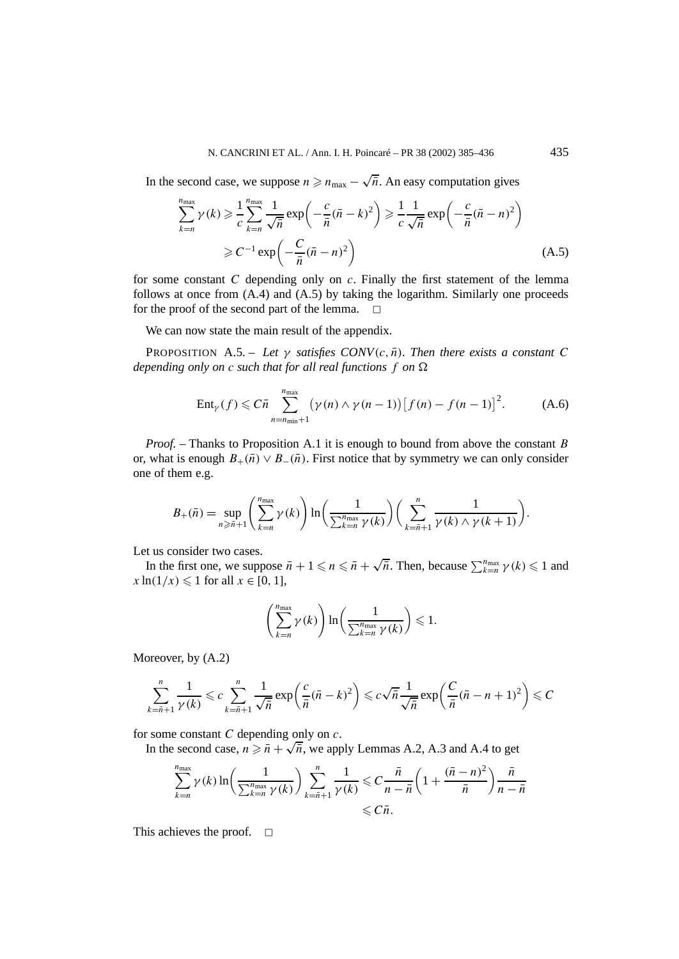In the second case, we suppose  $n \geq n_{\text{max}} - \sqrt{\overline{n}}$ . An easy computation gives

$$
\sum_{k=n}^{n_{\text{max}}} \gamma(k) \geqslant \frac{1}{c} \sum_{k=n}^{n_{\text{max}}} \frac{1}{\sqrt{\bar{n}}} \exp\left(-\frac{c}{\bar{n}} (\bar{n} - k)^2\right) \geqslant \frac{1}{c} \frac{1}{\sqrt{\bar{n}}} \exp\left(-\frac{c}{\bar{n}} (\bar{n} - n)^2\right)
$$
\n
$$
\geqslant C^{-1} \exp\left(-\frac{C}{\bar{n}} (\bar{n} - n)^2\right) \tag{A.5}
$$

for some constant *C* depending only on *c*. Finally the first statement of the lemma follows at once from (A.4) and (A.5) by taking the logarithm. Similarly one proceeds for the proof of the second part of the lemma.  $\Box$ 

We can now state the main result of the appendix.

**PROPOSITION** A.5. – Let  $\gamma$  satisfies CONV $(c, \bar{n})$ . Then there exists a constant C *depending only on c such that for all real functions f on*  $\Omega$ 

$$
Ent_{\gamma}(f) \leqslant C\bar{n} \sum_{n=n_{\min}+1}^{n_{\max}} (\gamma(n) \wedge \gamma(n-1)) \big[ f(n) - f(n-1) \big]^2. \tag{A.6}
$$

*Proof. –* Thanks to Proposition A.1 it is enough to bound from above the constant *B* or, what is enough  $B_+(\bar{n}) \vee B_-(\bar{n})$ . First notice that by symmetry we can only consider one of them e.g.

$$
B_{+}(\bar{n}) = \sup_{n \geq \bar{n}+1} \left( \sum_{k=n}^{n_{\text{max}}} \gamma(k) \right) \ln \left( \frac{1}{\sum_{k=n}^{n_{\text{max}}} \gamma(k)} \right) \left( \sum_{k=\bar{n}+1}^{n} \frac{1}{\gamma(k) \wedge \gamma(k+1)} \right).
$$

Let us consider two cases.

In the first one, we suppose  $\bar{n} + 1 \leq n \leq \bar{n} + \sqrt{\bar{n}}$ . Then, because  $\sum_{k=n}^{n_{\text{max}}} \gamma(k) \leq 1$  and  $x \ln(1/x) \leq 1$  for all  $x \in [0, 1]$ ,

$$
\left(\sum_{k=n}^{n_{\max}} \gamma(k)\right) \ln\left(\frac{1}{\sum_{k=n}^{n_{\max}} \gamma(k)}\right) \leq 1.
$$

Moreover, by  $(A.2)$ 

$$
\sum_{k=\bar{n}+1}^{n} \frac{1}{\gamma(k)} \leqslant c \sum_{k=\bar{n}+1}^{n} \frac{1}{\sqrt{\bar{n}}} \exp\left(\frac{c}{\bar{n}} (\bar{n}-k)^2\right) \leqslant c\sqrt{\bar{n}} \frac{1}{\sqrt{\bar{n}}} \exp\left(\frac{C}{\bar{n}} (\bar{n}-n+1)^2\right) \leqslant C
$$

for some constant *C* depending only on *c*.

If some constant C depending only on c.<br>In the second case,  $n \ge \bar{n} + \sqrt{\bar{n}}$ , we apply Lemmas A.2, A.3 and A.4 to get

$$
\sum_{k=n}^{n_{\max}} \gamma(k) \ln \left( \frac{1}{\sum_{k=n}^{n_{\max}} \gamma(k)} \right) \sum_{k=\bar{n}+1}^{n} \frac{1}{\gamma(k)} \leqslant C \frac{\bar{n}}{n-\bar{n}} \left( 1 + \frac{(\bar{n}-n)^2}{\bar{n}} \right) \frac{\bar{n}}{n-\bar{n}}
$$
  
\$\leqslant C\bar{n}\$.

This achieves the proof.  $\square$